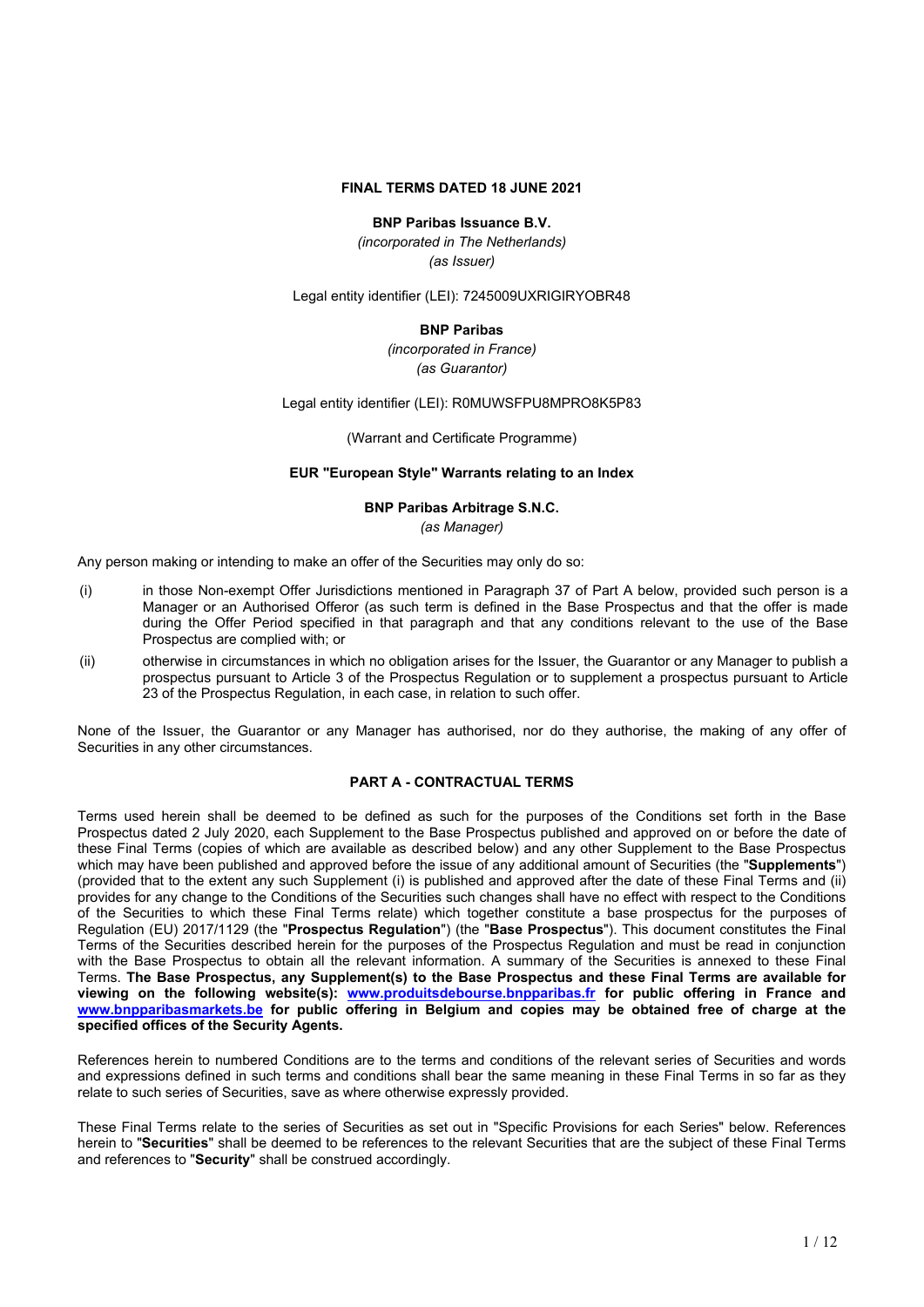### **FINAL TERMS DATED 18 JUNE 2021**

### **BNP Paribas Issuance B.V.**

*(incorporated in The Netherlands) (as Issuer)*

Legal entity identifier (LEI): 7245009UXRIGIRYOBR48

### **BNP Paribas**

*(incorporated in France) (as Guarantor)*

Legal entity identifier (LEI): R0MUWSFPU8MPRO8K5P83

(Warrant and Certificate Programme)

### **EUR "European Style" Warrants relating to an Index**

### **BNP Paribas Arbitrage S.N.C.**

*(as Manager)*

Any person making or intending to make an offer of the Securities may only do so:

- (i) in those Non-exempt Offer Jurisdictions mentioned in Paragraph 37 of Part A below, provided such person is a Manager or an Authorised Offeror (as such term is defined in the Base Prospectus and that the offer is made during the Offer Period specified in that paragraph and that any conditions relevant to the use of the Base Prospectus are complied with; or
- (ii) otherwise in circumstances in which no obligation arises for the Issuer, the Guarantor or any Manager to publish a prospectus pursuant to Article 3 of the Prospectus Regulation or to supplement a prospectus pursuant to Article 23 of the Prospectus Regulation, in each case, in relation to such offer.

None of the Issuer, the Guarantor or any Manager has authorised, nor do they authorise, the making of any offer of Securities in any other circumstances.

### **PART A - CONTRACTUAL TERMS**

Terms used herein shall be deemed to be defined as such for the purposes of the Conditions set forth in the Base Prospectus dated 2 July 2020, each Supplement to the Base Prospectus published and approved on or before the date of these Final Terms (copies of which are available as described below) and any other Supplement to the Base Prospectus which may have been published and approved before the issue of any additional amount of Securities (the "**Supplements**") (provided that to the extent any such Supplement (i) is published and approved after the date of these Final Terms and (ii) provides for any change to the Conditions of the Securities such changes shall have no effect with respect to the Conditions of the Securities to which these Final Terms relate) which together constitute a base prospectus for the purposes of Regulation (EU) 2017/1129 (the "**Prospectus Regulation**") (the "**Base Prospectus**"). This document constitutes the Final Terms of the Securities described herein for the purposes of the Prospectus Regulation and must be read in conjunction with the Base Prospectus to obtain all the relevant information. A summary of the Securities is annexed to these Final Terms. **The Base Prospectus, any Supplement(s) to the Base Prospectus and these Final Terms are available for viewing on the following website(s): www.produitsdebourse.bnpparibas.fr for public offering in France and www.bnpparibasmarkets.be for public offering in Belgium and copies may be obtained free of charge at the specified offices of the Security Agents.**

References herein to numbered Conditions are to the terms and conditions of the relevant series of Securities and words and expressions defined in such terms and conditions shall bear the same meaning in these Final Terms in so far as they relate to such series of Securities, save as where otherwise expressly provided.

These Final Terms relate to the series of Securities as set out in "Specific Provisions for each Series" below. References herein to "**Securities**" shall be deemed to be references to the relevant Securities that are the subject of these Final Terms and references to "**Security**" shall be construed accordingly.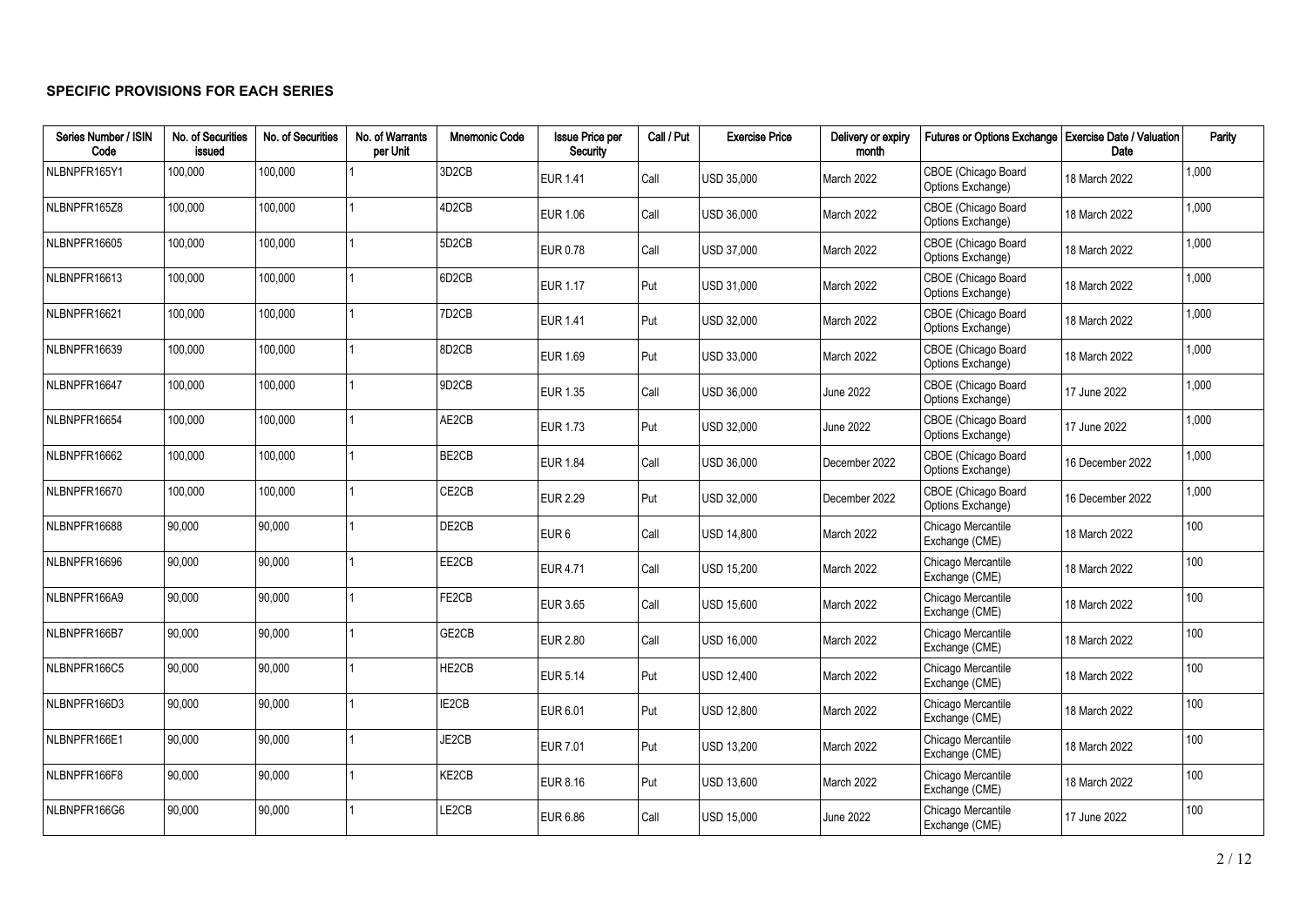### **SPECIFIC PROVISIONS FOR EACH SERIES**

| Series Number / ISIN<br>Code | No. of Securities<br>issued | No. of Securities | No. of Warrants<br>per Unit | <b>Mnemonic Code</b>           | <b>Issue Price per</b><br>Security | Call / Put | <b>Exercise Price</b> | Delivery or expiry<br>month | Futures or Options Exchange   Exercise Date / Valuation | Date             | Parity |
|------------------------------|-----------------------------|-------------------|-----------------------------|--------------------------------|------------------------------------|------------|-----------------------|-----------------------------|---------------------------------------------------------|------------------|--------|
| NLBNPFR165Y1                 | 100,000                     | 100,000           |                             | 3D <sub>2</sub> CB             | <b>EUR 1.41</b>                    | Call       | <b>USD 35.000</b>     | March 2022                  | CBOE (Chicago Board<br>Options Exchange)                | 18 March 2022    | 1,000  |
| NLBNPFR165Z8                 | 100,000                     | 100,000           |                             | 4D <sub>2</sub> CB             | EUR 1.06                           | Call       | USD 36,000            | March 2022                  | CBOE (Chicago Board<br>Options Exchange)                | 18 March 2022    | 1,000  |
| NLBNPFR16605                 | 100,000                     | 100,000           |                             | 5D <sub>2</sub> CB             | <b>EUR 0.78</b>                    | Call       | USD 37,000            | March 2022                  | CBOE (Chicago Board<br>Options Exchange)                | 18 March 2022    | 1,000  |
| NLBNPFR16613                 | 100,000                     | 100,000           |                             | 6D <sub>2</sub> CB             | EUR 1.17                           | l Put      | <b>USD 31.000</b>     | March 2022                  | CBOE (Chicago Board<br>Options Exchange)                | 18 March 2022    | 1,000  |
| NLBNPFR16621                 | 100,000                     | 100,000           |                             | 7D <sub>2</sub> C <sub>B</sub> | <b>EUR 1.41</b>                    | l Put      | USD 32.000            | March 2022                  | CBOE (Chicago Board<br>Options Exchange)                | 18 March 2022    | 1,000  |
| NLBNPFR16639                 | 100,000                     | 100,000           |                             | 8D <sub>2</sub> CB             | EUR 1.69                           | Put        | USD 33.000            | March 2022                  | CBOE (Chicago Board<br>Options Exchange)                | 18 March 2022    | 1,000  |
| NLBNPFR16647                 | 100,000                     | 100,000           |                             | 9D <sub>2</sub> CB             | <b>EUR 1.35</b>                    | Call       | USD 36,000            | <b>June 2022</b>            | CBOE (Chicago Board<br>Options Exchange)                | 17 June 2022     | 1,000  |
| NLBNPFR16654                 | 100,000                     | 100,000           |                             | AE2CB                          | <b>EUR 1.73</b>                    | Put        | USD 32,000            | <b>June 2022</b>            | CBOE (Chicago Board<br>Options Exchange)                | 17 June 2022     | 1,000  |
| NLBNPFR16662                 | 100,000                     | 100,000           |                             | BE2CB                          | <b>EUR 1.84</b>                    | Call       | USD 36,000            | December 2022               | CBOE (Chicago Board<br>Options Exchange)                | 16 December 2022 | 1,000  |
| NLBNPFR16670                 | 100,000                     | 100,000           |                             | CE2CB                          | <b>EUR 2.29</b>                    | Put        | USD 32,000            | December 2022               | CBOE (Chicago Board<br>Options Exchange)                | 16 December 2022 | 1,000  |
| NLBNPFR16688                 | 90.000                      | 90,000            |                             | DE2CB                          | EUR <sub>6</sub>                   | Call       | <b>USD 14,800</b>     | March 2022                  | Chicago Mercantile<br>Exchange (CME)                    | 18 March 2022    | 100    |
| NLBNPFR16696                 | 90,000                      | 90,000            |                             | EE2CB                          | <b>EUR 4.71</b>                    | Call       | <b>USD 15,200</b>     | March 2022                  | Chicago Mercantile<br>Exchange (CME)                    | 18 March 2022    | 100    |
| NLBNPFR166A9                 | 90,000                      | 90,000            |                             | FE2CB                          | EUR 3.65                           | Call       | USD 15,600            | March 2022                  | Chicago Mercantile<br>Exchange (CME)                    | 18 March 2022    | 100    |
| NLBNPFR166B7                 | 90,000                      | 90,000            |                             | GE2CB                          | <b>EUR 2.80</b>                    | Call       | USD 16,000            | March 2022                  | Chicago Mercantile<br>Exchange (CME)                    | 18 March 2022    | 100    |
| NLBNPFR166C5                 | 90,000                      | 90,000            |                             | HE2CB                          | <b>EUR 5.14</b>                    | Put        | <b>USD 12,400</b>     | March 2022                  | Chicago Mercantile<br>Exchange (CME)                    | 18 March 2022    | 100    |
| NLBNPFR166D3                 | 90,000                      | 90,000            |                             | IE2CB                          | EUR 6.01                           | Put        | <b>USD 12,800</b>     | March 2022                  | Chicago Mercantile<br>Exchange (CME)                    | 18 March 2022    | 100    |
| NLBNPFR166E1                 | 90,000                      | 90,000            |                             | JE2CB                          | <b>EUR 7.01</b>                    | Put        | <b>USD 13,200</b>     | March 2022                  | Chicago Mercantile<br>Exchange (CME)                    | 18 March 2022    | 100    |
| NLBNPFR166F8                 | 90,000                      | 90,000            |                             | KE2CB                          | EUR 8.16                           | Put        | USD 13,600            | March 2022                  | Chicago Mercantile<br>Exchange (CME)                    | 18 March 2022    | 100    |
| NLBNPFR166G6                 | 90,000                      | 90,000            |                             | LE2CB                          | EUR 6.86                           | Call       | <b>USD 15,000</b>     | <b>June 2022</b>            | Chicago Mercantile<br>Exchange (CME)                    | 17 June 2022     | 100    |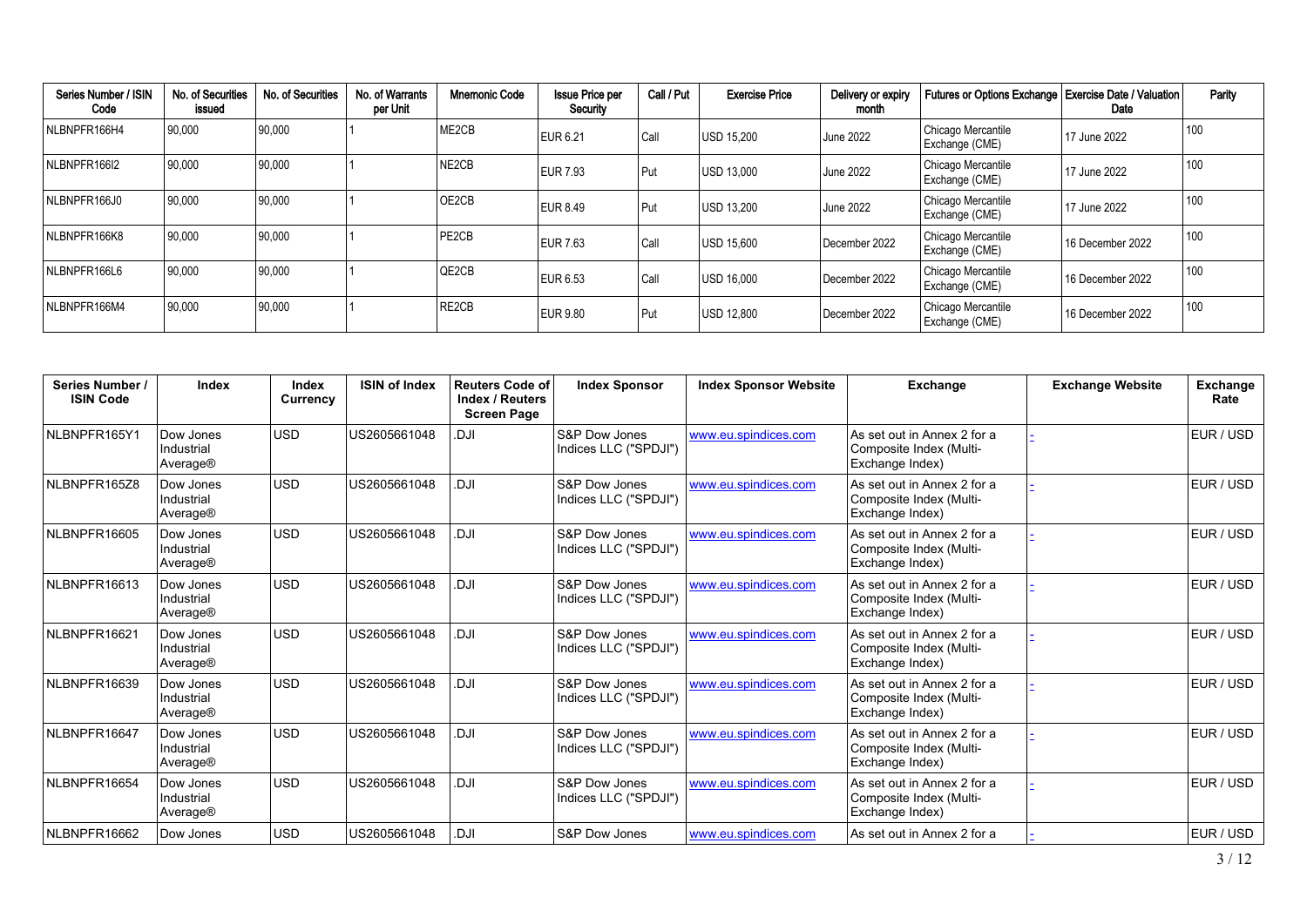| Series Number / ISIN<br>Code | No. of Securities<br>issued | No. of Securities | No. of Warrants<br>per Unit | <b>Mnemonic Code</b> | <b>Issue Price per</b><br>Security | Call / Put | <b>Exercise Price</b> | Delivery or expiry<br>month | Futures or Options Exchange   Exercise Date / Valuation | Date             | Parity |
|------------------------------|-----------------------------|-------------------|-----------------------------|----------------------|------------------------------------|------------|-----------------------|-----------------------------|---------------------------------------------------------|------------------|--------|
| NLBNPFR166H4                 | 90,000                      | 90,000            |                             | ME <sub>2</sub> CB   | EUR 6.21                           | l Call     | <b>USD 15.200</b>     | June 2022                   | Chicago Mercantile<br>Exchange (CME)                    | 17 June 2022     | 100    |
| NLBNPFR166I2                 | 90,000                      | 90,000            |                             | NE2CB                | <b>EUR 7.93</b>                    | Put        | <b>USD 13,000</b>     | <b>June 2022</b>            | Chicago Mercantile<br>Exchange (CME)                    | 17 June 2022     | 100    |
| NLBNPFR166J0                 | 90,000                      | 90,000            |                             | OE2CB                | EUR 8.49                           | l Put      | USD 13.200            | June 2022                   | Chicago Mercantile<br>Exchange (CME)                    | 17 June 2022     | 100    |
| NLBNPFR166K8                 | 90,000                      | 90,000            |                             | PE2CB                | <b>EUR 7.63</b>                    | l Call     | USD 15.600            | December 2022               | Chicago Mercantile<br>Exchange (CME)                    | 16 December 2022 | 100    |
| NLBNPFR166L6                 | 90,000                      | 90,000            |                             | QE2CB                | <b>EUR 6.53</b>                    | l Call     | USD 16.000            | December 2022               | Chicago Mercantile<br>Exchange (CME)                    | 16 December 2022 | 100    |
| NLBNPFR166M4                 | 90,000                      | 90,000            |                             | RE2CB                | EUR 9.80                           | Put        | USD 12.800            | December 2022               | Chicago Mercantile<br>Exchange (CME)                    | 16 December 2022 | 100    |

| Series Number /<br><b>ISIN Code</b> | Index                                           | Index<br>Currency | <b>ISIN of Index</b> | <b>Reuters Code of</b><br>Index / Reuters<br><b>Screen Page</b> | <b>Index Sponsor</b>                              | <b>Index Sponsor Website</b> | Exchange                                                                  | <b>Exchange Website</b> | <b>Exchange</b><br>Rate |
|-------------------------------------|-------------------------------------------------|-------------------|----------------------|-----------------------------------------------------------------|---------------------------------------------------|------------------------------|---------------------------------------------------------------------------|-------------------------|-------------------------|
| NLBNPFR165Y1                        | Dow Jones<br>Industrial<br>Average®             | <b>USD</b>        | US2605661048         | ILC.                                                            | S&P Dow Jones<br>Indices LLC ("SPDJI")            | www.eu.spindices.com         | As set out in Annex 2 for a<br>Composite Index (Multi-<br>Exchange Index) |                         | EUR / USD               |
| NLBNPFR165Z8                        | Dow Jones<br>Industrial<br>Average®             | <b>USD</b>        | US2605661048         | <b>ILO.</b>                                                     | S&P Dow Jones<br>Indices LLC ("SPDJI")            | www.eu.spindices.com         | As set out in Annex 2 for a<br>Composite Index (Multi-<br>Exchange Index) |                         | EUR / USD               |
| NLBNPFR16605                        | Dow Jones<br>Industrial<br>Average®             | <b>USD</b>        | US2605661048         | <b>ILO.</b>                                                     | <b>S&amp;P Dow Jones</b><br>Indices LLC ("SPDJI") | www.eu.spindices.com         | As set out in Annex 2 for a<br>Composite Index (Multi-<br>Exchange Index) |                         | EUR / USD               |
| NLBNPFR16613                        | Dow Jones<br>Industrial<br>Average®             | <b>USD</b>        | US2605661048         | ILQ.                                                            | S&P Dow Jones<br>Indices LLC ("SPDJI")            | www.eu.spindices.com         | As set out in Annex 2 for a<br>Composite Index (Multi-<br>Exchange Index) |                         | EUR / USD               |
| NLBNPFR16621                        | Dow Jones<br>Industrial<br>Average®             | <b>USD</b>        | US2605661048         | <b>ILO.</b>                                                     | <b>S&amp;P Dow Jones</b><br>Indices LLC ("SPDJI") | www.eu.spindices.com         | As set out in Annex 2 for a<br>Composite Index (Multi-<br>Exchange Index) |                         | EUR / USD               |
| NLBNPFR16639                        | Dow Jones<br>Industrial<br>Average <sup>®</sup> | USD               | US2605661048         | IU.                                                             | S&P Dow Jones<br>Indices LLC ("SPDJI")            | www.eu.spindices.com         | As set out in Annex 2 for a<br>Composite Index (Multi-<br>Exchange Index) |                         | EUR / USD               |
| NLBNPFR16647                        | Dow Jones<br>Industrial<br>Average®             | <b>USD</b>        | US2605661048         | <b>ILO.</b>                                                     | S&P Dow Jones<br>Indices LLC ("SPDJI")            | www.eu.spindices.com         | As set out in Annex 2 for a<br>Composite Index (Multi-<br>Exchange Index) |                         | EUR / USD               |
| NLBNPFR16654                        | Dow Jones<br>Industrial<br>Average®             | lusd              | US2605661048         | <b>ILO.</b>                                                     | <b>S&amp;P Dow Jones</b><br>Indices LLC ("SPDJI") | www.eu.spindices.com         | As set out in Annex 2 for a<br>Composite Index (Multi-<br>Exchange Index) |                         | EUR / USD               |
| NLBNPFR16662                        | Dow Jones                                       | <b>USD</b>        | US2605661048         | <b>IU</b>                                                       | <b>S&amp;P Dow Jones</b>                          | www.eu.spindices.com         | As set out in Annex 2 for a                                               |                         | EUR / USD               |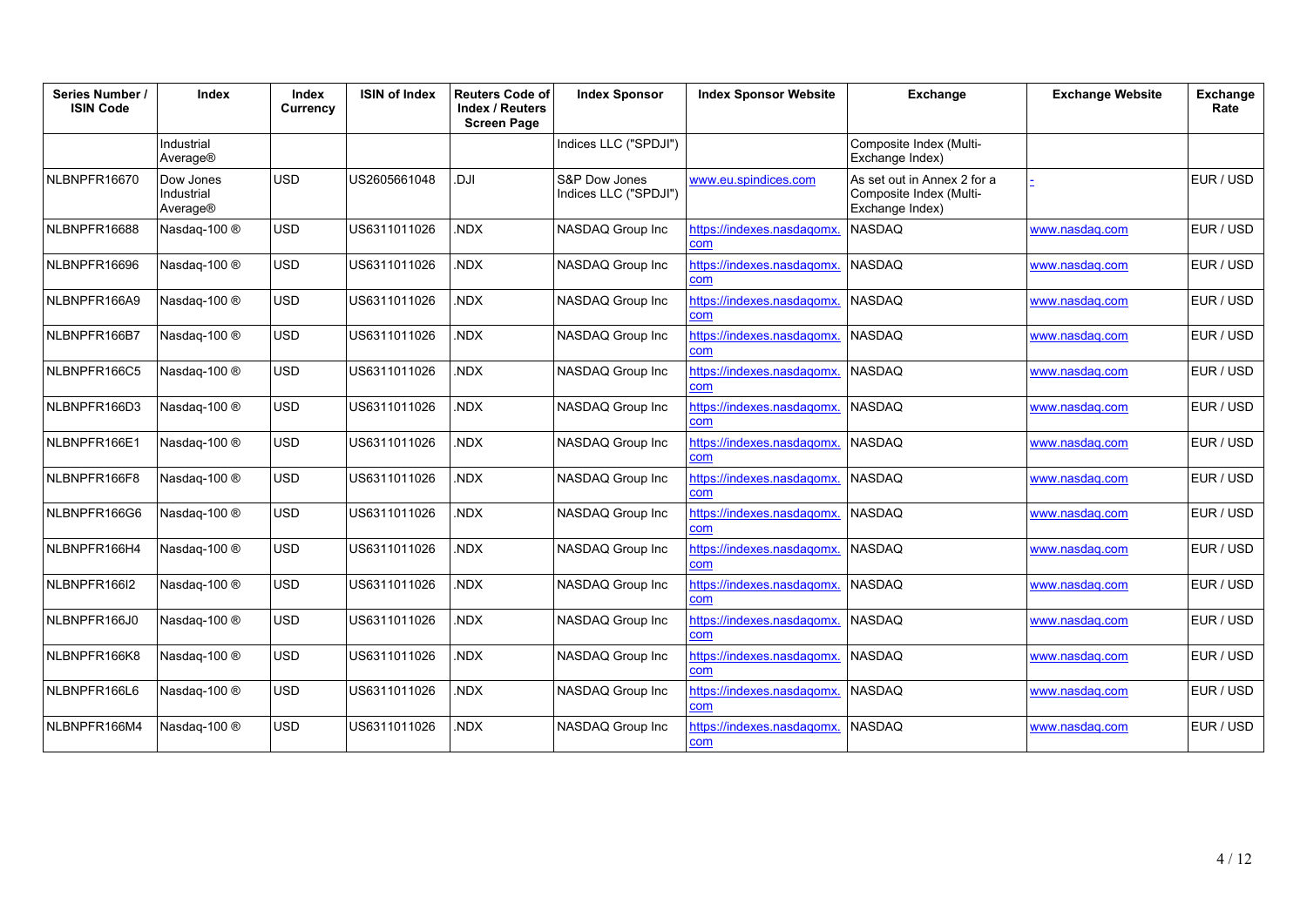| Series Number /<br><b>ISIN Code</b> | Index                               | <b>Index</b><br>Currency | <b>ISIN of Index</b> | <b>Reuters Code of</b><br><b>Index / Reuters</b><br><b>Screen Page</b> | <b>Index Sponsor</b>                   | <b>Index Sponsor Website</b>             | <b>Exchange</b>                                                           | <b>Exchange Website</b> | Exchange<br>Rate |
|-------------------------------------|-------------------------------------|--------------------------|----------------------|------------------------------------------------------------------------|----------------------------------------|------------------------------------------|---------------------------------------------------------------------------|-------------------------|------------------|
|                                     | Industrial<br>Average®              |                          |                      |                                                                        | Indices LLC ("SPDJI")                  |                                          | Composite Index (Multi-<br>Exchange Index)                                |                         |                  |
| NLBNPFR16670                        | Dow Jones<br>Industrial<br>Average® | <b>USD</b>               | US2605661048         | <b>DJI</b>                                                             | S&P Dow Jones<br>Indices LLC ("SPDJI") | www.eu.spindices.com                     | As set out in Annex 2 for a<br>Composite Index (Multi-<br>Exchange Index) |                         | EUR / USD        |
| NLBNPFR16688                        | Nasdag-100 $@$                      | <b>USD</b>               | US6311011026         | <b>NDX</b>                                                             | NASDAQ Group Inc                       | https://indexes.nasdagomx.<br>com        | <b>NASDAQ</b>                                                             | www.nasdag.com          | EUR / USD        |
| NLBNPFR16696                        | Nasdaq-100 ®                        | <b>USD</b>               | US6311011026         | <b>NDX</b>                                                             | NASDAQ Group Inc                       | https://indexes.nasdaqomx.<br>com        | <b>NASDAQ</b>                                                             | www.nasdag.com          | EUR / USD        |
| NLBNPFR166A9                        | Nasdaq-100 ®                        | <b>USD</b>               | US6311011026         | NDX.                                                                   | NASDAQ Group Inc                       | https://indexes.nasdagomx.<br>com        | <b>NASDAQ</b>                                                             | www.nasdag.com          | EUR / USD        |
| NLBNPFR166B7                        | Nasdaq-100 ®                        | <b>USD</b>               | US6311011026         | <b>NDX</b>                                                             | NASDAQ Group Inc                       | https://indexes.nasdagomx.<br>com        | <b>NASDAQ</b>                                                             | www.nasdag.com          | EUR / USD        |
| NLBNPFR166C5                        | Nasdaq-100 ®                        | <b>USD</b>               | US6311011026         | <b>NDX</b>                                                             | NASDAQ Group Inc                       | https://indexes.nasdagomx.<br>com        | <b>NASDAQ</b>                                                             | www.nasdag.com          | EUR / USD        |
| NLBNPFR166D3                        | Nasdaq-100 ®                        | <b>USD</b>               | US6311011026         | NDX.                                                                   | NASDAQ Group Inc                       | https://indexes.nasdaqomx.<br>com        | <b>NASDAQ</b>                                                             | www.nasdag.com          | EUR / USD        |
| NLBNPFR166E1                        | Nasdaq-100 ®                        | <b>USD</b>               | US6311011026         | NDX.                                                                   | NASDAQ Group Inc                       | https://indexes.nasdagomx.<br>com        | <b>NASDAQ</b>                                                             | www.nasdag.com          | EUR / USD        |
| NLBNPFR166F8                        | Nasdaq-100 ®                        | <b>USD</b>               | US6311011026         | <b>NDX</b>                                                             | NASDAQ Group Inc                       | https://indexes.nasdagomx.<br>com        | <b>NASDAQ</b>                                                             | www.nasdag.com          | EUR / USD        |
| NLBNPFR166G6                        | Nasdaq-100 ®                        | <b>USD</b>               | US6311011026         | <b>NDX</b>                                                             | NASDAQ Group Inc                       | https://indexes.nasdagomx.<br>com        | <b>NASDAQ</b>                                                             | www.nasdag.com          | EUR / USD        |
| NLBNPFR166H4                        | Nasdaq-100 ®                        | <b>USD</b>               | US6311011026         | <b>NDX</b>                                                             | NASDAQ Group Inc                       | https://indexes.nasdagomx.<br>com        | <b>NASDAQ</b>                                                             | www.nasdag.com          | EUR / USD        |
| NLBNPFR166I2                        | Nasdaq-100 ®                        | <b>USD</b>               | US6311011026         | NDX.                                                                   | NASDAQ Group Inc                       | https://indexes.nasdagomx.<br><b>com</b> | <b>NASDAQ</b>                                                             | www.nasdag.com          | EUR / USD        |
| NLBNPFR166J0                        | Nasdaq-100 ®                        | <b>USD</b>               | US6311011026         | <b>NDX</b>                                                             | NASDAQ Group Inc                       | https://indexes.nasdaqomx.<br><b>com</b> | <b>NASDAQ</b>                                                             | www.nasdag.com          | EUR / USD        |
| NLBNPFR166K8                        | Nasdaq-100 ®                        | <b>USD</b>               | US6311011026         | <b>NDX</b>                                                             | NASDAQ Group Inc                       | https://indexes.nasdaqomx.<br>com        | <b>NASDAQ</b>                                                             | www.nasdag.com          | EUR / USD        |
| NLBNPFR166L6                        | Nasdaq-100 ®                        | <b>USD</b>               | US6311011026         | <b>NDX</b>                                                             | NASDAQ Group Inc                       | https://indexes.nasdaqomx.<br>com        | <b>NASDAQ</b>                                                             | www.nasdag.com          | EUR / USD        |
| NLBNPFR166M4                        | Nasdaq-100 ®                        | <b>USD</b>               | US6311011026         | <b>NDX</b>                                                             | NASDAQ Group Inc                       | https://indexes.nasdagomx.<br>com        | <b>NASDAQ</b>                                                             | www.nasdag.com          | EUR / USD        |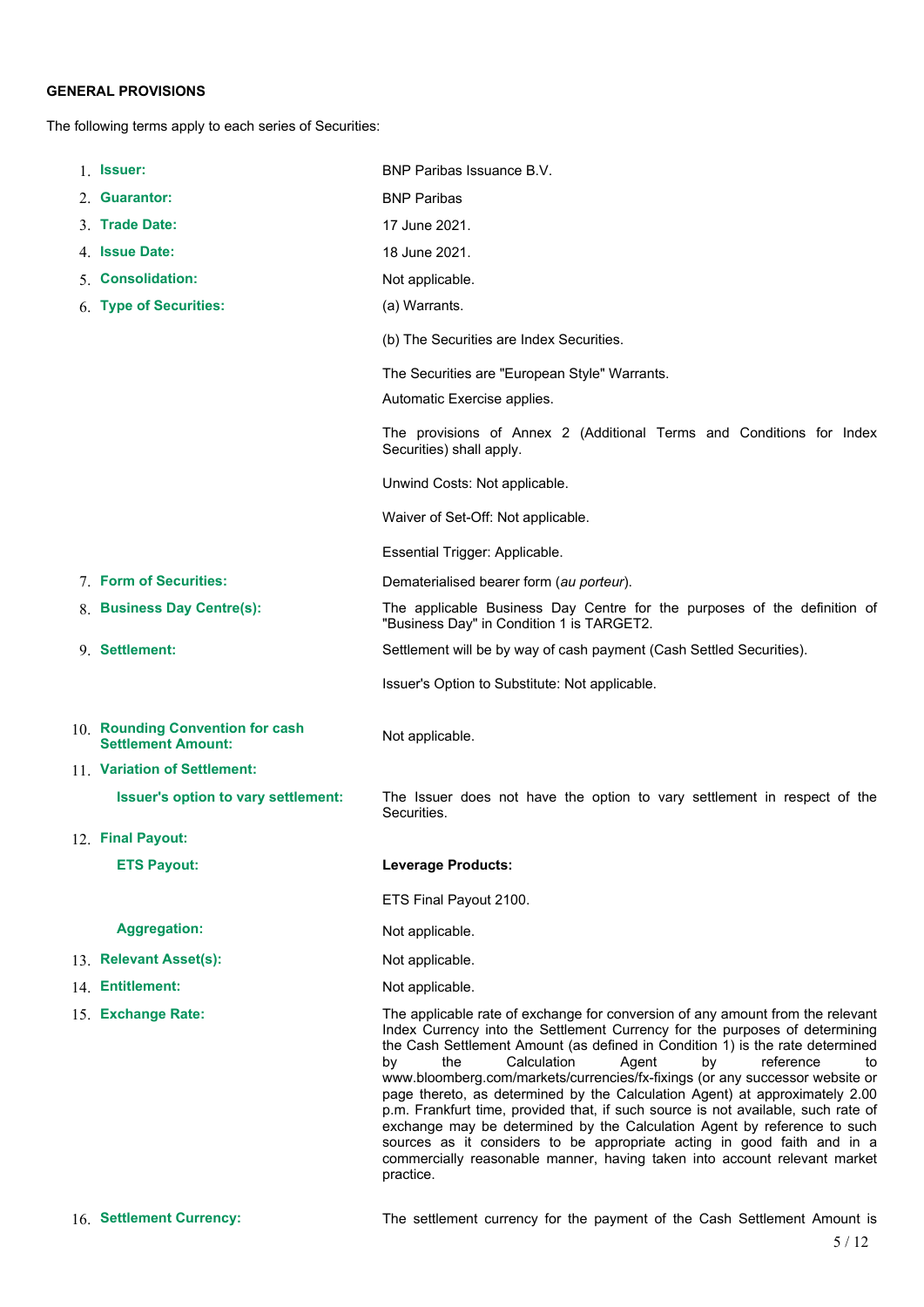### **GENERAL PROVISIONS**

The following terms apply to each series of Securities:

| 1. <b>Issuer:</b>                                             | BNP Paribas Issuance B.V.                                                                                                                                                                                                                                                                                                                                                                                                                                                                                                                                                                                                                                                                                                                                                                                         |
|---------------------------------------------------------------|-------------------------------------------------------------------------------------------------------------------------------------------------------------------------------------------------------------------------------------------------------------------------------------------------------------------------------------------------------------------------------------------------------------------------------------------------------------------------------------------------------------------------------------------------------------------------------------------------------------------------------------------------------------------------------------------------------------------------------------------------------------------------------------------------------------------|
| 2 Guarantor:                                                  | <b>BNP Paribas</b>                                                                                                                                                                                                                                                                                                                                                                                                                                                                                                                                                                                                                                                                                                                                                                                                |
| 3. Trade Date:                                                | 17 June 2021.                                                                                                                                                                                                                                                                                                                                                                                                                                                                                                                                                                                                                                                                                                                                                                                                     |
| 4. Issue Date:                                                | 18 June 2021.                                                                                                                                                                                                                                                                                                                                                                                                                                                                                                                                                                                                                                                                                                                                                                                                     |
| 5. Consolidation:                                             | Not applicable.                                                                                                                                                                                                                                                                                                                                                                                                                                                                                                                                                                                                                                                                                                                                                                                                   |
| 6. Type of Securities:                                        | (a) Warrants.                                                                                                                                                                                                                                                                                                                                                                                                                                                                                                                                                                                                                                                                                                                                                                                                     |
|                                                               | (b) The Securities are Index Securities.                                                                                                                                                                                                                                                                                                                                                                                                                                                                                                                                                                                                                                                                                                                                                                          |
|                                                               | The Securities are "European Style" Warrants.                                                                                                                                                                                                                                                                                                                                                                                                                                                                                                                                                                                                                                                                                                                                                                     |
|                                                               | Automatic Exercise applies.                                                                                                                                                                                                                                                                                                                                                                                                                                                                                                                                                                                                                                                                                                                                                                                       |
|                                                               | The provisions of Annex 2 (Additional Terms and Conditions for Index<br>Securities) shall apply.                                                                                                                                                                                                                                                                                                                                                                                                                                                                                                                                                                                                                                                                                                                  |
|                                                               | Unwind Costs: Not applicable.                                                                                                                                                                                                                                                                                                                                                                                                                                                                                                                                                                                                                                                                                                                                                                                     |
|                                                               | Waiver of Set-Off: Not applicable.                                                                                                                                                                                                                                                                                                                                                                                                                                                                                                                                                                                                                                                                                                                                                                                |
|                                                               | Essential Trigger: Applicable.                                                                                                                                                                                                                                                                                                                                                                                                                                                                                                                                                                                                                                                                                                                                                                                    |
| 7. Form of Securities:                                        | Dematerialised bearer form (au porteur).                                                                                                                                                                                                                                                                                                                                                                                                                                                                                                                                                                                                                                                                                                                                                                          |
| 8. Business Day Centre(s):                                    | The applicable Business Day Centre for the purposes of the definition of<br>"Business Day" in Condition 1 is TARGET2.                                                                                                                                                                                                                                                                                                                                                                                                                                                                                                                                                                                                                                                                                             |
| 9. Settlement:                                                | Settlement will be by way of cash payment (Cash Settled Securities).                                                                                                                                                                                                                                                                                                                                                                                                                                                                                                                                                                                                                                                                                                                                              |
|                                                               | Issuer's Option to Substitute: Not applicable.                                                                                                                                                                                                                                                                                                                                                                                                                                                                                                                                                                                                                                                                                                                                                                    |
| 10. Rounding Convention for cash<br><b>Settlement Amount:</b> | Not applicable.                                                                                                                                                                                                                                                                                                                                                                                                                                                                                                                                                                                                                                                                                                                                                                                                   |
| 11. Variation of Settlement:                                  |                                                                                                                                                                                                                                                                                                                                                                                                                                                                                                                                                                                                                                                                                                                                                                                                                   |
| Issuer's option to vary settlement:                           | The Issuer does not have the option to vary settlement in respect of the<br>Securities.                                                                                                                                                                                                                                                                                                                                                                                                                                                                                                                                                                                                                                                                                                                           |
| 12. Final Payout:                                             |                                                                                                                                                                                                                                                                                                                                                                                                                                                                                                                                                                                                                                                                                                                                                                                                                   |
| <b>ETS Payout:</b>                                            | <b>Leverage Products:</b>                                                                                                                                                                                                                                                                                                                                                                                                                                                                                                                                                                                                                                                                                                                                                                                         |
|                                                               | ETS Final Payout 2100.                                                                                                                                                                                                                                                                                                                                                                                                                                                                                                                                                                                                                                                                                                                                                                                            |
| <b>Aggregation:</b>                                           | Not applicable.                                                                                                                                                                                                                                                                                                                                                                                                                                                                                                                                                                                                                                                                                                                                                                                                   |
| 13. Relevant Asset(s):                                        | Not applicable.                                                                                                                                                                                                                                                                                                                                                                                                                                                                                                                                                                                                                                                                                                                                                                                                   |
| 14. Entitlement:                                              | Not applicable.                                                                                                                                                                                                                                                                                                                                                                                                                                                                                                                                                                                                                                                                                                                                                                                                   |
| 15. Exchange Rate:                                            | The applicable rate of exchange for conversion of any amount from the relevant<br>Index Currency into the Settlement Currency for the purposes of determining<br>the Cash Settlement Amount (as defined in Condition 1) is the rate determined<br>the<br>Calculation<br>reference<br>Agent<br>by<br>by<br>to<br>www.bloomberg.com/markets/currencies/fx-fixings (or any successor website or<br>page thereto, as determined by the Calculation Agent) at approximately 2.00<br>p.m. Frankfurt time, provided that, if such source is not available, such rate of<br>exchange may be determined by the Calculation Agent by reference to such<br>sources as it considers to be appropriate acting in good faith and in a<br>commercially reasonable manner, having taken into account relevant market<br>practice. |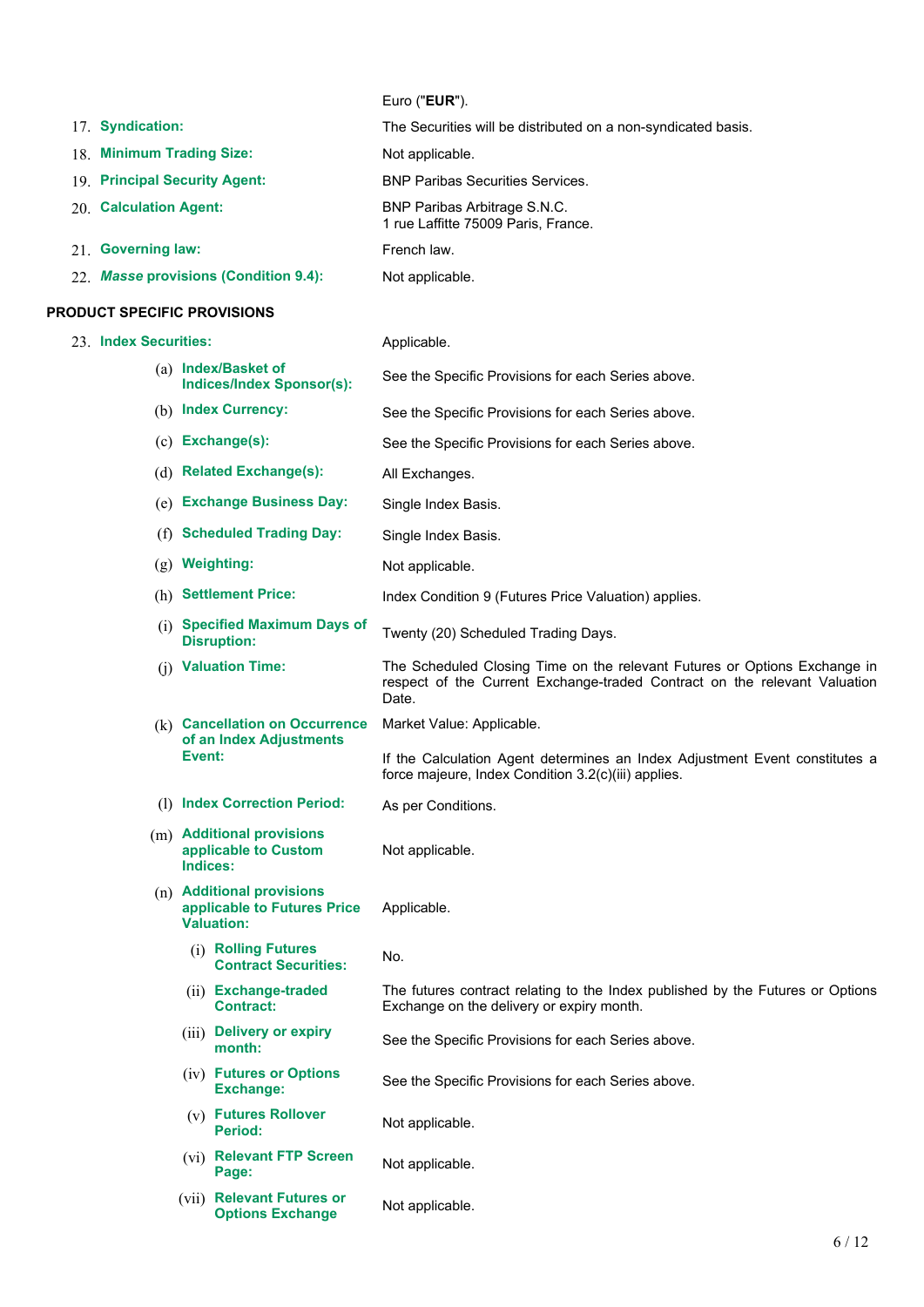|  | Euro (" <b>EUR</b> "). |  |
|--|------------------------|--|
|--|------------------------|--|

1 rue Laffitte 75009 Paris, France.

- 17. **Syndication:** The Securities will be distributed on a non-syndicated basis.
- 18. **Minimum Trading Size:** Not applicable.
- 19. **Principal Security Agent:** BNP Paribas Securities Services.
- 20. **Calculation Agent:** BNP Paribas Arbitrage S.N.C.
- 21. **Governing law:** French law.
- 22. *Masse* **provisions (Condition 9.4):** Not applicable.

### **PRODUCT SPECIFIC PROVISIONS**

- 
- 23. **Index Securities:** Applicable. (a) **Index/Basket of** See the Specific Provisions for each Series above. (b) **Index Currency:** See the Specific Provisions for each Series above. (c) **Exchange(s):** See the Specific Provisions for each Series above. (d) **Related Exchange(s):** All Exchanges. (e) **Exchange Business Day:** Single Index Basis. (f) **Scheduled Trading Day:** Single Index Basis. (g) **Weighting:** Not applicable. (h) **Settlement Price:** Index Condition 9 (Futures Price Valuation) applies. (i) **Specified Maximum Days of** Twenty (20) Scheduled Trading Days. (j) **Valuation Time:** The Scheduled Closing Time on the relevant Futures or Options Exchange in respect of the Current Exchange-traded Contract on the relevant Valuation Date. (k) **Cancellation on Occurrence of an Index Adjustments Event:** Market Value: Applicable. If the Calculation Agent determines an Index Adjustment Event constitutes a force majeure, Index Condition 3.2(c)(iii) applies. (l) **Index Correction Period:** As per Conditions. (m) **Additional provisions applicable to Custom Indices:** Not applicable. (n) **Additional provisions applicable to Futures Price Valuation:** Applicable. (i) **Rolling Futures Contract Securities:** No. (ii) **Exchange-traded Contract:** The futures contract relating to the Index published by the Futures or Options Exchange on the delivery or expiry month. (iii) **Delivery or expiry belivery of expiry**<br>See the Specific Provisions for each Series above.<br>month: (iv) **Futures or Options** See the Specific Provisions for each Series above. (v) **Futures Rollover** Not applicable. (vi) **Relevant FTP Screen Page:** Not applicable.
	- (vii) **Relevant Futures or Options Exchange** Not applicable.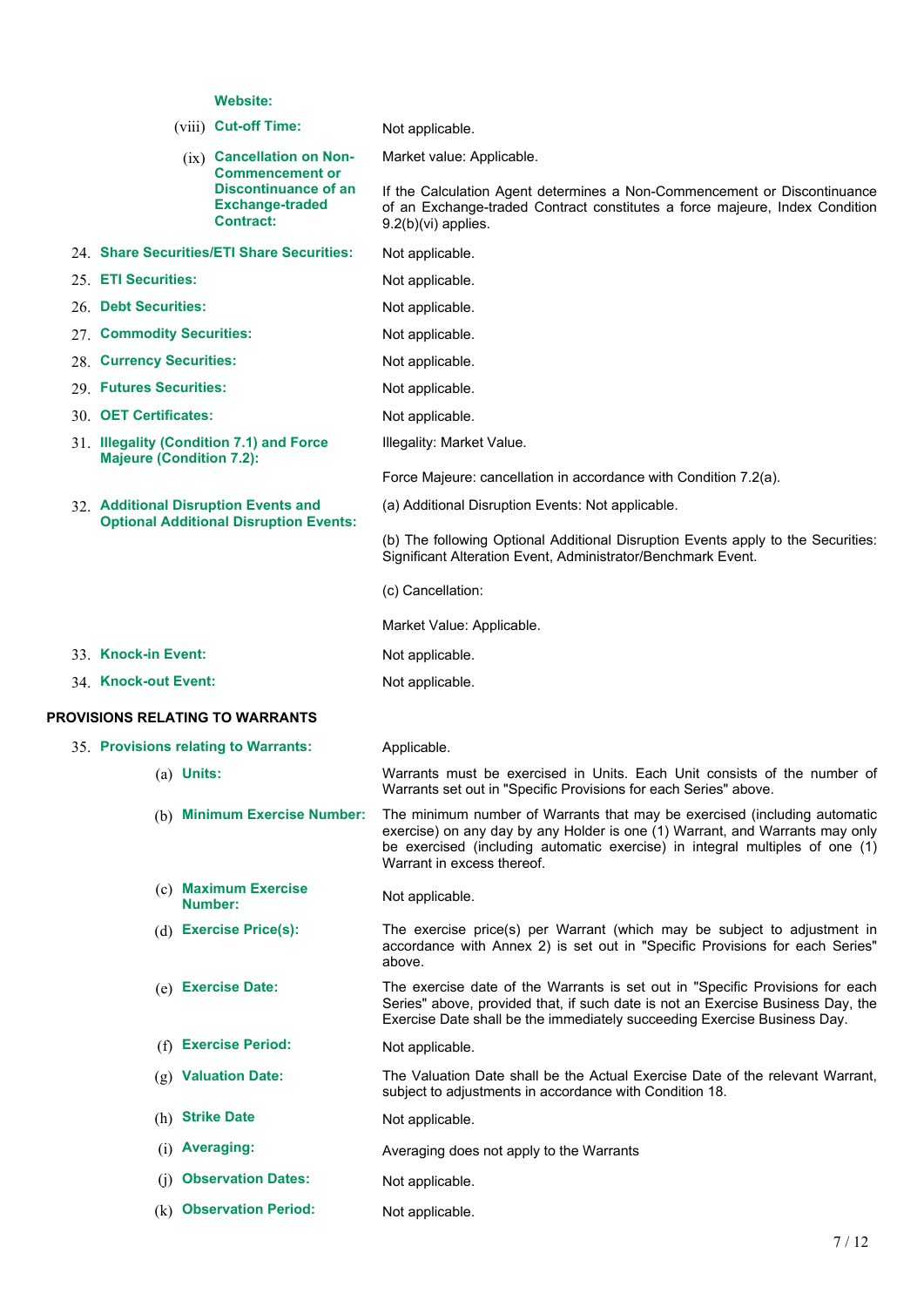# **Website:**

|                                               | <b>website:</b>                                                                                                                    |                                                                                                                                                                                                                                                                         |  |  |  |
|-----------------------------------------------|------------------------------------------------------------------------------------------------------------------------------------|-------------------------------------------------------------------------------------------------------------------------------------------------------------------------------------------------------------------------------------------------------------------------|--|--|--|
|                                               | (viii) Cut-off Time:                                                                                                               | Not applicable.                                                                                                                                                                                                                                                         |  |  |  |
|                                               | $(ix)$ Cancellation on Non-<br><b>Commencement or</b><br><b>Discontinuance of an</b><br><b>Exchange-traded</b><br><b>Contract:</b> | Market value: Applicable.<br>If the Calculation Agent determines a Non-Commencement or Discontinuance<br>of an Exchange-traded Contract constitutes a force majeure, Index Condition<br>$9.2(b)(vi)$ applies.                                                           |  |  |  |
|                                               | 24. Share Securities/ETI Share Securities:                                                                                         | Not applicable.                                                                                                                                                                                                                                                         |  |  |  |
| 25. ETI Securities:                           |                                                                                                                                    | Not applicable.                                                                                                                                                                                                                                                         |  |  |  |
| 26. Debt Securities:                          |                                                                                                                                    | Not applicable.                                                                                                                                                                                                                                                         |  |  |  |
| 27. Commodity Securities:                     |                                                                                                                                    | Not applicable.                                                                                                                                                                                                                                                         |  |  |  |
| 28. Currency Securities:                      |                                                                                                                                    | Not applicable.                                                                                                                                                                                                                                                         |  |  |  |
| 29. Futures Securities:                       |                                                                                                                                    | Not applicable.                                                                                                                                                                                                                                                         |  |  |  |
| 30. OET Certificates:                         |                                                                                                                                    | Not applicable.                                                                                                                                                                                                                                                         |  |  |  |
| <b>Majeure (Condition 7.2):</b>               | 31. Illegality (Condition 7.1) and Force                                                                                           | Illegality: Market Value.                                                                                                                                                                                                                                               |  |  |  |
|                                               |                                                                                                                                    | Force Majeure: cancellation in accordance with Condition 7.2(a).                                                                                                                                                                                                        |  |  |  |
|                                               | 32. Additional Disruption Events and                                                                                               | (a) Additional Disruption Events: Not applicable.                                                                                                                                                                                                                       |  |  |  |
| <b>Optional Additional Disruption Events:</b> |                                                                                                                                    | (b) The following Optional Additional Disruption Events apply to the Securities:<br>Significant Alteration Event, Administrator/Benchmark Event.                                                                                                                        |  |  |  |
|                                               |                                                                                                                                    | (c) Cancellation:                                                                                                                                                                                                                                                       |  |  |  |
|                                               |                                                                                                                                    | Market Value: Applicable.                                                                                                                                                                                                                                               |  |  |  |
| 33. Knock-in Event:                           |                                                                                                                                    | Not applicable.                                                                                                                                                                                                                                                         |  |  |  |
| 34. Knock-out Event:                          |                                                                                                                                    | Not applicable.                                                                                                                                                                                                                                                         |  |  |  |
| <b>PROVISIONS RELATING TO WARRANTS</b>        |                                                                                                                                    |                                                                                                                                                                                                                                                                         |  |  |  |
| 35. Provisions relating to Warrants:          |                                                                                                                                    | Applicable.                                                                                                                                                                                                                                                             |  |  |  |
| $(a)$ Units:                                  |                                                                                                                                    | Warrants must be exercised in Units. Each Unit consists of the number of<br>Warrants set out in "Specific Provisions for each Series" above.                                                                                                                            |  |  |  |
|                                               | (b) Minimum Exercise Number:                                                                                                       | The minimum number of Warrants that may be exercised (including automatic<br>exercise) on any day by any Holder is one (1) Warrant, and Warrants may only<br>be exercised (including automatic exercise) in integral multiples of one (1)<br>Warrant in excess thereof. |  |  |  |
|                                               | (c) Maximum Exercise<br>Number:                                                                                                    | Not applicable.                                                                                                                                                                                                                                                         |  |  |  |
|                                               | (d) Exercise Price(s):                                                                                                             | The exercise price(s) per Warrant (which may be subject to adjustment in<br>accordance with Annex 2) is set out in "Specific Provisions for each Series"<br>above.                                                                                                      |  |  |  |
|                                               |                                                                                                                                    | The exercise date of the Warrants is set out in "Specific Provisions for each                                                                                                                                                                                           |  |  |  |
|                                               | (e) Exercise Date:                                                                                                                 | Series" above, provided that, if such date is not an Exercise Business Day, the<br>Exercise Date shall be the immediately succeeding Exercise Business Day.                                                                                                             |  |  |  |
| (f)                                           | <b>Exercise Period:</b>                                                                                                            | Not applicable.                                                                                                                                                                                                                                                         |  |  |  |
|                                               | (g) Valuation Date:                                                                                                                | The Valuation Date shall be the Actual Exercise Date of the relevant Warrant,<br>subject to adjustments in accordance with Condition 18.                                                                                                                                |  |  |  |
| (h) Strike Date                               |                                                                                                                                    | Not applicable.                                                                                                                                                                                                                                                         |  |  |  |
| (i) Averaging:                                |                                                                                                                                    | Averaging does not apply to the Warrants                                                                                                                                                                                                                                |  |  |  |

(k) **Observation Period:** Not applicable.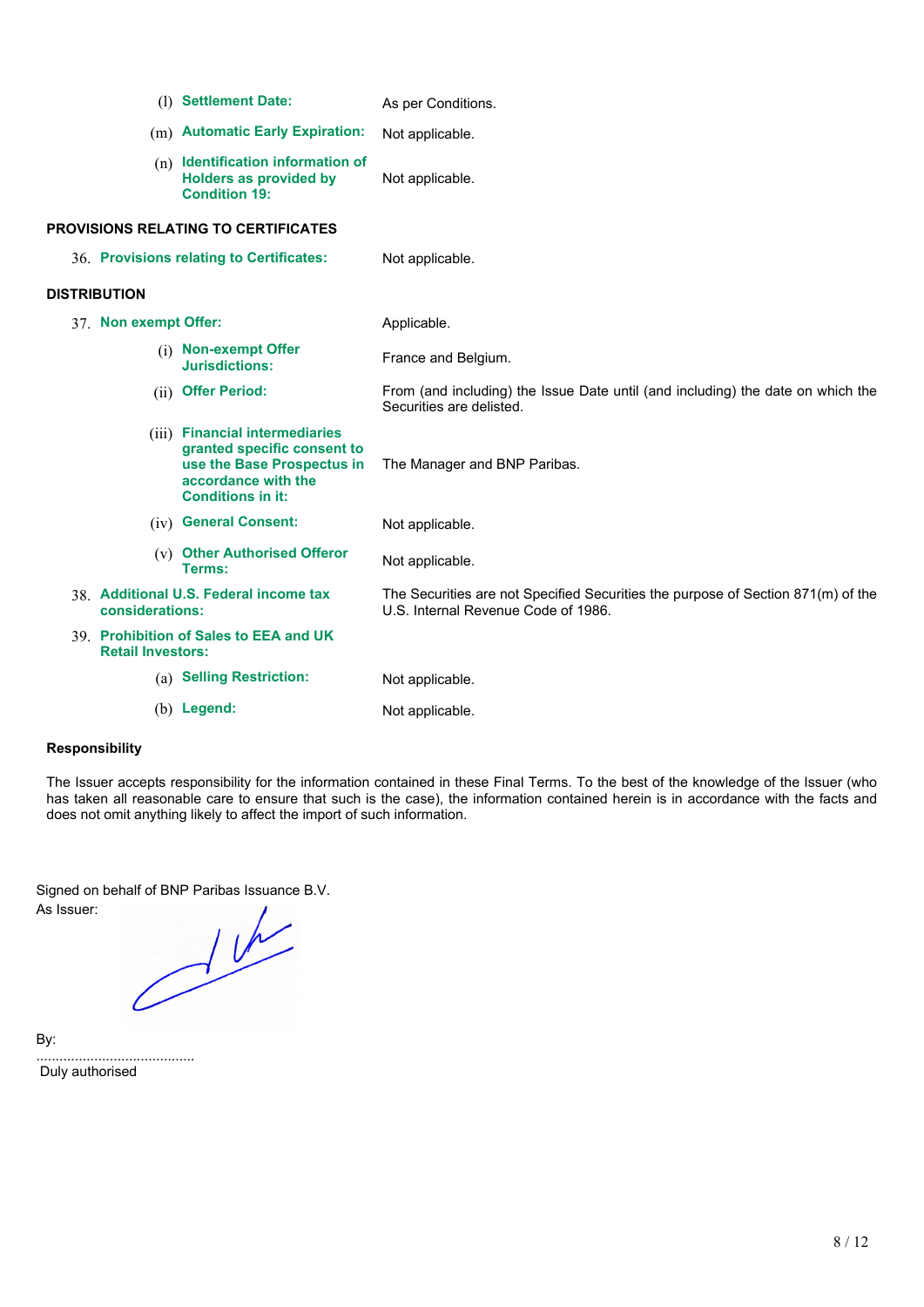|                          | (1) Settlement Date:                                                                                                                           | As per Conditions.                                                                                                      |
|--------------------------|------------------------------------------------------------------------------------------------------------------------------------------------|-------------------------------------------------------------------------------------------------------------------------|
|                          | (m) Automatic Early Expiration:                                                                                                                | Not applicable.                                                                                                         |
|                          | $(n)$ Identification information of<br><b>Holders as provided by</b><br><b>Condition 19:</b>                                                   | Not applicable.                                                                                                         |
|                          | <b>PROVISIONS RELATING TO CERTIFICATES</b>                                                                                                     |                                                                                                                         |
|                          | 36. Provisions relating to Certificates:                                                                                                       | Not applicable.                                                                                                         |
| <b>DISTRIBUTION</b>      |                                                                                                                                                |                                                                                                                         |
| 37. Non exempt Offer:    |                                                                                                                                                | Applicable.                                                                                                             |
|                          | (i) Non-exempt Offer<br>Jurisdictions:                                                                                                         | France and Belgium.                                                                                                     |
|                          | (ii) Offer Period:                                                                                                                             | From (and including) the Issue Date until (and including) the date on which the<br>Securities are delisted.             |
|                          | (iii) Financial intermediaries<br>granted specific consent to<br>use the Base Prospectus in<br>accordance with the<br><b>Conditions in it:</b> | The Manager and BNP Paribas.                                                                                            |
|                          | (iv) General Consent:                                                                                                                          | Not applicable.                                                                                                         |
|                          | (v) Other Authorised Offeror<br>Terms:                                                                                                         | Not applicable.                                                                                                         |
| considerations:          | 38. Additional U.S. Federal income tax                                                                                                         | The Securities are not Specified Securities the purpose of Section 871(m) of the<br>U.S. Internal Revenue Code of 1986. |
| <b>Retail Investors:</b> | 39. Prohibition of Sales to EEA and UK                                                                                                         |                                                                                                                         |
|                          | (a) Selling Restriction:                                                                                                                       | Not applicable.                                                                                                         |
|                          | $(b)$ Legend:                                                                                                                                  | Not applicable.                                                                                                         |

### **Responsibility**

The Issuer accepts responsibility for the information contained in these Final Terms. To the best of the knowledge of the Issuer (who has taken all reasonable care to ensure that such is the case), the information contained herein is in accordance with the facts and does not omit anything likely to affect the import of such information.

As Issuer:

Signed on behalf of BNP Paribas Issuance B.V.<br>As Issuer:

By:

......................................... Duly authorised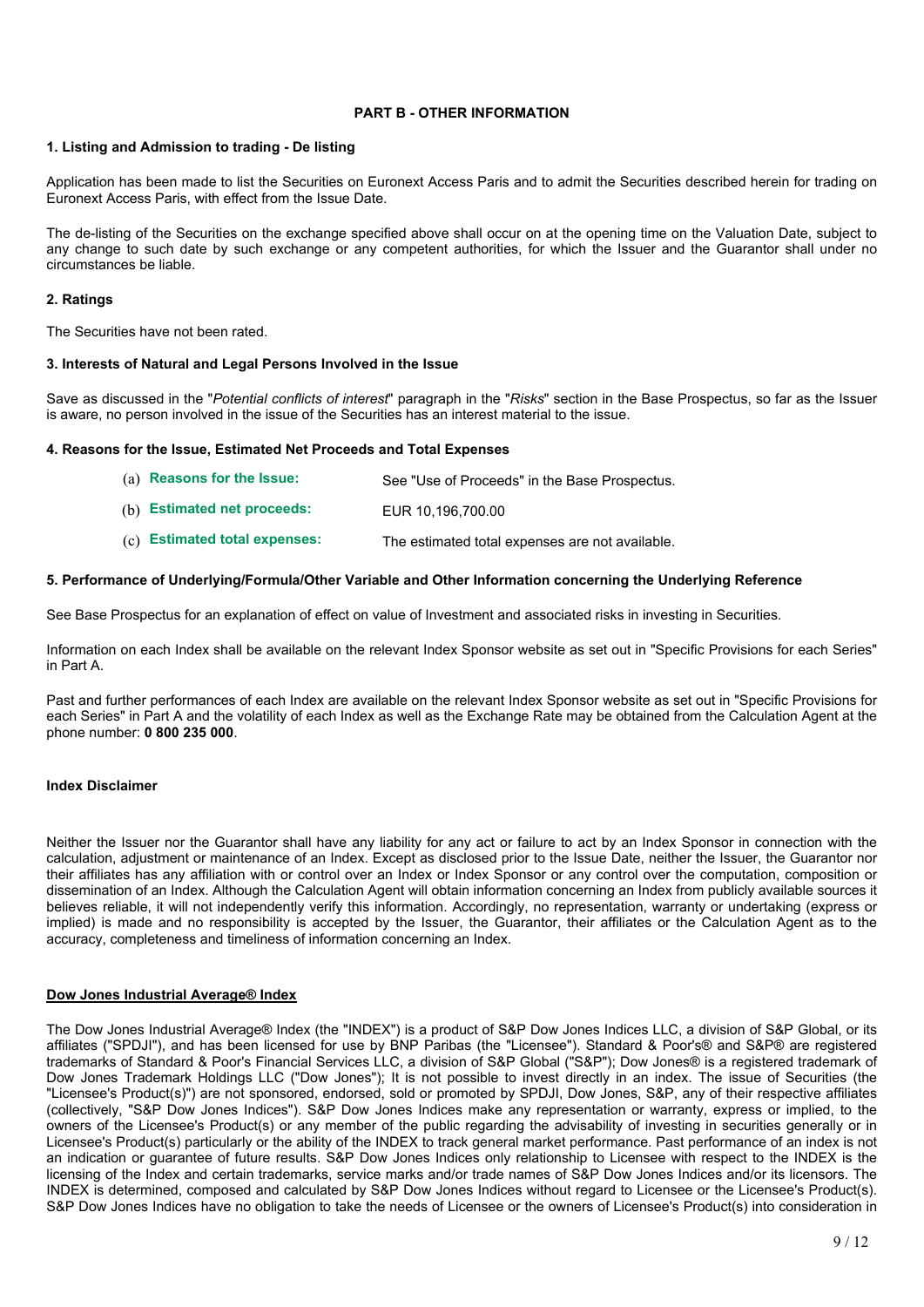### **PART B - OTHER INFORMATION**

### **1. Listing and Admission to trading - De listing**

Application has been made to list the Securities on Euronext Access Paris and to admit the Securities described herein for trading on Euronext Access Paris, with effect from the Issue Date.

The de-listing of the Securities on the exchange specified above shall occur on at the opening time on the Valuation Date, subject to any change to such date by such exchange or any competent authorities, for which the Issuer and the Guarantor shall under no circumstances be liable.

### **2. Ratings**

The Securities have not been rated.

### **3. Interests of Natural and Legal Persons Involved in the Issue**

Save as discussed in the "*Potential conflicts of interest*" paragraph in the "*Risks*" section in the Base Prospectus, so far as the Issuer is aware, no person involved in the issue of the Securities has an interest material to the issue.

### **4. Reasons for the Issue, Estimated Net Proceeds and Total Expenses**

| (a) Reasons for the Issue:    | See "Use of Proceeds" in the Base Prospectus.   |
|-------------------------------|-------------------------------------------------|
| (b) Estimated net proceeds:   | EUR 10.196.700.00                               |
| (c) Estimated total expenses: | The estimated total expenses are not available. |

### **5. Performance of Underlying/Formula/Other Variable and Other Information concerning the Underlying Reference**

See Base Prospectus for an explanation of effect on value of Investment and associated risks in investing in Securities.

Information on each Index shall be available on the relevant Index Sponsor website as set out in "Specific Provisions for each Series" in Part A.

Past and further performances of each Index are available on the relevant Index Sponsor website as set out in "Specific Provisions for each Series" in Part A and the volatility of each Index as well as the Exchange Rate may be obtained from the Calculation Agent at the phone number: **0 800 235 000**.

### **Index Disclaimer**

Neither the Issuer nor the Guarantor shall have any liability for any act or failure to act by an Index Sponsor in connection with the calculation, adjustment or maintenance of an Index. Except as disclosed prior to the Issue Date, neither the Issuer, the Guarantor nor their affiliates has any affiliation with or control over an Index or Index Sponsor or any control over the computation, composition or dissemination of an Index. Although the Calculation Agent will obtain information concerning an Index from publicly available sources it believes reliable, it will not independently verify this information. Accordingly, no representation, warranty or undertaking (express or implied) is made and no responsibility is accepted by the Issuer, the Guarantor, their affiliates or the Calculation Agent as to the accuracy, completeness and timeliness of information concerning an Index.

### **Dow Jones Industrial Average® Index**

The Dow Jones Industrial Average® Index (the "INDEX") is a product of S&P Dow Jones Indices LLC, a division of S&P Global, or its affiliates ("SPDJI"), and has been licensed for use by BNP Paribas (the "Licensee"). Standard & Poor's® and S&P® are registered trademarks of Standard & Poor's Financial Services LLC, a division of S&P Global ("S&P"); Dow Jones® is a registered trademark of Dow Jones Trademark Holdings LLC ("Dow Jones"); It is not possible to invest directly in an index. The issue of Securities (the "Licensee's Product(s)") are not sponsored, endorsed, sold or promoted by SPDJI, Dow Jones, S&P, any of their respective affiliates (collectively, "S&P Dow Jones Indices"). S&P Dow Jones Indices make any representation or warranty, express or implied, to the owners of the Licensee's Product(s) or any member of the public regarding the advisability of investing in securities generally or in Licensee's Product(s) particularly or the ability of the INDEX to track general market performance. Past performance of an index is not an indication or guarantee of future results. S&P Dow Jones Indices only relationship to Licensee with respect to the INDEX is the licensing of the Index and certain trademarks, service marks and/or trade names of S&P Dow Jones Indices and/or its licensors. The INDEX is determined, composed and calculated by S&P Dow Jones Indices without regard to Licensee or the Licensee's Product(s). S&P Dow Jones Indices have no obligation to take the needs of Licensee or the owners of Licensee's Product(s) into consideration in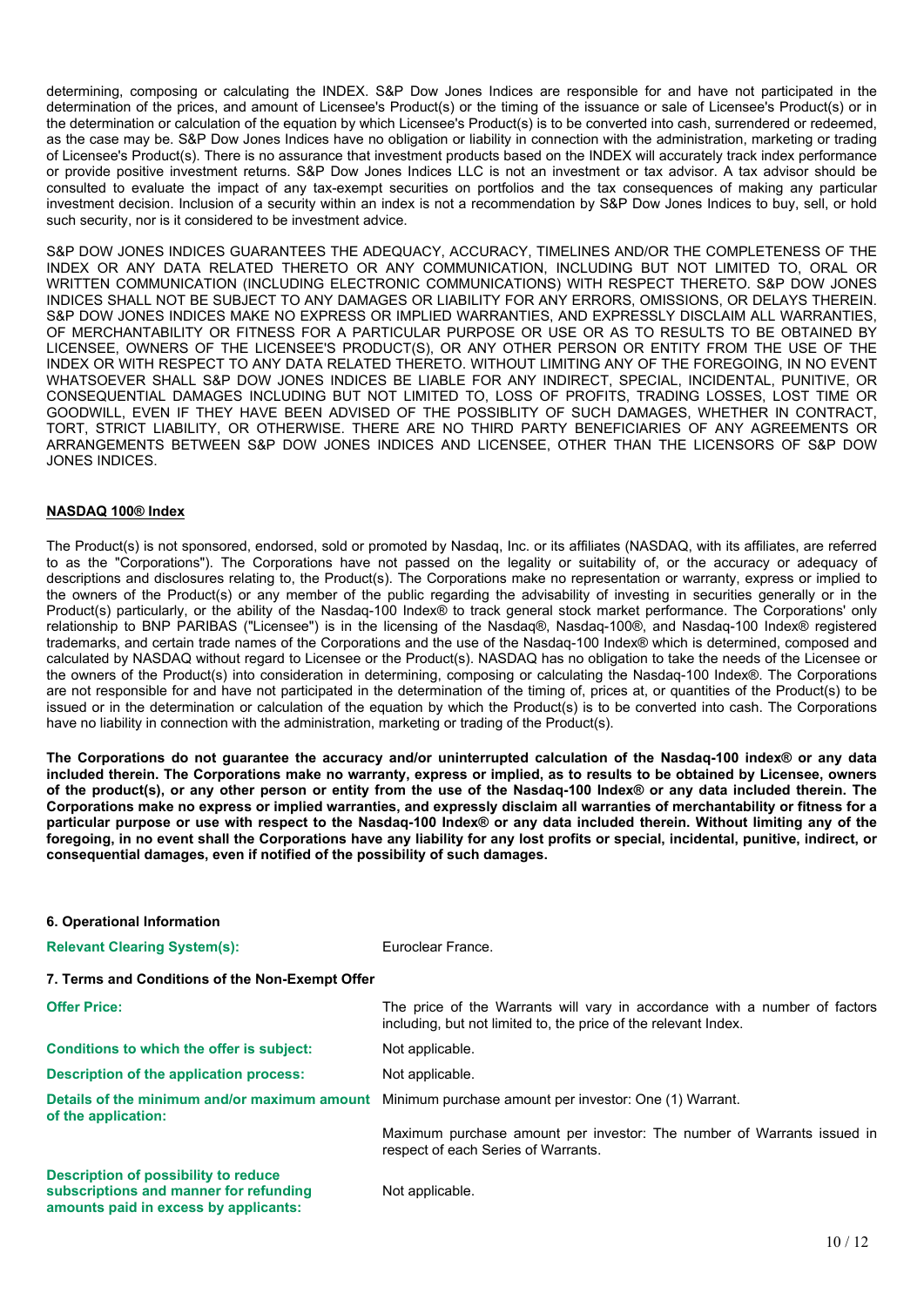determining, composing or calculating the INDEX. S&P Dow Jones Indices are responsible for and have not participated in the determination of the prices, and amount of Licensee's Product(s) or the timing of the issuance or sale of Licensee's Product(s) or in the determination or calculation of the equation by which Licensee's Product(s) is to be converted into cash, surrendered or redeemed, as the case may be. S&P Dow Jones Indices have no obligation or liability in connection with the administration, marketing or trading of Licensee's Product(s). There is no assurance that investment products based on the INDEX will accurately track index performance or provide positive investment returns. S&P Dow Jones Indices LLC is not an investment or tax advisor. A tax advisor should be consulted to evaluate the impact of any tax-exempt securities on portfolios and the tax consequences of making any particular investment decision. Inclusion of a security within an index is not a recommendation by S&P Dow Jones Indices to buy, sell, or hold such security, nor is it considered to be investment advice.

S&P DOW JONES INDICES GUARANTEES THE ADEQUACY, ACCURACY, TIMELINES AND/OR THE COMPLETENESS OF THE INDEX OR ANY DATA RELATED THERETO OR ANY COMMUNICATION, INCLUDING BUT NOT LIMITED TO, ORAL OR WRITTEN COMMUNICATION (INCLUDING ELECTRONIC COMMUNICATIONS) WITH RESPECT THERETO. S&P DOW JONES INDICES SHALL NOT BE SUBJECT TO ANY DAMAGES OR LIABILITY FOR ANY ERRORS, OMISSIONS, OR DELAYS THEREIN. S&P DOW JONES INDICES MAKE NO EXPRESS OR IMPLIED WARRANTIES, AND EXPRESSLY DISCLAIM ALL WARRANTIES, OF MERCHANTABILITY OR FITNESS FOR A PARTICULAR PURPOSE OR USE OR AS TO RESULTS TO BE OBTAINED BY LICENSEE, OWNERS OF THE LICENSEE'S PRODUCT(S), OR ANY OTHER PERSON OR ENTITY FROM THE USE OF THE INDEX OR WITH RESPECT TO ANY DATA RELATED THERETO. WITHOUT LIMITING ANY OF THE FOREGOING, IN NO EVENT WHATSOEVER SHALL S&P DOW JONES INDICES BE LIABLE FOR ANY INDIRECT, SPECIAL, INCIDENTAL, PUNITIVE, OR CONSEQUENTIAL DAMAGES INCLUDING BUT NOT LIMITED TO, LOSS OF PROFITS, TRADING LOSSES, LOST TIME OR GOODWILL, EVEN IF THEY HAVE BEEN ADVISED OF THE POSSIBLITY OF SUCH DAMAGES, WHETHER IN CONTRACT, TORT, STRICT LIABILITY, OR OTHERWISE. THERE ARE NO THIRD PARTY BENEFICIARIES OF ANY AGREEMENTS OR ARRANGEMENTS BETWEEN S&P DOW JONES INDICES AND LICENSEE, OTHER THAN THE LICENSORS OF S&P DOW JONES INDICES.

### **NASDAQ 100® Index**

The Product(s) is not sponsored, endorsed, sold or promoted by Nasdaq, Inc. or its affiliates (NASDAQ, with its affiliates, are referred to as the "Corporations"). The Corporations have not passed on the legality or suitability of, or the accuracy or adequacy of descriptions and disclosures relating to, the Product(s). The Corporations make no representation or warranty, express or implied to the owners of the Product(s) or any member of the public regarding the advisability of investing in securities generally or in the Product(s) particularly, or the ability of the Nasdaq-100 Index® to track general stock market performance. The Corporations' only relationship to BNP PARIBAS ("Licensee") is in the licensing of the Nasdaq®, Nasdaq-100®, and Nasdaq-100 Index® registered trademarks, and certain trade names of the Corporations and the use of the Nasdaq-100 Index® which is determined, composed and calculated by NASDAQ without regard to Licensee or the Product(s). NASDAQ has no obligation to take the needs of the Licensee or the owners of the Product(s) into consideration in determining, composing or calculating the Nasdaq-100 Index®. The Corporations are not responsible for and have not participated in the determination of the timing of, prices at, or quantities of the Product(s) to be issued or in the determination or calculation of the equation by which the Product(s) is to be converted into cash. The Corporations have no liability in connection with the administration, marketing or trading of the Product(s).

The Corporations do not quarantee the accuracy and/or uninterrupted calculation of the Nasdag-100 index® or any data included therein. The Corporations make no warranty, express or implied, as to results to be obtained by Licensee, owners of the product(s), or any other person or entity from the use of the Nasdaq-100 Index® or any data included therein. The Corporations make no express or implied warranties, and expressly disclaim all warranties of merchantability or fitness for a particular purpose or use with respect to the Nasdaq-100 Index® or any data included therein. Without limiting any of the foregoing, in no event shall the Corporations have any liability for any lost profits or special, incidental, punitive, indirect, or **consequential damages, even if notified of the possibility of such damages.**

| 6. Operational Information                                                                                                     |                                                                                                                                               |
|--------------------------------------------------------------------------------------------------------------------------------|-----------------------------------------------------------------------------------------------------------------------------------------------|
| <b>Relevant Clearing System(s):</b>                                                                                            | Euroclear France.                                                                                                                             |
| 7. Terms and Conditions of the Non-Exempt Offer                                                                                |                                                                                                                                               |
| <b>Offer Price:</b>                                                                                                            | The price of the Warrants will vary in accordance with a number of factors<br>including, but not limited to, the price of the relevant Index. |
| Conditions to which the offer is subject:                                                                                      | Not applicable.                                                                                                                               |
| <b>Description of the application process:</b>                                                                                 | Not applicable.                                                                                                                               |
| of the application:                                                                                                            | Details of the minimum and/or maximum amount Minimum purchase amount per investor: One (1) Warrant.                                           |
|                                                                                                                                | Maximum purchase amount per investor: The number of Warrants issued in<br>respect of each Series of Warrants.                                 |
| <b>Description of possibility to reduce</b><br>subscriptions and manner for refunding<br>amounts paid in excess by applicants: | Not applicable.                                                                                                                               |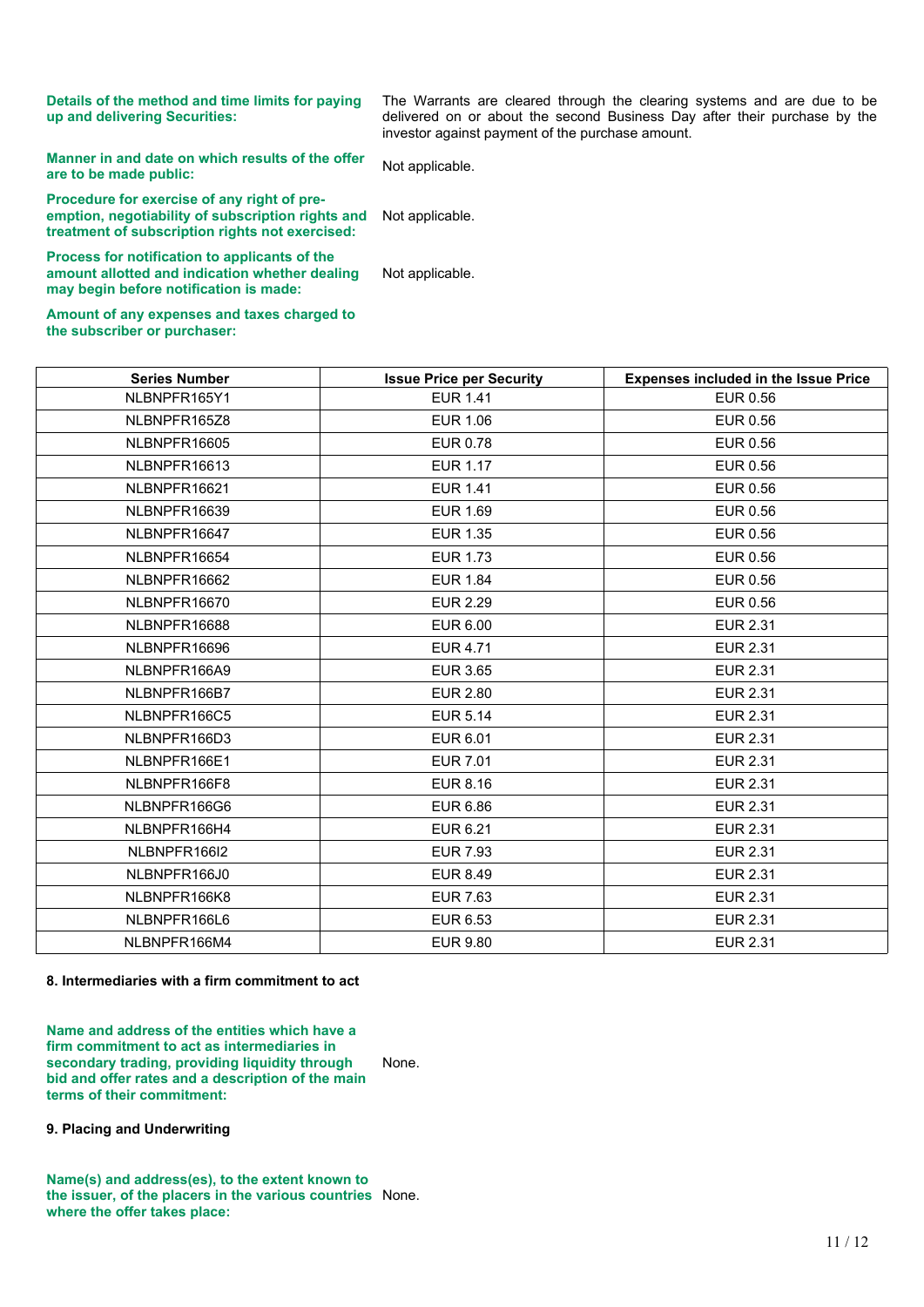**Details of the method and time limits for paying up and delivering Securities:**

The Warrants are cleared through the clearing systems and are due to be delivered on or about the second Business Day after their purchase by the investor against payment of the purchase amount.

**Manner in and date on which results of the offer areable in and date on which results of the offer Not applicable.<br><b>are** to be made public:

**Procedure for exercise of any right of preemption, negotiability of subscription rights and treatment of subscription rights not exercised:** Not applicable.

**Process for notification to applicants of the amount allotted and indication whether dealing may begin before notification is made:**

Not applicable.

**Amount of any expenses and taxes charged to the subscriber or purchaser:**

| <b>Series Number</b> | <b>Issue Price per Security</b> | <b>Expenses included in the Issue Price</b> |
|----------------------|---------------------------------|---------------------------------------------|
| NLBNPFR165Y1         | <b>EUR 1.41</b>                 | <b>EUR 0.56</b>                             |
| NLBNPFR165Z8         | <b>EUR 1.06</b>                 | <b>EUR 0.56</b>                             |
| NLBNPFR16605         | <b>EUR 0.78</b>                 | <b>EUR 0.56</b>                             |
| NLBNPFR16613         | <b>EUR 1.17</b>                 | EUR 0.56                                    |
| NLBNPFR16621         | <b>EUR 1.41</b>                 | EUR 0.56                                    |
| NLBNPFR16639         | <b>EUR 1.69</b>                 | EUR 0.56                                    |
| NLBNPFR16647         | <b>EUR 1.35</b>                 | <b>EUR 0.56</b>                             |
| NLBNPFR16654         | <b>EUR 1.73</b>                 | <b>EUR 0.56</b>                             |
| NLBNPFR16662         | <b>EUR 1.84</b>                 | <b>EUR 0.56</b>                             |
| NLBNPFR16670         | <b>EUR 2.29</b>                 | <b>EUR 0.56</b>                             |
| NLBNPFR16688         | <b>EUR 6.00</b>                 | <b>EUR 2.31</b>                             |
| NLBNPFR16696         | <b>EUR 4.71</b>                 | <b>EUR 2.31</b>                             |
| NLBNPFR166A9         | <b>EUR 3.65</b>                 | <b>EUR 2.31</b>                             |
| NLBNPFR166B7         | <b>EUR 2.80</b>                 | <b>EUR 2.31</b>                             |
| NLBNPFR166C5         | <b>EUR 5.14</b>                 | <b>EUR 2.31</b>                             |
| NLBNPFR166D3         | <b>EUR 6.01</b>                 | <b>EUR 2.31</b>                             |
| NLBNPFR166E1         | <b>EUR 7.01</b>                 | <b>EUR 2.31</b>                             |
| NLBNPFR166F8         | <b>EUR 8.16</b>                 | <b>EUR 2.31</b>                             |
| NLBNPFR166G6         | <b>EUR 6.86</b>                 | <b>EUR 2.31</b>                             |
| NLBNPFR166H4         | <b>EUR 6.21</b>                 | <b>EUR 2.31</b>                             |
| NLBNPFR166I2         | <b>EUR 7.93</b>                 | <b>EUR 2.31</b>                             |
| NLBNPFR166J0         | <b>EUR 8.49</b>                 | <b>EUR 2.31</b>                             |
| NLBNPFR166K8         | <b>EUR 7.63</b>                 | <b>EUR 2.31</b>                             |
| NLBNPFR166L6         | EUR 6.53                        | <b>EUR 2.31</b>                             |
| NLBNPFR166M4         | <b>EUR 9.80</b>                 | <b>EUR 2.31</b>                             |

### **8. Intermediaries with a firm commitment to act**

**Name and address of the entities which have a firm commitment to act as intermediaries in secondary trading, providing liquidity through bid and offer rates and a description of the main terms of their commitment:** None.

### **9. Placing and Underwriting**

**Name(s) and address(es), to the extent known to the issuer, of the placers in the various countries** None.**where the offer takes place:**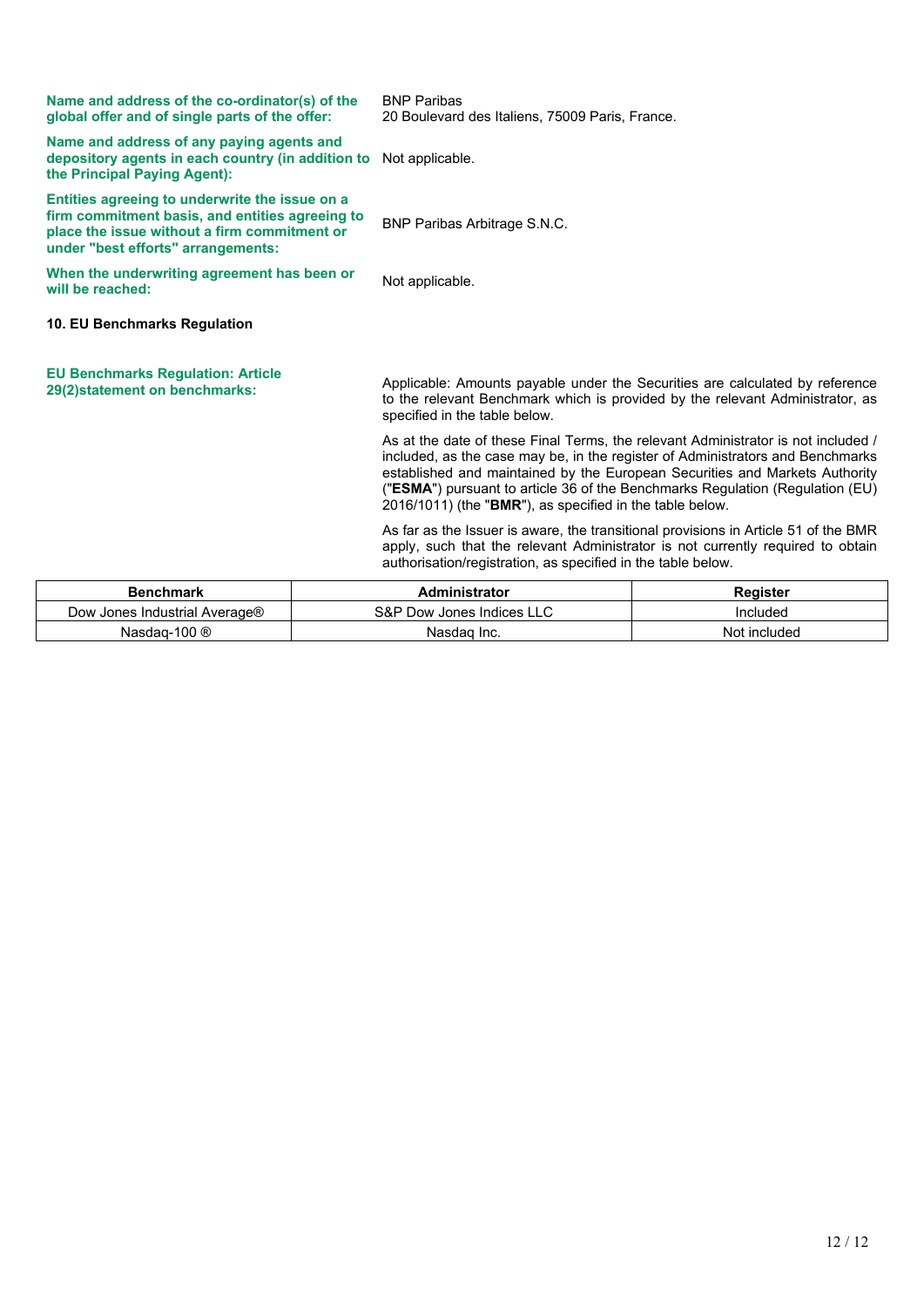| <b>Benchmark</b>                                                                                                                                                                        |  | <b>Administrator</b>                                                                                                                                                                                                                                                                                                                                                                            | Register |
|-----------------------------------------------------------------------------------------------------------------------------------------------------------------------------------------|--|-------------------------------------------------------------------------------------------------------------------------------------------------------------------------------------------------------------------------------------------------------------------------------------------------------------------------------------------------------------------------------------------------|----------|
|                                                                                                                                                                                         |  | As far as the Issuer is aware, the transitional provisions in Article 51 of the BMR<br>apply, such that the relevant Administrator is not currently required to obtain<br>authorisation/registration, as specified in the table below.                                                                                                                                                          |          |
|                                                                                                                                                                                         |  | As at the date of these Final Terms, the relevant Administrator is not included /<br>included, as the case may be, in the register of Administrators and Benchmarks<br>established and maintained by the European Securities and Markets Authority<br>("ESMA") pursuant to article 36 of the Benchmarks Regulation (Regulation (EU)<br>2016/1011) (the "BMR"), as specified in the table below. |          |
| <b>EU Benchmarks Regulation: Article</b><br>29(2)statement on benchmarks:                                                                                                               |  | Applicable: Amounts payable under the Securities are calculated by reference<br>to the relevant Benchmark which is provided by the relevant Administrator, as<br>specified in the table below.                                                                                                                                                                                                  |          |
| 10. EU Benchmarks Regulation                                                                                                                                                            |  |                                                                                                                                                                                                                                                                                                                                                                                                 |          |
| When the underwriting agreement has been or<br>will be reached:                                                                                                                         |  | Not applicable.                                                                                                                                                                                                                                                                                                                                                                                 |          |
| Entities agreeing to underwrite the issue on a<br>firm commitment basis, and entities agreeing to<br>place the issue without a firm commitment or<br>under "best efforts" arrangements: |  | BNP Paribas Arbitrage S.N.C.                                                                                                                                                                                                                                                                                                                                                                    |          |
| Name and address of any paying agents and<br>depository agents in each country (in addition to<br>the Principal Paying Agent):                                                          |  | Not applicable.                                                                                                                                                                                                                                                                                                                                                                                 |          |
| Name and address of the co-ordinator(s) of the<br>global offer and of single parts of the offer:                                                                                        |  | <b>BNP Paribas</b><br>20 Boulevard des Italiens, 75009 Paris, France.                                                                                                                                                                                                                                                                                                                           |          |
|                                                                                                                                                                                         |  |                                                                                                                                                                                                                                                                                                                                                                                                 |          |

| <b>Benchmark</b>              | Administrator             | Reaister     |
|-------------------------------|---------------------------|--------------|
| Dow Jones Industrial Average® | S&P Dow Jones Indices LLC | Included     |
| Nasdag-100 $@$                | Nasdag Inc.               | Not included |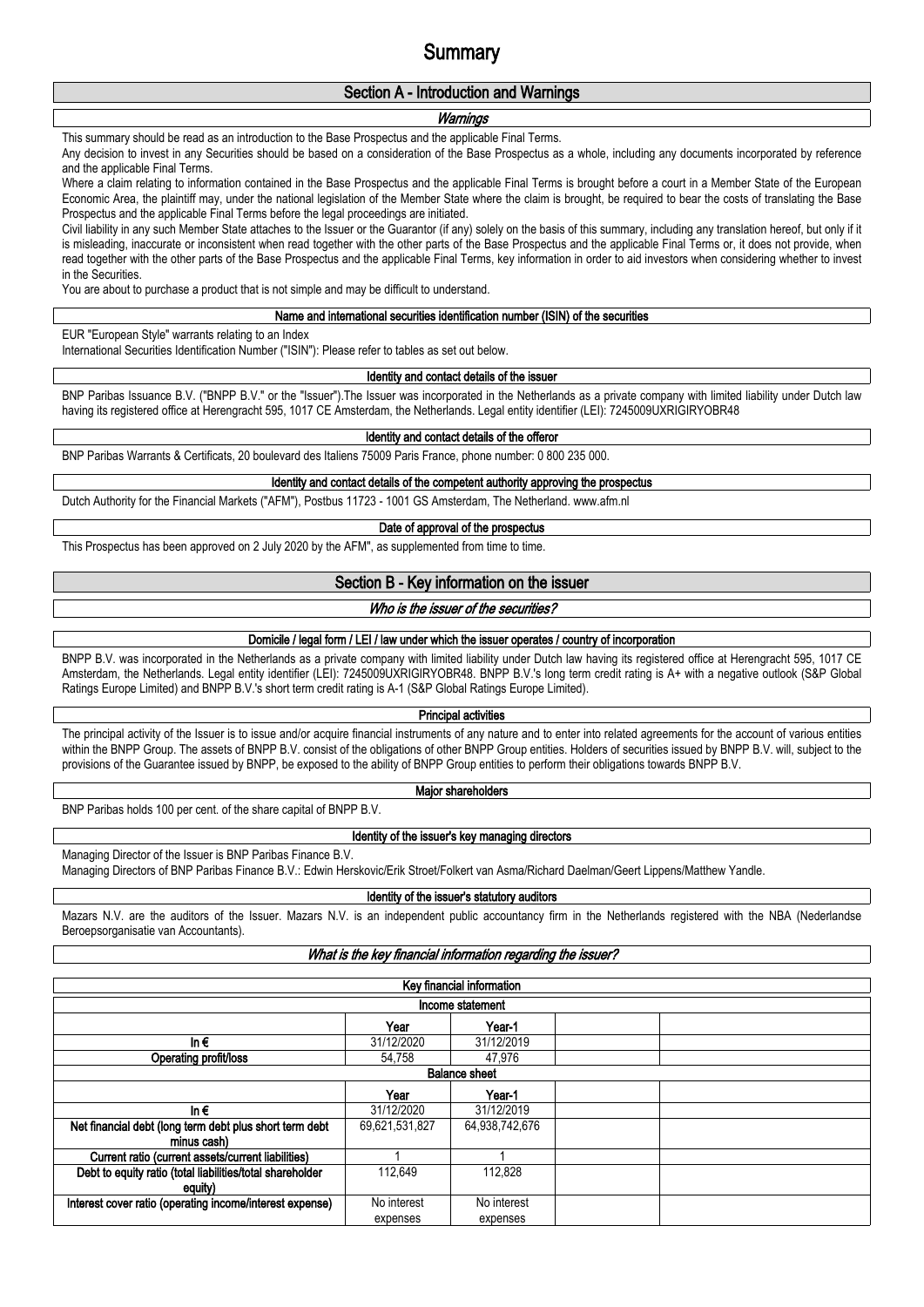# **Summary**

## **Section A - Introduction and Warnings**

#### *Warnings*

This summary should be read as an introduction to the Base Prospectus and the applicable Final Terms.

Any decision to invest in any Securities should be based on a consideration of the Base Prospectus as a whole, including any documents incorporated by reference and the applicable Final Terms.

Where a claim relating to information contained in the Base Prospectus and the applicable Final Terms is brought before a court in a Member State of the European Economic Area, the plaintiff may, under the national legislation of the Member State where the claim is brought, be required to bear the costs of translating the Base Prospectus and the applicable Final Terms before the legal proceedings are initiated.

Civil liability in any such Member State attaches to the Issuer or the Guarantor (if any) solely on the basis of this summary, including any translation hereof, but only if it is misleading, inaccurate or inconsistent when read together with the other parts of the Base Prospectus and the applicable Final Terms or, it does not provide, when read together with the other parts of the Base Prospectus and the applicable Final Terms, key information in order to aid investors when considering whether to invest in the Securities.

You are about to purchase a product that is not simple and may be difficult to understand.

### **Name and international securities identification number (ISIN) of the securities**

EUR "European Style" warrants relating to an Index

International Securities Identification Number ("ISIN"): Please refer to tables as set out below.

#### **Identity and contact details of the issuer**

BNP Paribas Issuance B.V. ("BNPP B.V." or the "Issuer").The Issuer was incorporated in the Netherlands as a private company with limited liability under Dutch law having its registered office at Herengracht 595, 1017 CE Amsterdam, the Netherlands. Legal entity identifier (LEI): 7245009UXRIGIRYOBR48

#### **Identity and contact details of the offeror**

BNP Paribas Warrants & Certificats, 20 boulevard des Italiens 75009 Paris France, phone number: 0 800 235 000.

#### **Identity and contact details of the competent authority approving the prospectus**

Dutch Authority for the Financial Markets ("AFM"), Postbus 11723 - 1001 GS Amsterdam, The Netherland. www.afm.nl

#### **Date of approval of the prospectus**

This Prospectus has been approved on 2 July 2020 by the AFM", as supplemented from time to time.

#### **Section B - Key information on the issuer**

## *Who is the issuer of the securities?*

#### **Domicile / legal form / LEI / law under which the issuer operates / country of incorporation**

BNPP B.V. was incorporated in the Netherlands as a private company with limited liability under Dutch law having its registered office at Herengracht 595, 1017 CE Amsterdam, the Netherlands. Legal entity identifier (LEI): 7245009UXRIGIRYOBR48. BNPP B.V.'s long term credit rating is A+ with a negative outlook (S&P Global Ratings Europe Limited) and BNPP B.V.'s short term credit rating is A-1 (S&P Global Ratings Europe Limited).

#### **Principal activities**

The principal activity of the Issuer is to issue and/or acquire financial instruments of any nature and to enter into related agreements for the account of various entities within the BNPP Group. The assets of BNPP B.V. consist of the obligations of other BNPP Group entities. Holders of securities issued by BNPP B.V. will, subject to the provisions of the Guarantee issued by BNPP, be exposed to the ability of BNPP Group entities to perform their obligations towards BNPP B.V.

**Major shareholders**

BNP Paribas holds 100 per cent. of the share capital of BNPP B.V.

#### **Identity of the issuer's key managing directors**

Managing Director of the Issuer is BNP Paribas Finance B.V.

Managing Directors of BNP Paribas Finance B.V.: Edwin Herskovic/Erik Stroet/Folkert van Asma/Richard Daelman/Geert Lippens/Matthew Yandle.

**Identity of the issuer's statutory auditors**

Mazars N.V. are the auditors of the Issuer. Mazars N.V. is an independent public accountancy firm in the Netherlands registered with the NBA (Nederlandse Beroepsorganisatie van Accountants).

#### *What is the key financial information regarding the issuer?*

| Key financial information                                 |                |                |  |  |  |  |  |  |  |  |
|-----------------------------------------------------------|----------------|----------------|--|--|--|--|--|--|--|--|
| Income statement                                          |                |                |  |  |  |  |  |  |  |  |
| Year-1<br>Year                                            |                |                |  |  |  |  |  |  |  |  |
| In $\epsilon$                                             | 31/12/2020     | 31/12/2019     |  |  |  |  |  |  |  |  |
| Operating profit/loss                                     | 54.758         | 47.976         |  |  |  |  |  |  |  |  |
| <b>Balance sheet</b>                                      |                |                |  |  |  |  |  |  |  |  |
|                                                           | Year<br>Year-1 |                |  |  |  |  |  |  |  |  |
| In $\epsilon$                                             | 31/12/2020     | 31/12/2019     |  |  |  |  |  |  |  |  |
| Net financial debt (long term debt plus short term debt   | 69,621,531,827 | 64,938,742,676 |  |  |  |  |  |  |  |  |
| minus cash)                                               |                |                |  |  |  |  |  |  |  |  |
| Current ratio (current assets/current liabilities)        |                |                |  |  |  |  |  |  |  |  |
| Debt to equity ratio (total liabilities/total shareholder | 112.649        | 112.828        |  |  |  |  |  |  |  |  |
| equity)                                                   |                |                |  |  |  |  |  |  |  |  |
| Interest cover ratio (operating income/interest expense)  | No interest    | No interest    |  |  |  |  |  |  |  |  |
|                                                           | expenses       | expenses       |  |  |  |  |  |  |  |  |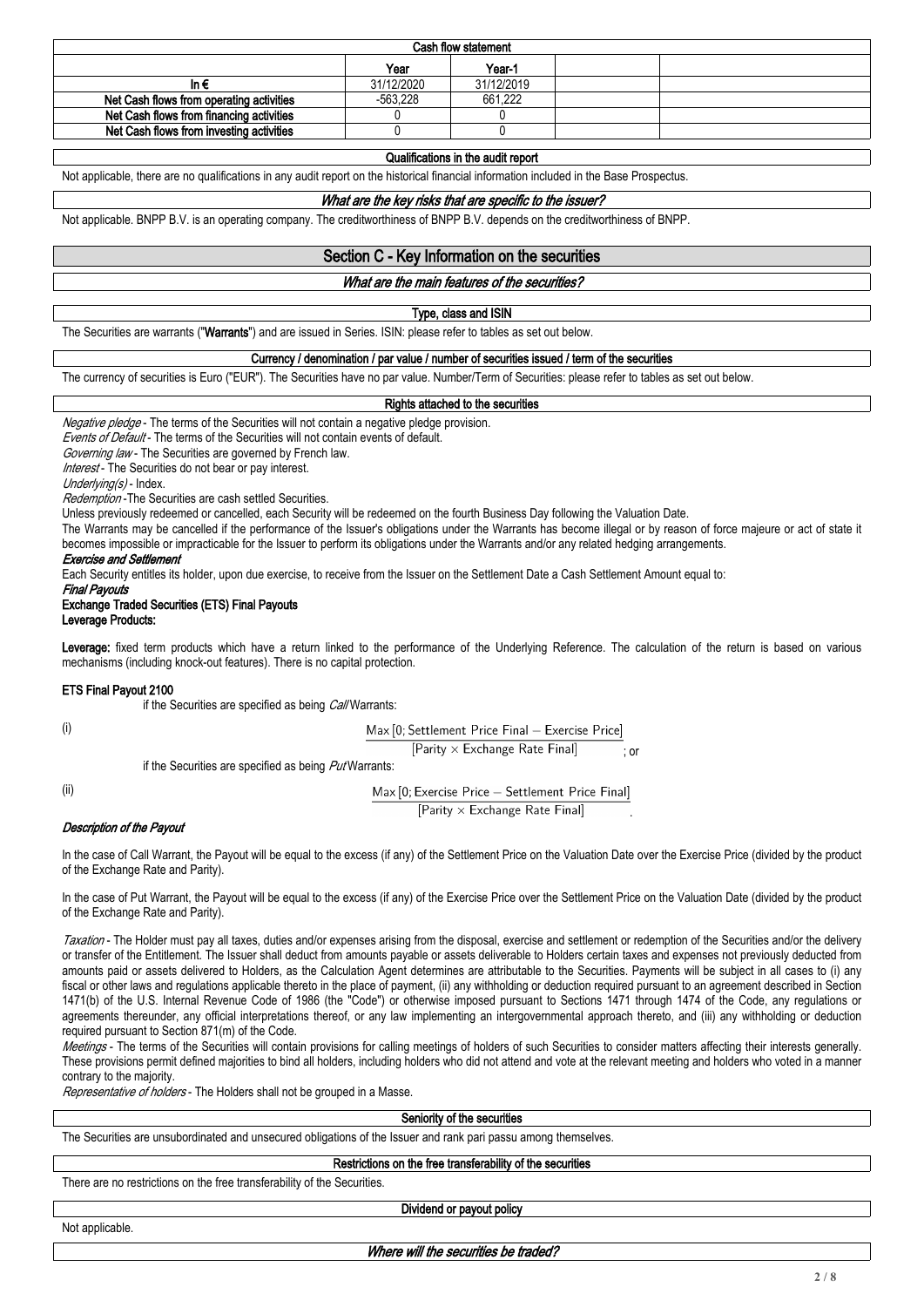| Cash flow statement |            |  |  |  |  |  |  |  |  |
|---------------------|------------|--|--|--|--|--|--|--|--|
| Year-1<br>Year      |            |  |  |  |  |  |  |  |  |
| 31/12/2020          | 31/12/2019 |  |  |  |  |  |  |  |  |
| $-563.228$          | 661,222    |  |  |  |  |  |  |  |  |
|                     |            |  |  |  |  |  |  |  |  |
|                     |            |  |  |  |  |  |  |  |  |
|                     |            |  |  |  |  |  |  |  |  |

### **Qualifications in the audit report**

Not applicable, there are no qualifications in any audit report on the historical financial information included in the Base Prospectus.

#### *What are the key risks that are specific to the issuer?*

Not applicable. BNPP B.V. is an operating company. The creditworthiness of BNPP B.V. depends on the creditworthiness of BNPP.

### **Section C - Key Information on the securities**

### *What are the main features of the securities?*

### **Type, class and ISIN**

The Securities are warrants ("**Warrants**") and are issued in Series. ISIN: please refer to tables as set out below.

#### **Currency / denomination / par value / number of securities issued / term of the securities**

The currency of securities is Euro ("EUR"). The Securities have no par value. Number/Term of Securities: please refer to tables as set out below.

### **Rights attached to the securities**

*Negative pledge* - The terms of the Securities will not contain a negative pledge provision.

*Events of Default* - The terms of the Securities will not contain events of default.

*Governing law* - The Securities are governed by French law.

*Interest* - The Securities do not bear or pay interest.

*Underlying(s)* - Index.

*Redemption* -The Securities are cash settled Securities.

Unless previously redeemed or cancelled, each Security will be redeemed on the fourth Business Day following the Valuation Date.

The Warrants may be cancelled if the performance of the Issuer's obligations under the Warrants has become illegal or by reason of force majeure or act of state it becomes impossible or impracticable for the Issuer to perform its obligations under the Warrants and/or any related hedging arrangements.

#### *Exercise and Settlement*

Each Security entitles its holder, upon due exercise, to receive from the Issuer on the Settlement Date a Cash Settlement Amount equal to:

### *Final Payouts*

#### **Exchange Traded Securities (ETS) Final Payouts Leverage Products:**

Leverage: fixed term products which have a return linked to the performance of the Underlying Reference. The calculation of the return is based on various mechanisms (including knock-out features). There is no capital protection.

### **ETS Final Payout 2100**

if the Securities are specified as being *Call* Warrants:

(i)

Max [0; Settlement Price Final - Exercise Price] [Parity × Exchange Rate Final] ; or

if the Securities are specified as being *Put* Warrants:

(ii)

Max [0; Exercise Price - Settlement Price Final]

.

[Parity × Exchange Rate Final]

### *Description of the Payout*

In the case of Call Warrant, the Payout will be equal to the excess (if any) of the Settlement Price on the Valuation Date over the Exercise Price (divided by the product of the Exchange Rate and Parity).

In the case of Put Warrant, the Payout will be equal to the excess (if any) of the Exercise Price over the Settlement Price on the Valuation Date (divided by the product of the Exchange Rate and Parity).

*Taxation* - The Holder must pay all taxes, duties and/or expenses arising from the disposal, exercise and settlement or redemption of the Securities and/or the delivery or transfer of the Entitlement. The Issuer shall deduct from amounts payable or assets deliverable to Holders certain taxes and expenses not previously deducted from amounts paid or assets delivered to Holders, as the Calculation Agent determines are attributable to the Securities. Payments will be subject in all cases to (i) any fiscal or other laws and regulations applicable thereto in the place of payment, (ii) any withholding or deduction required pursuant to an agreement described in Section 1471(b) of the U.S. Internal Revenue Code of 1986 (the "Code") or otherwise imposed pursuant to Sections 1471 through 1474 of the Code, any regulations or agreements thereunder, any official interpretations thereof, or any law implementing an intergovernmental approach thereto, and (iii) any withholding or deduction required pursuant to Section 871(m) of the Code.

*Meetings* - The terms of the Securities will contain provisions for calling meetings of holders of such Securities to consider matters affecting their interests generally. These provisions permit defined majorities to bind all holders, including holders who did not attend and vote at the relevant meeting and holders who voted in a manner contrary to the majority.

*Representative of holders* - The Holders shall not be grouped in a Masse.

**Seniority of the securities**

The Securities are unsubordinated and unsecured obligations of the Issuer and rank pari passu among themselves.

#### **Restrictions on the free transferability of the securities**

There are no restrictions on the free transferability of the Securities.

**Dividend or payout policy**

Not applicable.

*Where will the securities be traded?*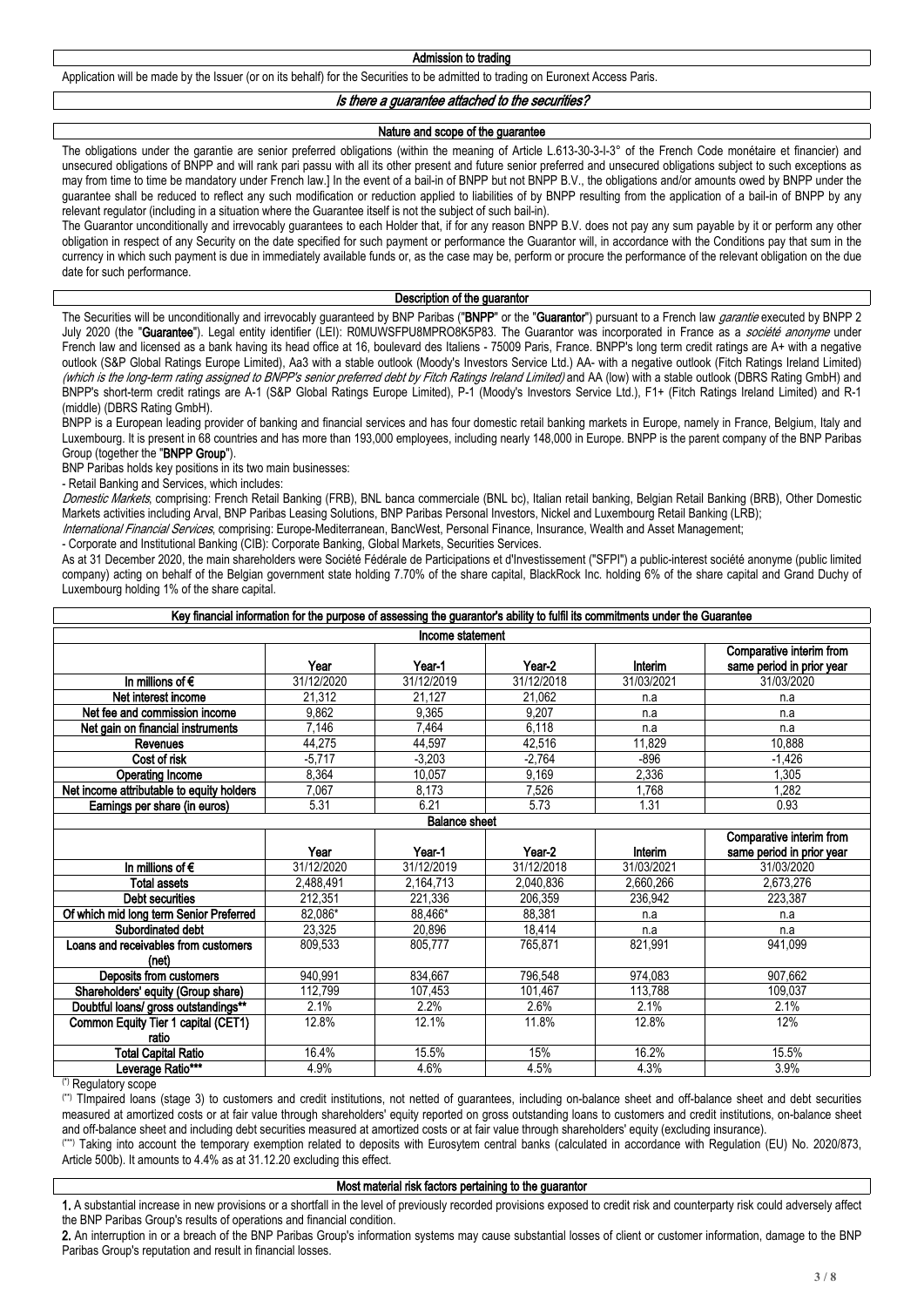Application will be made by the Issuer (or on its behalf) for the Securities to be admitted to trading on Euronext Access Paris.

*Is there a guarantee attached to the securities?*

#### **Nature and scope of the guarantee**

The obligations under the garantie are senior preferred obligations (within the meaning of Article L.613-30-3-I-3° of the French Code monétaire et financier) and unsecured obligations of BNPP and will rank pari passu with all its other present and future senior preferred and unsecured obligations subject to such exceptions as may from time to time be mandatory under French law.] In the event of a bail-in of BNPP but not BNPP B.V., the obligations and/or amounts owed by BNPP under the guarantee shall be reduced to reflect any such modification or reduction applied to liabilities of by BNPP resulting from the application of a bail-in of BNPP by any relevant regulator (including in a situation where the Guarantee itself is not the subject of such bail-in).

The Guarantor unconditionally and irrevocably guarantees to each Holder that, if for any reason BNPP B.V. does not pay any sum payable by it or perform any other obligation in respect of any Security on the date specified for such payment or performance the Guarantor will, in accordance with the Conditions pay that sum in the currency in which such payment is due in immediately available funds or, as the case may be, perform or procure the performance of the relevant obligation on the due date for such performance.

#### **Description of the guarantor**

The Securities will be unconditionally and irrevocably guaranteed by BNP Paribas ("**BNPP**" or the "**Guarantor**") pursuant to a French law *garantie* executed by BNPP 2 July 2020 (the "**Guarantee**"). Legal entity identifier (LEI): R0MUWSFPU8MPRO8K5P83. The Guarantor was incorporated in France as a *société anonyme* under French law and licensed as a bank having its head office at 16, boulevard des Italiens - 75009 Paris, France. BNPP's long term credit ratings are A+ with a negative outlook (S&P Global Ratings Europe Limited), Aa3 with a stable outlook (Moody's Investors Service Ltd.) AA- with a negative outlook (Fitch Ratings Ireland Limited) (which is the long-term rating assigned to BNPP's senior preferred debt by Fitch Ratings Ireland Limited) and AA (low) with a stable outlook (DBRS Rating GmbH) and BNPP's short-term credit ratings are A-1 (S&P Global Ratings Europe Limited), P-1 (Moody's Investors Service Ltd.), F1+ (Fitch Ratings Ireland Limited) and R-1 (middle) (DBRS Rating GmbH).

BNPP is a European leading provider of banking and financial services and has four domestic retail banking markets in Europe, namely in France, Belgium, Italy and Luxembourg. It is present in 68 countries and has more than 193,000 employees, including nearly 148,000 in Europe. BNPP is the parent company of the BNP Paribas Group (together the "**BNPP Group**").

BNP Paribas holds key positions in its two main businesses:

- Retail Banking and Services, which includes:

*Domestic Markets*, comprising: French Retail Banking (FRB), BNL banca commerciale (BNL bc), Italian retail banking, Belgian Retail Banking (BRB), Other Domestic Markets activities including Arval, BNP Paribas Leasing Solutions, BNP Paribas Personal Investors, Nickel and Luxembourg Retail Banking (LRB);

*International Financial Services*, comprising: Europe-Mediterranean, BancWest, Personal Finance, Insurance, Wealth and Asset Management;

- Corporate and Institutional Banking (CIB): Corporate Banking, Global Markets, Securities Services.

As at 31 December 2020, the main shareholders were Société Fédérale de Participations et d'Investissement ("SFPI") a public-interest société anonyme (public limited company) acting on behalf of the Belgian government state holding 7.70% of the share capital, BlackRock Inc. holding 6% of the share capital and Grand Duchy of Luxembourg holding 1% of the share capital.

| Key financial information for the purpose of assessing the guarantor's ability to fulfil its commitments under the Guarantee |            |                      |            |            |            |  |  |  |  |  |  |
|------------------------------------------------------------------------------------------------------------------------------|------------|----------------------|------------|------------|------------|--|--|--|--|--|--|
| Income statement                                                                                                             |            |                      |            |            |            |  |  |  |  |  |  |
| Comparative interim from<br>Interim<br>same period in prior year<br>Year-2<br>Year<br>Year-1                                 |            |                      |            |            |            |  |  |  |  |  |  |
| In millions of $\epsilon$                                                                                                    | 31/12/2020 | 31/12/2019           | 31/12/2018 | 31/03/2021 | 31/03/2020 |  |  |  |  |  |  |
| Net interest income                                                                                                          | 21,312     | 21.127               | 21.062     | n.a        | n.a        |  |  |  |  |  |  |
| Net fee and commission income                                                                                                | 9,862      | 9.365                | 9.207      | n.a        | n.a        |  |  |  |  |  |  |
| Net gain on financial instruments                                                                                            | 7.146      | 7.464                | 6,118      | n.a        | n.a        |  |  |  |  |  |  |
| <b>Revenues</b>                                                                                                              | 44.275     | 44.597               | 42.516     | 11.829     | 10.888     |  |  |  |  |  |  |
| Cost of risk                                                                                                                 | $-5.717$   | $-3,203$             | $-2.764$   | -896       | $-1,426$   |  |  |  |  |  |  |
| Operating Income                                                                                                             | 8.364      | 10.057               | 9.169      | 2,336      | 1,305      |  |  |  |  |  |  |
| Net income attributable to equity holders                                                                                    | 7.067      | 8.173                | 7.526      | 1.768      | 1.282      |  |  |  |  |  |  |
| Earnings per share (in euros)                                                                                                | 5.31       | 6.21                 | 5.73       | 1.31       | 0.93       |  |  |  |  |  |  |
|                                                                                                                              |            | <b>Balance sheet</b> |            |            |            |  |  |  |  |  |  |

#### **Year Year-1 Year-2 Interim Comparative interim from same period in prior year In millions of €** 31/12/2020 31/12/2019 31/12/2018 31/03/2021 31/03/2020 **Total assets 2,**488,491 2,164,713 2,040,836 2,660,266 2,673,276 **Debt securities 212,351 221,336 206,359 236,942 223,387 Of which mid long term Senior Preferred** 82,086\* 88,466\* 88,381 n.a n.a n.a n.a<br> **Subordinated debt** 23,325 20,896 18,414 n.a n.a n.a **Subordinated debt** 23,325 20,896 18,414 n.a n.a n.a<br>**d propivables from customers** 809,533 805,777 765,871 821,991 1821,091 941,099 809,533 | 805,777 | 765,871 | 821,991 | 941,099

| LUGIIS GIIU ICUCIVADICS IIUIII UUSIUIIICIS | 000,000 | <u> 555. r i 1</u> | 100.011 | <b>UZ 1.JJ 1</b> | <b>UUU</b> , 1 <del>T</del> U |
|--------------------------------------------|---------|--------------------|---------|------------------|-------------------------------|
| (net)                                      |         |                    |         |                  |                               |
| Deposits from customers                    | 940.991 | 834.667            | 796.548 | 974.083          | 907.662                       |
| Shareholders' equity (Group share)         | 112.799 | 107.453            | 101.467 | 113.788          | 109.037                       |
| Doubtful loans/ gross outstandings**       | 2.1%    | 2.2%               | 2.6%    | 2.1%             | 2.1%                          |
| Common Equity Tier 1 capital (CET1)        | 12.8%   | 12.1%              | 11.8%   | 12.8%            | 12%                           |
| ratio                                      |         |                    |         |                  |                               |
| <b>Total Capital Ratio</b>                 | 16.4%   | 15.5%              | 15%     | 16.2%            | 15.5%                         |
| Leverage Ratio***                          | 4.9%    | 4.6%               | 4.5%    | 4.3%             | 3.9%                          |

(\*) Regulatory scope

**Loans and receivables from customers** 

(\*\*) TImpaired loans (stage 3) to customers and credit institutions, not netted of guarantees, including on-balance sheet and off-balance sheet and debt securities measured at amortized costs or at fair value through shareholders' equity reported on gross outstanding loans to customers and credit institutions, on-balance sheet and off-balance sheet and including debt securities measured at amortized costs or at fair value through shareholders' equity (excluding insurance).

(\*\*\*) Taking into account the temporary exemption related to deposits with Eurosytem central banks (calculated in accordance with Regulation (EU) No. 2020/873, Article 500b). It amounts to 4.4% as at 31.12.20 excluding this effect.

### **Most material risk factors pertaining to the guarantor**

**1.** A substantial increase in new provisions or a shortfall in the level of previously recorded provisions exposed to credit risk and counterparty risk could adversely affect the BNP Paribas Group's results of operations and financial condition.

**2.** An interruption in or a breach of the BNP Paribas Group's information systems may cause substantial losses of client or customer information, damage to the BNP Paribas Group's reputation and result in financial losses.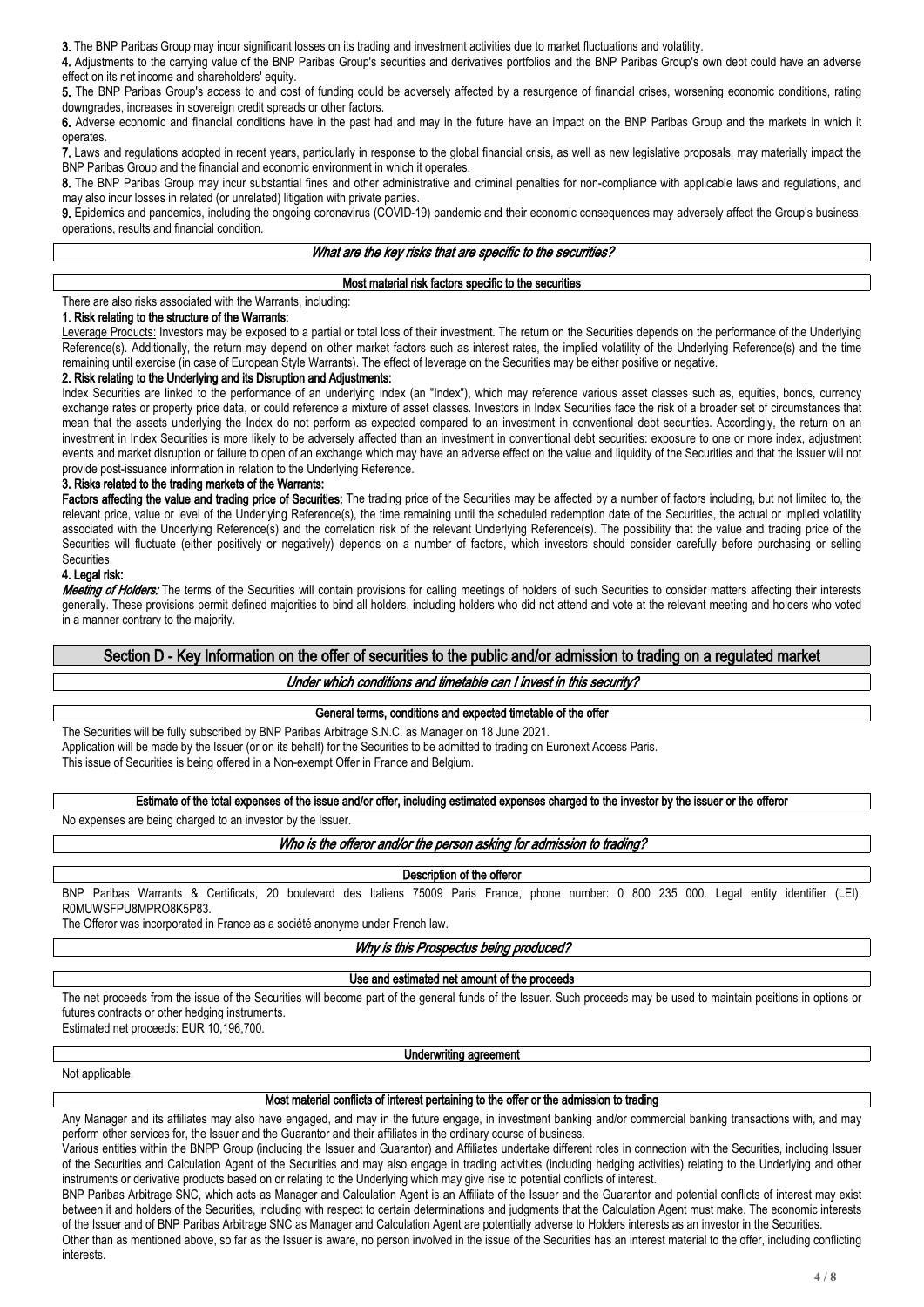**3.** The BNP Paribas Group may incur significant losses on its trading and investment activities due to market fluctuations and volatility.

**4.** Adjustments to the carrying value of the BNP Paribas Group's securities and derivatives portfolios and the BNP Paribas Group's own debt could have an adverse effect on its net income and shareholders' equity.

**5.** The BNP Paribas Group's access to and cost of funding could be adversely affected by a resurgence of financial crises, worsening economic conditions, rating downgrades, increases in sovereign credit spreads or other factors.

**6.** Adverse economic and financial conditions have in the past had and may in the future have an impact on the BNP Paribas Group and the markets in which it operates.

**7.** Laws and regulations adopted in recent years, particularly in response to the global financial crisis, as well as new legislative proposals, may materially impact the BNP Paribas Group and the financial and economic environment in which it operates.

**8.** The BNP Paribas Group may incur substantial fines and other administrative and criminal penalties for non-compliance with applicable laws and regulations, and may also incur losses in related (or unrelated) litigation with private parties.

**9.** Epidemics and pandemics, including the ongoing coronavirus (COVID-19) pandemic and their economic consequences may adversely affect the Group's business, operations, results and financial condition.

### *What are the key risks that are specific to the securities?*

### **Most material risk factors specific to the securities**

There are also risks associated with the Warrants, including:

#### **1. Risk relating to the structure of the Warrants:**

Leverage Products: Investors may be exposed to a partial or total loss of their investment. The return on the Securities depends on the performance of the Underlying Reference(s). Additionally, the return may depend on other market factors such as interest rates, the implied volatility of the Underlying Reference(s) and the time remaining until exercise (in case of European Style Warrants). The effect of leverage on the Securities may be either positive or negative.

#### **2. Risk relating to the Underlying and its Disruption and Adjustments:**

Index Securities are linked to the performance of an underlying index (an "Index"), which may reference various asset classes such as, equities, bonds, currency exchange rates or property price data, or could reference a mixture of asset classes. Investors in Index Securities face the risk of a broader set of circumstances that mean that the assets underlying the Index do not perform as expected compared to an investment in conventional debt securities. Accordingly, the return on an investment in Index Securities is more likely to be adversely affected than an investment in conventional debt securities: exposure to one or more index, adjustment events and market disruption or failure to open of an exchange which may have an adverse effect on the value and liquidity of the Securities and that the Issuer will not provide post-issuance information in relation to the Underlying Reference.

### **3. Risks related to the trading markets of the Warrants:**

Factors affecting the value and trading price of Securities: The trading price of the Securities may be affected by a number of factors including, but not limited to, the relevant price, value or level of the Underlying Reference(s), the time remaining until the scheduled redemption date of the Securities, the actual or implied volatility associated with the Underlying Reference(s) and the correlation risk of the relevant Underlying Reference(s). The possibility that the value and trading price of the Securities will fluctuate (either positively or negatively) depends on a number of factors, which investors should consider carefully before purchasing or selling Securities.

### **4. Legal risk:**

*Meeting of Holders:* The terms of the Securities will contain provisions for calling meetings of holders of such Securities to consider matters affecting their interests generally. These provisions permit defined majorities to bind all holders, including holders who did not attend and vote at the relevant meeting and holders who voted in a manner contrary to the majority.

# **Section D - Key Information on the offer of securities to the public and/or admission to trading on a regulated market**

### *Under which conditions and timetable can I invest in this security?*

### **General terms, conditions and expected timetable of the offer**

The Securities will be fully subscribed by BNP Paribas Arbitrage S.N.C. as Manager on 18 June 2021. Application will be made by the Issuer (or on its behalf) for the Securities to be admitted to trading on Euronext Access Paris. This issue of Securities is being offered in a Non-exempt Offer in France and Belgium.

**Estimate of the total expenses of the issue and/or offer, including estimated expenses charged to the investor by the issuer or the offeror**

No expenses are being charged to an investor by the Issuer.

### *Who is the offeror and/or the person asking for admission to trading?*

#### **Description of the offeror**

BNP Paribas Warrants & Certificats, 20 boulevard des Italiens 75009 Paris France, phone number: 0 800 235 000. Legal entity identifier (LEI): R0MUWSFPU8MPRO8K5P83.

The Offeror was incorporated in France as a société anonyme under French law.

*Why is this Prospectus being produced?*

### **Use and estimated net amount of the proceeds**

The net proceeds from the issue of the Securities will become part of the general funds of the Issuer. Such proceeds may be used to maintain positions in options or futures contracts or other hedging instruments. Estimated net proceeds: EUR 10,196,700.

Not applicable.

#### **Underwriting agreement**

# **Most material conflicts of interest pertaining to the offer or the admission to trading**

Any Manager and its affiliates may also have engaged, and may in the future engage, in investment banking and/or commercial banking transactions with, and may perform other services for, the Issuer and the Guarantor and their affiliates in the ordinary course of business.

Various entities within the BNPP Group (including the Issuer and Guarantor) and Affiliates undertake different roles in connection with the Securities, including Issuer of the Securities and Calculation Agent of the Securities and may also engage in trading activities (including hedging activities) relating to the Underlying and other instruments or derivative products based on or relating to the Underlying which may give rise to potential conflicts of interest.

BNP Paribas Arbitrage SNC, which acts as Manager and Calculation Agent is an Affiliate of the Issuer and the Guarantor and potential conflicts of interest may exist between it and holders of the Securities, including with respect to certain determinations and judgments that the Calculation Agent must make. The economic interests of the Issuer and of BNP Paribas Arbitrage SNC as Manager and Calculation Agent are potentially adverse to Holders interests as an investor in the Securities.

Other than as mentioned above, so far as the Issuer is aware, no person involved in the issue of the Securities has an interest material to the offer, including conflicting interests.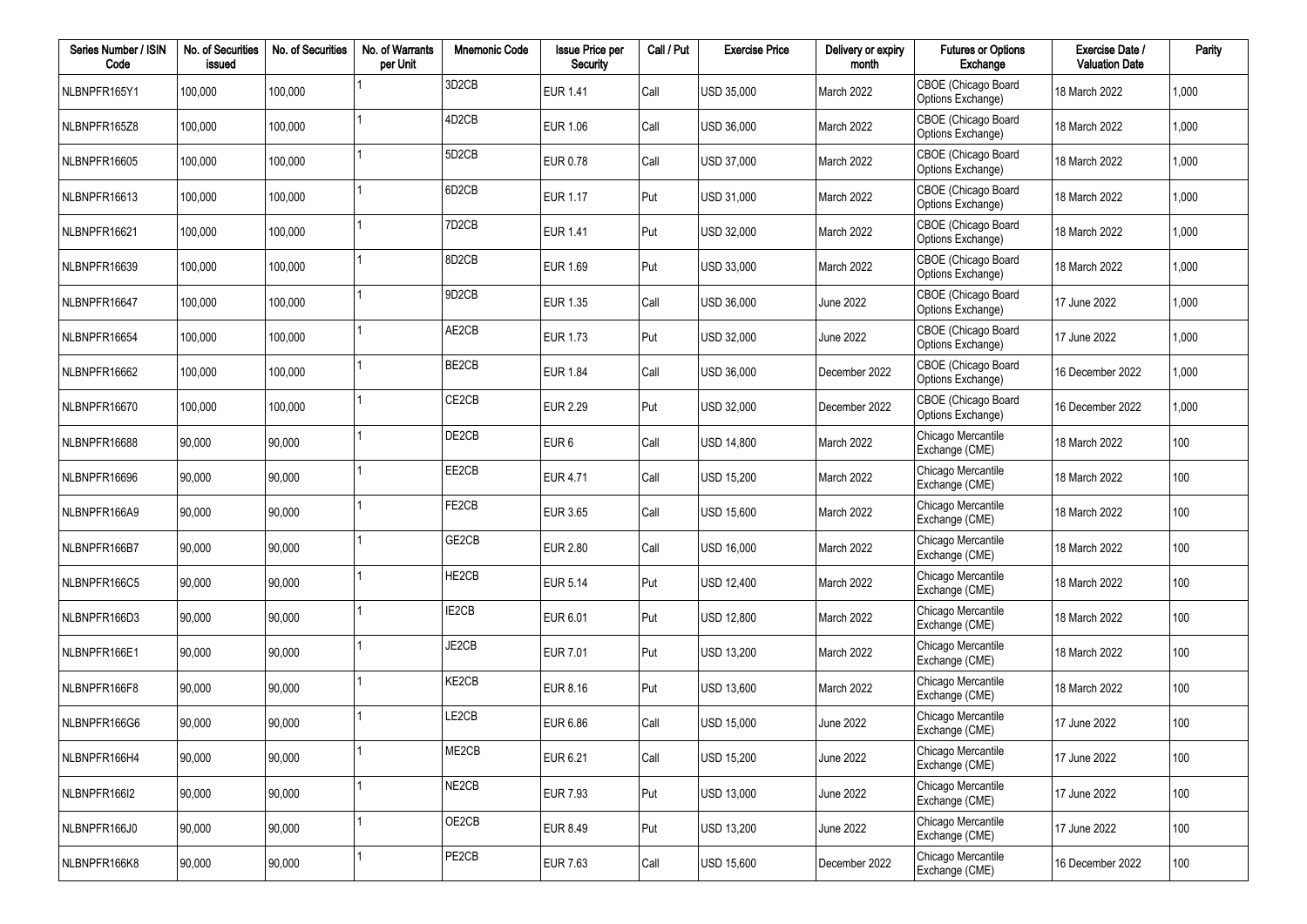| Series Number / ISIN<br>Code | No. of Securities<br>issued | No. of Securities | No. of Warrants<br>per Unit | <b>Mnemonic Code</b>           | <b>Issue Price per</b><br>Security | Call / Put | <b>Exercise Price</b> | Delivery or expiry<br>month | <b>Futures or Options</b><br>Exchange    | Exercise Date /<br><b>Valuation Date</b> | Parity |
|------------------------------|-----------------------------|-------------------|-----------------------------|--------------------------------|------------------------------------|------------|-----------------------|-----------------------------|------------------------------------------|------------------------------------------|--------|
| NLBNPFR165Y1                 | 100,000                     | 100,000           |                             | 3D <sub>2</sub> CB             | <b>EUR 1.41</b>                    | Call       | USD 35,000            | March 2022                  | CBOE (Chicago Board<br>Options Exchange) | 18 March 2022                            | 1,000  |
| NLBNPFR165Z8                 | 100,000                     | 100,000           |                             | 4D <sub>2</sub> C <sub>B</sub> | <b>EUR 1.06</b>                    | Call       | USD 36,000            | March 2022                  | CBOE (Chicago Board<br>Options Exchange) | 18 March 2022                            | 1,000  |
| NLBNPFR16605                 | 100,000                     | 100,000           |                             | 5D <sub>2</sub> CB             | EUR 0.78                           | Call       | USD 37,000            | March 2022                  | CBOE (Chicago Board<br>Options Exchange) | 18 March 2022                            | 1,000  |
| NLBNPFR16613                 | 100,000                     | 100,000           |                             | 6D <sub>2</sub> CB             | <b>EUR 1.17</b>                    | Put        | USD 31,000            | March 2022                  | CBOE (Chicago Board<br>Options Exchange) | 18 March 2022                            | 1,000  |
| NLBNPFR16621                 | 100,000                     | 100,000           |                             | 7D <sub>2</sub> C <sub>B</sub> | <b>EUR 1.41</b>                    | Put        | USD 32,000            | March 2022                  | CBOE (Chicago Board<br>Options Exchange) | 18 March 2022                            | 1,000  |
| NLBNPFR16639                 | 100,000                     | 100,000           |                             | 8D <sub>2</sub> CB             | <b>EUR 1.69</b>                    | Put        | USD 33,000            | March 2022                  | CBOE (Chicago Board<br>Options Exchange) | 18 March 2022                            | 1,000  |
| NLBNPFR16647                 | 100,000                     | 100,000           |                             | 9D <sub>2</sub> CB             | EUR 1.35                           | Call       | USD 36,000            | <b>June 2022</b>            | CBOE (Chicago Board<br>Options Exchange) | 17 June 2022                             | 1,000  |
| NLBNPFR16654                 | 100,000                     | 100,000           |                             | AE2CB                          | <b>EUR 1.73</b>                    | Put        | USD 32,000            | <b>June 2022</b>            | CBOE (Chicago Board<br>Options Exchange) | 17 June 2022                             | 1,000  |
| NLBNPFR16662                 | 100,000                     | 100,000           |                             | BE2CB                          | <b>EUR 1.84</b>                    | Call       | USD 36,000            | December 2022               | CBOE (Chicago Board<br>Options Exchange) | 16 December 2022                         | 1,000  |
| NLBNPFR16670                 | 100,000                     | 100,000           |                             | CE <sub>2</sub> CB             | <b>EUR 2.29</b>                    | Put        | USD 32,000            | December 2022               | CBOE (Chicago Board<br>Options Exchange) | 16 December 2022                         | 1,000  |
| NLBNPFR16688                 | 90,000                      | 90,000            |                             | DE2CB                          | EUR <sub>6</sub>                   | Call       | <b>USD 14,800</b>     | March 2022                  | Chicago Mercantile<br>Exchange (CME)     | 18 March 2022                            | 100    |
| NLBNPFR16696                 | 90,000                      | 90,000            |                             | EE2CB                          | <b>EUR 4.71</b>                    | Call       | <b>USD 15,200</b>     | March 2022                  | Chicago Mercantile<br>Exchange (CME)     | 18 March 2022                            | 100    |
| NLBNPFR166A9                 | 90,000                      | 90,000            |                             | FE2CB                          | EUR 3.65                           | Call       | <b>USD 15,600</b>     | March 2022                  | Chicago Mercantile<br>Exchange (CME)     | 18 March 2022                            | 100    |
| NLBNPFR166B7                 | 90,000                      | 90,000            |                             | GE2CB                          | <b>EUR 2.80</b>                    | Call       | <b>USD 16,000</b>     | March 2022                  | Chicago Mercantile<br>Exchange (CME)     | 18 March 2022                            | 100    |
| NLBNPFR166C5                 | 90,000                      | 90,000            |                             | HE2CB                          | <b>EUR 5.14</b>                    | Put        | <b>USD 12,400</b>     | March 2022                  | Chicago Mercantile<br>Exchange (CME)     | 18 March 2022                            | 100    |
| NLBNPFR166D3                 | 90,000                      | 90,000            |                             | IE2CB                          | EUR 6.01                           | Put        | <b>USD 12,800</b>     | March 2022                  | Chicago Mercantile<br>Exchange (CME)     | 18 March 2022                            | 100    |
| NLBNPFR166E1                 | 90,000                      | 90,000            |                             | JE2CB                          | EUR 7.01                           | Put        | <b>USD 13,200</b>     | March 2022                  | Chicago Mercantile<br>Exchange (CME)     | 18 March 2022                            | 100    |
| NLBNPFR166F8                 | 90,000                      | 90,000            |                             | KE2CB                          | EUR 8.16                           | Put        | <b>USD 13,600</b>     | March 2022                  | Chicago Mercantile<br>Exchange (CME)     | 18 March 2022                            | 100    |
| NLBNPFR166G6                 | 90,000                      | 90,000            |                             | LE2CB                          | EUR 6.86                           | Call       | <b>USD 15,000</b>     | <b>June 2022</b>            | Chicago Mercantile<br>Exchange (CME)     | 17 June 2022                             | 100    |
| NLBNPFR166H4                 | 90,000                      | 90,000            |                             | ME2CB                          | EUR 6.21                           | Call       | <b>USD 15.200</b>     | <b>June 2022</b>            | Chicago Mercantile<br>Exchange (CME)     | 17 June 2022                             | 100    |
| NLBNPFR166I2                 | 90,000                      | 90,000            |                             | NE2CB                          | EUR 7.93                           | Put        | USD 13,000            | <b>June 2022</b>            | Chicago Mercantile<br>Exchange (CME)     | 17 June 2022                             | 100    |
| NLBNPFR166J0                 | 90,000                      | 90,000            |                             | OE2CB                          | EUR 8.49                           | Put        | USD 13,200            | <b>June 2022</b>            | Chicago Mercantile<br>Exchange (CME)     | 17 June 2022                             | 100    |
| NLBNPFR166K8                 | 90,000                      | 90,000            |                             | PE2CB                          | EUR 7.63                           | Call       | USD 15,600            | December 2022               | Chicago Mercantile<br>Exchange (CME)     | 16 December 2022                         | 100    |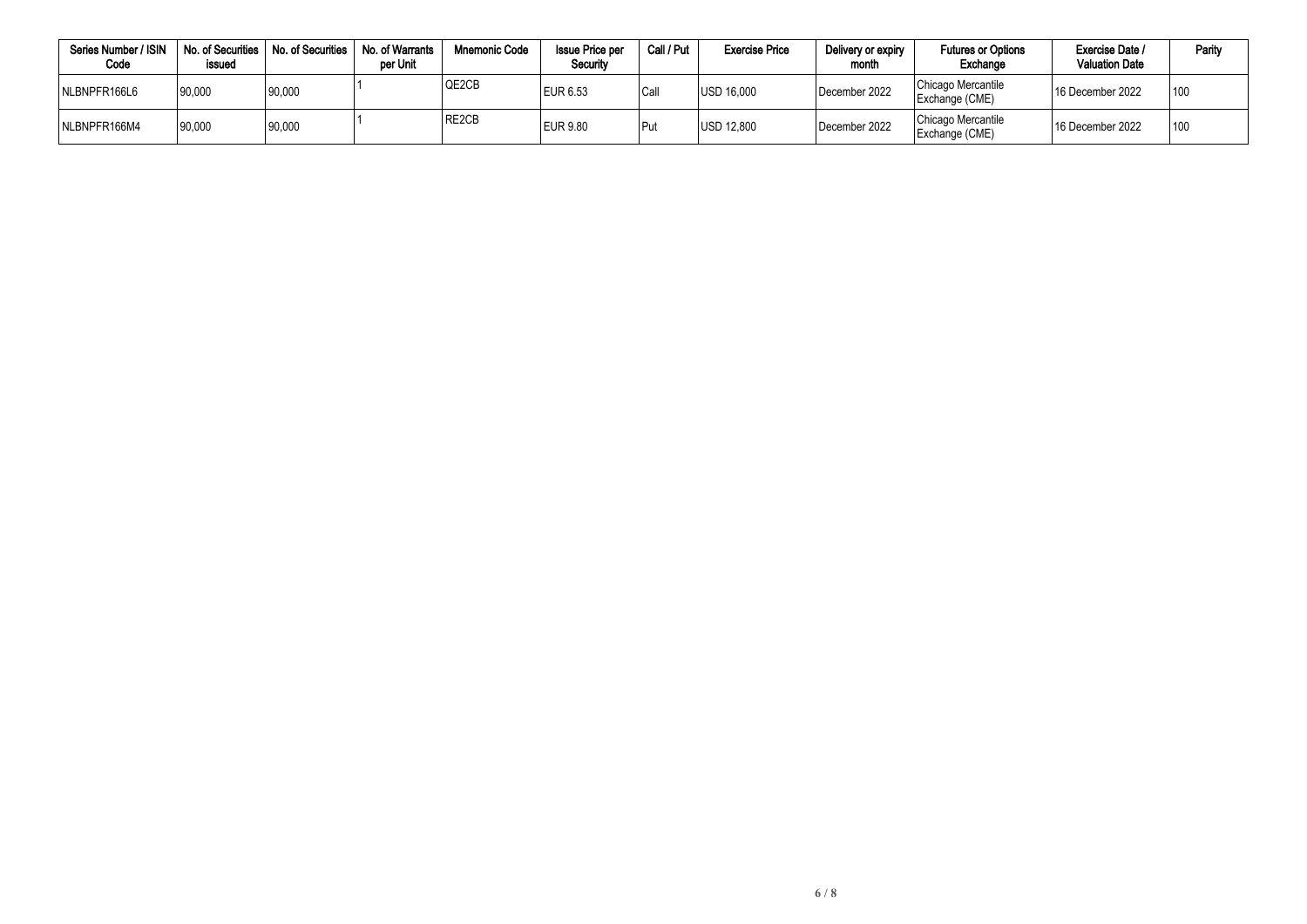| Series Number / ISIN<br>Code | No. of Securities<br>issued | No. of Securities | No. of Warrants<br>per Unit | <b>Mnemonic Code</b> | <b>Issue Price per</b><br>Security | Call / Put | <b>Exercise Price</b> | Delivery or expiry<br>month | <b>Futures or Options</b><br>Exchange | Exercise Date /<br><b>Valuation Date</b> | Parity |
|------------------------------|-----------------------------|-------------------|-----------------------------|----------------------|------------------------------------|------------|-----------------------|-----------------------------|---------------------------------------|------------------------------------------|--------|
| NLBNPFR166L6                 | 190,000                     | 90,000            |                             | QE2CB                | EUR 6.53                           | Call       | USD 16.000            | December 2022               | Chicago Mercantile<br>Exchange (CME)  | <sup>1</sup> 16 December 2022            | 100    |
| NLBNPFR166M4                 | 90,000                      | 90,000            |                             | RE2CB                | EUR 9.80                           | Put        | <b>USD 12.800</b>     | December 2022               | Chicago Mercantile<br>Exchange (CME)  | <sup>1</sup> 16 December 2022            | 100    |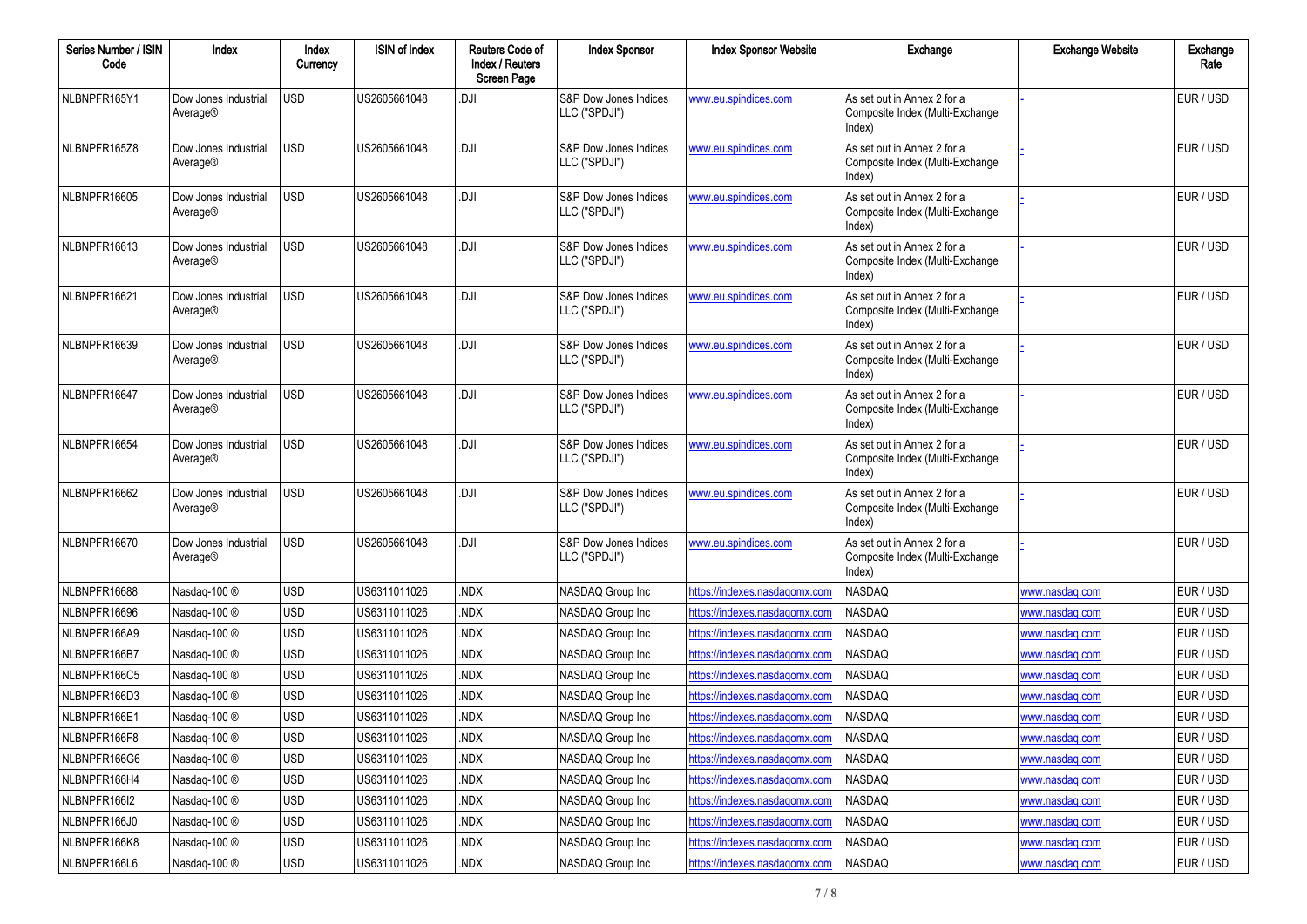| Series Number / ISIN<br>Code | Index                            | Index<br>Currency | <b>ISIN of Index</b> | <b>Reuters Code of</b><br><b>Index / Reuters</b><br><b>Screen Page</b> | <b>Index Sponsor</b>                   | <b>Index Sponsor Website</b>         | Exchange                                                                 | <b>Exchange Website</b> | Exchange<br>Rate |
|------------------------------|----------------------------------|-------------------|----------------------|------------------------------------------------------------------------|----------------------------------------|--------------------------------------|--------------------------------------------------------------------------|-------------------------|------------------|
| NLBNPFR165Y1                 | Dow Jones Industrial<br>Average® | <b>USD</b>        | US2605661048         | .DJI                                                                   | S&P Dow Jones Indices<br>LLC ("SPDJI") | www.eu.spindices.com                 | As set out in Annex 2 for a<br>Composite Index (Multi-Exchange<br>Index) |                         | EUR / USD        |
| NLBNPFR165Z8                 | Dow Jones Industrial<br>Average® | <b>USD</b>        | US2605661048         | <b>DJI</b>                                                             | S&P Dow Jones Indices<br>LLC ("SPDJI") | www.eu.spindices.com                 | As set out in Annex 2 for a<br>Composite Index (Multi-Exchange<br>Index) |                         | EUR / USD        |
| NLBNPFR16605                 | Dow Jones Industrial<br>Average® | <b>USD</b>        | US2605661048         | <b>DJI</b>                                                             | S&P Dow Jones Indices<br>LLC ("SPDJI") | www.eu.spindices.com                 | As set out in Annex 2 for a<br>Composite Index (Multi-Exchange<br>Index) |                         | EUR / USD        |
| NLBNPFR16613                 | Dow Jones Industrial<br>Average® | <b>USD</b>        | US2605661048         | <b>DJI</b>                                                             | S&P Dow Jones Indices<br>LLC ("SPDJI") | www.eu.spindices.com                 | As set out in Annex 2 for a<br>Composite Index (Multi-Exchange<br>Index) |                         | EUR / USD        |
| NLBNPFR16621                 | Dow Jones Industrial<br>Average® | <b>USD</b>        | US2605661048         | <b>DJI</b>                                                             | S&P Dow Jones Indices<br>LLC ("SPDJI") | www.eu.spindices.com                 | As set out in Annex 2 for a<br>Composite Index (Multi-Exchange<br>Index) |                         | EUR / USD        |
| NLBNPFR16639                 | Dow Jones Industrial<br>Average® | <b>USD</b>        | US2605661048         | <b>DJI</b>                                                             | S&P Dow Jones Indices<br>LLC ("SPDJI") | www.eu.spindices.com                 | As set out in Annex 2 for a<br>Composite Index (Multi-Exchange<br>Index) |                         | EUR / USD        |
| NLBNPFR16647                 | Dow Jones Industrial<br>Average® | <b>USD</b>        | US2605661048         | <b>DJI</b>                                                             | S&P Dow Jones Indices<br>LLC ("SPDJI") | www.eu.spindices.com                 | As set out in Annex 2 for a<br>Composite Index (Multi-Exchange<br>Index) |                         | EUR / USD        |
| NLBNPFR16654                 | Dow Jones Industrial<br>Average® | <b>USD</b>        | US2605661048         | <b>DJI</b>                                                             | S&P Dow Jones Indices<br>LLC ("SPDJI") | www.eu.spindices.com                 | As set out in Annex 2 for a<br>Composite Index (Multi-Exchange<br>Index) |                         | EUR / USD        |
| NLBNPFR16662                 | Dow Jones Industrial<br>Average® | <b>USD</b>        | US2605661048         | <b>DJI</b>                                                             | S&P Dow Jones Indices<br>LLC ("SPDJI") | www.eu.spindices.com                 | As set out in Annex 2 for a<br>Composite Index (Multi-Exchange<br>Index) |                         | EUR / USD        |
| NLBNPFR16670                 | Dow Jones Industrial<br>Average® | <b>USD</b>        | US2605661048         | <b>DJI</b>                                                             | S&P Dow Jones Indices<br>LLC ("SPDJI") | www.eu.spindices.com                 | As set out in Annex 2 for a<br>Composite Index (Multi-Exchange<br>Index) |                         | EUR / USD        |
| NLBNPFR16688                 | Nasdaq-100 ®                     | <b>USD</b>        | US6311011026         | NDX.                                                                   | NASDAQ Group Inc                       | https://indexes.nasdagomx.com        | <b>NASDAQ</b>                                                            | www.nasdag.com          | EUR / USD        |
| NLBNPFR16696                 | Nasdaq-100 ®                     | <b>USD</b>        | US6311011026         | NDX.                                                                   | NASDAQ Group Inc                       | https://indexes.nasdagomx.com        | NASDAQ                                                                   | www.nasdag.com          | EUR / USD        |
| NLBNPFR166A9                 | Nasdaq-100 ®                     | <b>USD</b>        | US6311011026         | NDX.                                                                   | NASDAQ Group Inc                       | https://indexes.nasdagomx.com        | NASDAQ                                                                   | www.nasdaq.com          | EUR / USD        |
| NLBNPFR166B7                 | Nasdaq-100 ®                     | <b>USD</b>        | US6311011026         | NDX.                                                                   | NASDAQ Group Inc                       | https://indexes.nasdagomx.com        | NASDAQ                                                                   | www.nasdag.com          | EUR / USD        |
| NLBNPFR166C5                 | Nasdaq-100 ®                     | <b>USD</b>        | US6311011026         | NDX.                                                                   | NASDAQ Group Inc                       | https://indexes.nasdagomx.com        | NASDAQ                                                                   | www.nasdaq.com          | EUR / USD        |
| NLBNPFR166D3                 | Nasdaq-100 ®                     | <b>USD</b>        | US6311011026         | NDX.                                                                   | NASDAQ Group Inc                       | https://indexes.nasdagomx.com        | NASDAQ                                                                   | www.nasdaq.com          | EUR / USD        |
| NLBNPFR166E1                 | Nasdaq-100 ®                     | <b>USD</b>        | US6311011026         | NDX.                                                                   | NASDAQ Group Inc                       | https://indexes.nasdaqomx.com        | <b>NASDAQ</b>                                                            | www.nasdaq.com          | EUR / USD        |
| NLBNPFR166F8                 | Nasdaq-100 ®                     | <b>USD</b>        | US6311011026         | NDX.                                                                   | NASDAQ Group Inc                       | <u>https://indexes.nasdaqomx.com</u> | NASDAQ                                                                   | www.nasdaq.com          | EUR / USD        |
| NLBNPFR166G6                 | Nasdaq-100 ®                     | <b>USD</b>        | US6311011026         | NDX.                                                                   | NASDAQ Group Inc                       | https://indexes.nasdaqomx.com        | NASDAQ                                                                   | www.nasdaq.com          | EUR / USD        |
| NLBNPFR166H4                 | Nasdaq-100 ®                     | <b>USD</b>        | US6311011026         | NDX.                                                                   | NASDAQ Group Inc                       | https://indexes.nasdaqomx.com        | NASDAQ                                                                   | www.nasdaq.com          | EUR / USD        |
| NLBNPFR166I2                 | Nasdaq-100 ®                     | <b>USD</b>        | US6311011026         | NDX.                                                                   | NASDAQ Group Inc                       | https://indexes.nasdagomx.com        | NASDAQ                                                                   | www.nasdaq.com          | EUR / USD        |
| NLBNPFR166J0                 | Nasdaq-100 ®                     | <b>USD</b>        | US6311011026         | NDX.                                                                   | NASDAQ Group Inc                       | https://indexes.nasdaqomx.com        | NASDAQ                                                                   | www.nasdaq.com          | EUR / USD        |
| NLBNPFR166K8                 | Nasdaq-100 ®                     | <b>USD</b>        | US6311011026         | NDX.                                                                   | NASDAQ Group Inc                       | https://indexes.nasdaqomx.com        | NASDAQ                                                                   | www.nasdaq.com          | EUR / USD        |
| NLBNPFR166L6                 | Nasdaq-100 ®                     | <b>USD</b>        | US6311011026         | NDX.                                                                   | NASDAQ Group Inc                       | https://indexes.nasdaqomx.com        | NASDAQ                                                                   | www.nasdaq.com          | EUR / USD        |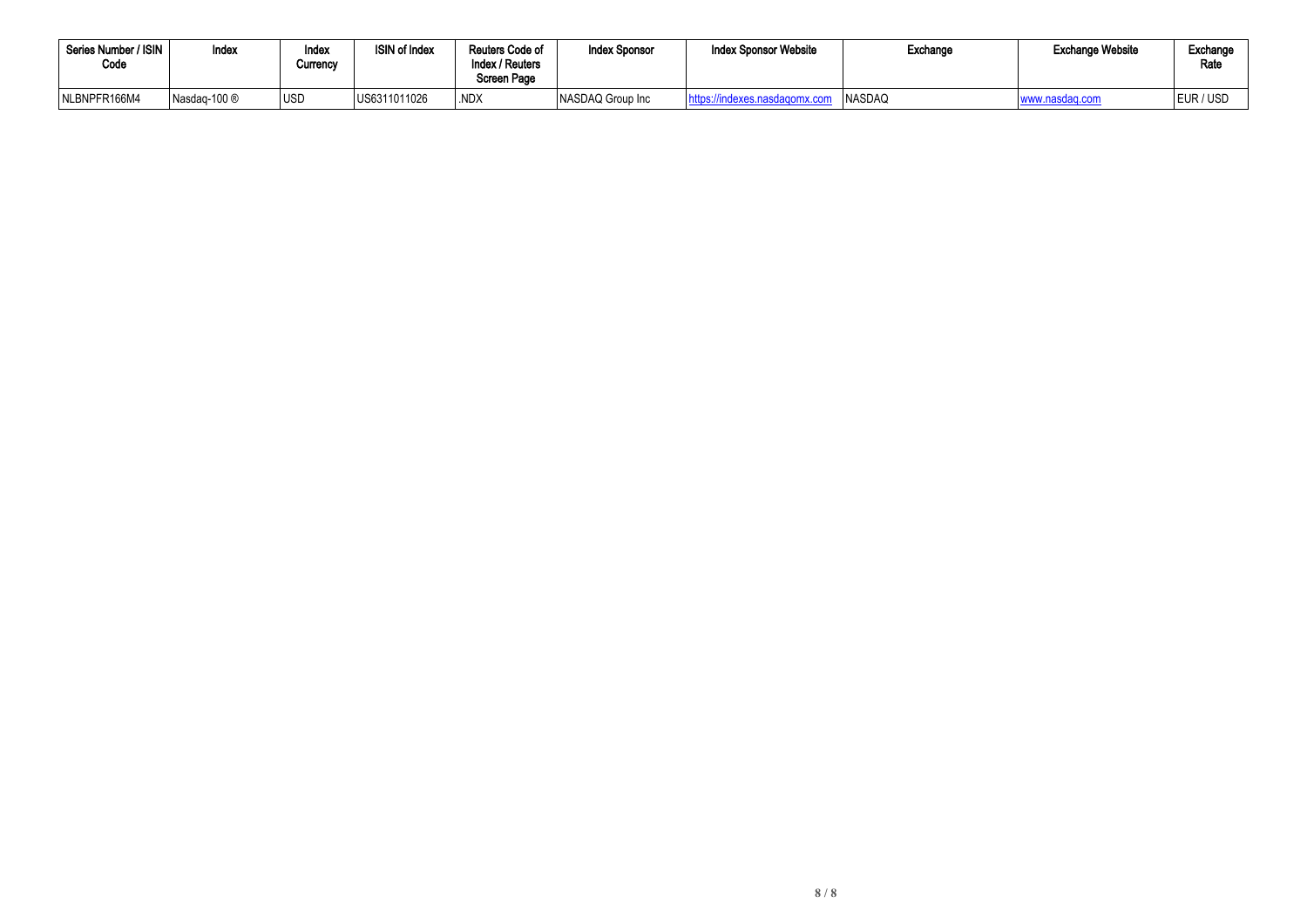| Series Number / ISIN<br>Code | Index        | Index<br>Currency | <b>ISIN of Index</b> | Reuters Code of<br>Index / Reuters<br>Screen Page | <b>Index Sponsor</b> | <b>Index Sponsor Website</b> | Exchange      | <b>Exchange Website</b> | Exchange<br>Rate |
|------------------------------|--------------|-------------------|----------------------|---------------------------------------------------|----------------------|------------------------------|---------------|-------------------------|------------------|
| NLBNPFR166M4                 | Nasdag-100 ® | <b>IUSD</b>       | US6311011026         | .NDX                                              | NASDAQ Group Inc     | exes.nasdagomx.com           | <b>NASDAQ</b> | www.nasdag.com          | EUR / USI        |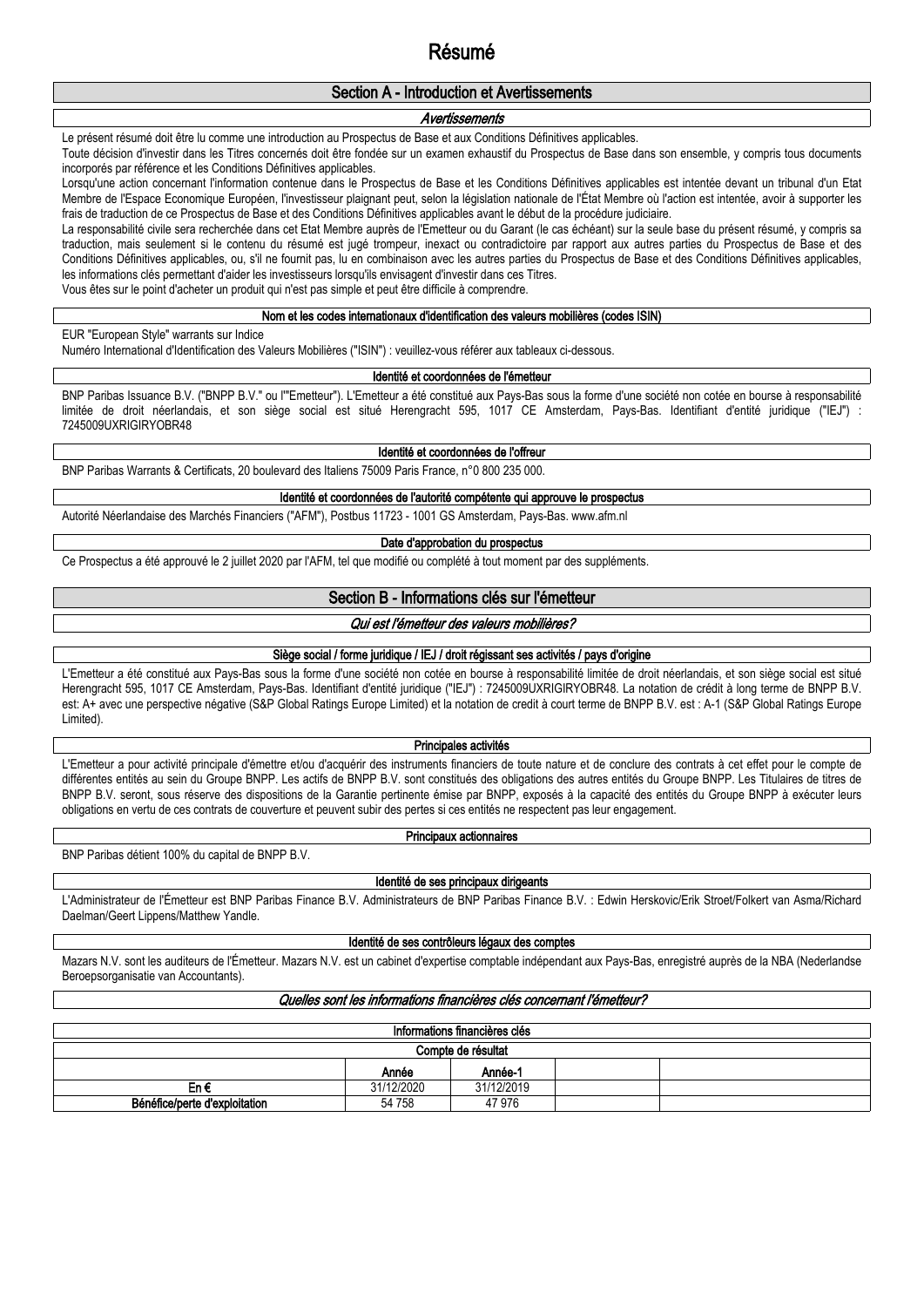# **Résumé**

### **Section A - Introduction et Avertissements**

### *Avertissements*

Le présent résumé doit être lu comme une introduction au Prospectus de Base et aux Conditions Définitives applicables.

Toute décision d'investir dans les Titres concernés doit être fondée sur un examen exhaustif du Prospectus de Base dans son ensemble, y compris tous documents incorporés par référence et les Conditions Définitives applicables.

Lorsqu'une action concernant l'information contenue dans le Prospectus de Base et les Conditions Définitives applicables est intentée devant un tribunal d'un Etat Membre de l'Espace Economique Européen, l'investisseur plaignant peut, selon la législation nationale de l'État Membre où l'action est intentée, avoir à supporter les frais de traduction de ce Prospectus de Base et des Conditions Définitives applicables avant le début de la procédure judiciaire.

La responsabilité civile sera recherchée dans cet Etat Membre auprès de l'Emetteur ou du Garant (le cas échéant) sur la seule base du présent résumé, y compris sa traduction, mais seulement si le contenu du résumé est jugé trompeur, inexact ou contradictoire par rapport aux autres parties du Prospectus de Base et des Conditions Définitives applicables, ou, s'il ne fournit pas, lu en combinaison avec les autres parties du Prospectus de Base et des Conditions Définitives applicables, les informations clés permettant d'aider les investisseurs lorsqu'ils envisagent d'investir dans ces Titres.

Vous êtes sur le point d'acheter un produit qui n'est pas simple et peut être difficile à comprendre.

#### **Nom et les codes internationaux d'identification des valeurs mobilières (codes ISIN)**

EUR "European Style" warrants sur Indice

Numéro International d'Identification des Valeurs Mobilières ("ISIN") : veuillez-vous référer aux tableaux ci-dessous.

### **Identité et coordonnées de l'émetteur**

BNP Paribas Issuance B.V. ("BNPP B.V." ou l'"Emetteur"). L'Emetteur a été constitué aux Pays-Bas sous la forme d'une société non cotée en bourse à responsabilité limitée de droit néerlandais, et son siège social est situé Herengracht 595, 1017 CE Amsterdam, Pays-Bas. Identifiant d'entité juridique ("IEJ") : 7245009UXRIGIRYOBR48

### **Identité et coordonnées de l'offreur**

BNP Paribas Warrants & Certificats, 20 boulevard des Italiens 75009 Paris France, n°0 800 235 000.

**Identité et coordonnées de l'autorité compétente qui approuve le prospectus**

Autorité Néerlandaise des Marchés Financiers ("AFM"), Postbus 11723 - 1001 GS Amsterdam, Pays-Bas. www.afm.nl

#### **Date d'approbation du prospectus**

Ce Prospectus a été approuvé le 2 juillet 2020 par l'AFM, tel que modifié ou complété à tout moment par des suppléments.

### **Section B - Informations clés sur l'émetteur**

#### *Qui est l'émetteur des valeurs mobilières?*

### **Siège social / forme juridique / IEJ / droit régissant ses activités / pays d'origine**

L'Emetteur a été constitué aux Pays-Bas sous la forme d'une société non cotée en bourse à responsabilité limitée de droit néerlandais, et son siège social est situé Herengracht 595, 1017 CE Amsterdam, Pays-Bas. Identifiant d'entité juridique ("IEJ") : 7245009UXRIGIRYOBR48. La notation de crédit à long terme de BNPP B.V. est: A+ avec une perspective négative (S&P Global Ratings Europe Limited) et la notation de credit à court terme de BNPP B.V. est : A-1 (S&P Global Ratings Europe Limited).

#### **Principales activités**

L'Emetteur a pour activité principale d'émettre et/ou d'acquérir des instruments financiers de toute nature et de conclure des contrats à cet effet pour le compte de différentes entités au sein du Groupe BNPP. Les actifs de BNPP B.V. sont constitués des obligations des autres entités du Groupe BNPP. Les Titulaires de titres de BNPP B.V. seront, sous réserve des dispositions de la Garantie pertinente émise par BNPP, exposés à la capacité des entités du Groupe BNPP à exécuter leurs obligations en vertu de ces contrats de couverture et peuvent subir des pertes si ces entités ne respectent pas leur engagement.

#### **Principaux actionnaires**

BNP Paribas détient 100% du capital de BNPP B.V.

#### **Identité de ses principaux dirigeants**

L'Administrateur de l'Émetteur est BNP Paribas Finance B.V. Administrateurs de BNP Paribas Finance B.V. : Edwin Herskovic/Erik Stroet/Folkert van Asma/Richard Daelman/Geert Lippens/Matthew Yandle.

#### **Identité de ses contrôleurs légaux des comptes**

Mazars N.V. sont les auditeurs de l'Émetteur. Mazars N.V. est un cabinet d'expertise comptable indépendant aux Pays-Bas, enregistré auprès de la NBA (Nederlandse Beroepsorganisatie van Accountants).

#### *Quelles sont les informations financières clés concernant l'émetteur?*

| Informations financières clés |            |            |  |  |  |  |  |  |
|-------------------------------|------------|------------|--|--|--|--|--|--|
| Compte de résultat            |            |            |  |  |  |  |  |  |
| Année-1<br>Année              |            |            |  |  |  |  |  |  |
| En€                           | 31/12/2020 | 31/12/2019 |  |  |  |  |  |  |
| Bénéfice/perte d'exploitation | 54 758     | 47 976     |  |  |  |  |  |  |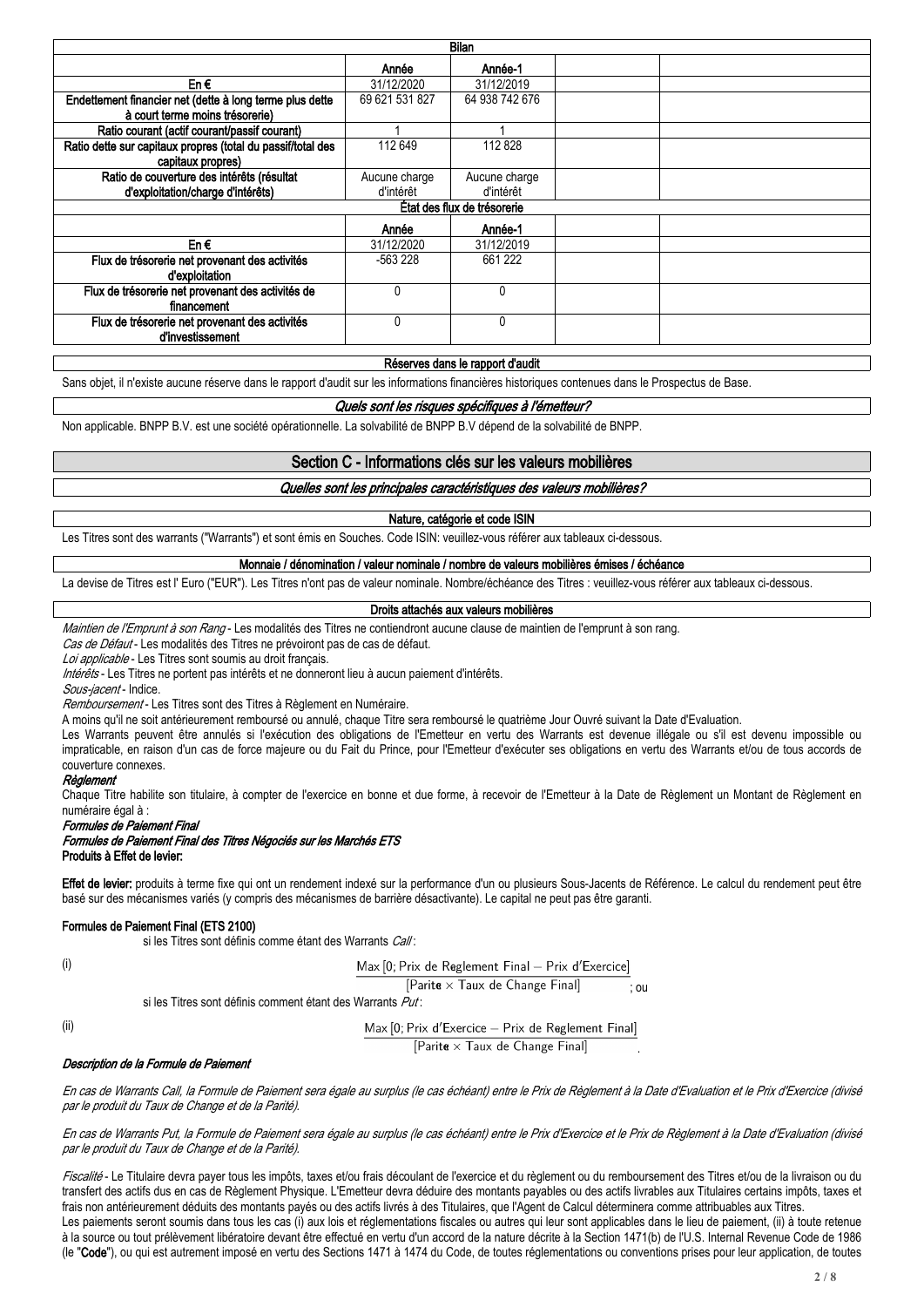| Bilan                                                       |                |                             |  |  |  |  |  |  |  |  |
|-------------------------------------------------------------|----------------|-----------------------------|--|--|--|--|--|--|--|--|
|                                                             | Année          | Année-1                     |  |  |  |  |  |  |  |  |
| En€                                                         | 31/12/2020     | 31/12/2019                  |  |  |  |  |  |  |  |  |
| Endettement financier net (dette à long terme plus dette    | 69 621 531 827 | 64 938 742 676              |  |  |  |  |  |  |  |  |
| à court terme moins trésorerie)                             |                |                             |  |  |  |  |  |  |  |  |
| Ratio courant (actif courant/passif courant)                |                |                             |  |  |  |  |  |  |  |  |
| Ratio dette sur capitaux propres (total du passif/total des | 112 649        | 112 828                     |  |  |  |  |  |  |  |  |
| capitaux propres)                                           |                |                             |  |  |  |  |  |  |  |  |
| Ratio de couverture des intérêts (résultat                  | Aucune charge  | Aucune charge               |  |  |  |  |  |  |  |  |
| d'exploitation/charge d'intérêts)                           | d'intérêt      | d'intérêt                   |  |  |  |  |  |  |  |  |
|                                                             |                | État des flux de trésorerie |  |  |  |  |  |  |  |  |
|                                                             | Année          | Année-1                     |  |  |  |  |  |  |  |  |
| En€                                                         | 31/12/2020     | 31/12/2019                  |  |  |  |  |  |  |  |  |
| Flux de trésorerie net provenant des activités              | -563 228       | 661 222                     |  |  |  |  |  |  |  |  |
| d'exploitation                                              |                |                             |  |  |  |  |  |  |  |  |
| Flux de trésorerie net provenant des activités de           | 0              | Λ                           |  |  |  |  |  |  |  |  |
| financement                                                 |                |                             |  |  |  |  |  |  |  |  |
| Flux de trésorerie net provenant des activités              | 0              | Λ                           |  |  |  |  |  |  |  |  |
| d'investissement                                            |                |                             |  |  |  |  |  |  |  |  |

#### **Réserves dans le rapport d'audit**

Sans objet, il n'existe aucune réserve dans le rapport d'audit sur les informations financières historiques contenues dans le Prospectus de Base.

#### *Quels sont les risques spécifiques à l'émetteur?*

Non applicable. BNPP B.V. est une société opérationnelle. La solvabilité de BNPP B.V dépend de la solvabilité de BNPP.

### **Section C - Informations clés sur les valeurs mobilières**

*Quelles sont les principales caractéristiques des valeurs mobilières?*

#### **Nature, catégorie et code ISIN**

Les Titres sont des warrants ("Warrants") et sont émis en Souches. Code ISIN: veuillez-vous référer aux tableaux ci-dessous.

#### **Monnaie / dénomination / valeur nominale / nombre de valeurs mobilières émises / échéance**

La devise de Titres est l' Euro ("EUR"). Les Titres n'ont pas de valeur nominale. Nombre/échéance des Titres : veuillez-vous référer aux tableaux ci-dessous.

#### **Droits attachés aux valeurs mobilières**

*Maintien de l'Emprunt à son Rang* - Les modalités des Titres ne contiendront aucune clause de maintien de l'emprunt à son rang.

*Cas de Défaut* - Les modalités des Titres ne prévoiront pas de cas de défaut.

*Loi applicable* - Les Titres sont soumis au droit français.

*Intérêts* - Les Titres ne portent pas intérêts et ne donneront lieu à aucun paiement d'intérêts.

*Sous-jacent* - Indice.

*Remboursement* - Les Titres sont des Titres à Règlement en Numéraire.

A moins qu'il ne soit antérieurement remboursé ou annulé, chaque Titre sera remboursé le quatrième Jour Ouvré suivant la Date d'Evaluation.

Les Warrants peuvent être annulés si l'exécution des obligations de l'Emetteur en vertu des Warrants est devenue illégale ou s'il est devenu impossible ou impraticable, en raison d'un cas de force majeure ou du Fait du Prince, pour l'Emetteur d'exécuter ses obligations en vertu des Warrants et/ou de tous accords de couverture connexes.

### *Règlement*

Chaque Titre habilite son titulaire, à compter de l'exercice en bonne et due forme, à recevoir de l'Emetteur à la Date de Règlement un Montant de Règlement en numéraire égal à :

*Formules de Paiement Final*

#### *Formules de Paiement Final des Titres Négociés sur les Marchés ETS* **Produits à Effet de levier:**

Effet de levier: produits à terme fixe qui ont un rendement indexé sur la performance d'un ou plusieurs Sous-Jacents de Référence. Le calcul du rendement peut être basé sur des mécanismes variés (y compris des mécanismes de barrière désactivante). Le capital ne peut pas être garanti.

#### **Formules de Paiement Final (ETS 2100)**

si les Titres sont définis comme étant des Warrants *Call* :

Max [0; Prix de Reglement Final - Prix d'Exercice]

 $[Parit\mathbf{e} \times Taux \text{ de Change Final}]$ ; ou

si les Titres sont définis comment étant des Warrants *Put* :

(ii)

(i)

Max [0; Prix d'Exercice - Prix de Reglement Final]  $[Parit\mathbf{e} \times Taux \text{ de Change Final}]$ .

#### *Description de la Formule de Paiement*

En cas de Warrants Call, la Formule de Paiement sera égale au surplus (le cas échéant) entre le Prix de Règlement à la Date d'Evaluation et le Prix d'Exercice (divisé *par le produit du Taux de Change et de la Parité).*

En cas de Warrants Put, la Formule de Paiement sera égale au surplus (le cas échéant) entre le Prix d'Exercice et le Prix de Règlement à la Date d'Evaluation (divisé *par le produit du Taux de Change et de la Parité).*

*Fiscalité* - Le Titulaire devra payer tous les impôts, taxes et/ou frais découlant de l'exercice et du règlement ou du remboursement des Titres et/ou de la livraison ou du transfert des actifs dus en cas de Règlement Physique. L'Emetteur devra déduire des montants payables ou des actifs livrables aux Titulaires certains impôts, taxes et frais non antérieurement déduits des montants payés ou des actifs livrés à des Titulaires, que l'Agent de Calcul déterminera comme attribuables aux Titres. Les paiements seront soumis dans tous les cas (i) aux lois et réglementations fiscales ou autres qui leur sont applicables dans le lieu de paiement, (ii) à toute retenue à la source ou tout prélèvement libératoire devant être effectué en vertu d'un accord de la nature décrite à la Section 1471(b) de l'U.S. Internal Revenue Code de 1986 (le "**Code**"), ou qui est autrement imposé en vertu des Sections 1471 à 1474 du Code, de toutes réglementations ou conventions prises pour leur application, de toutes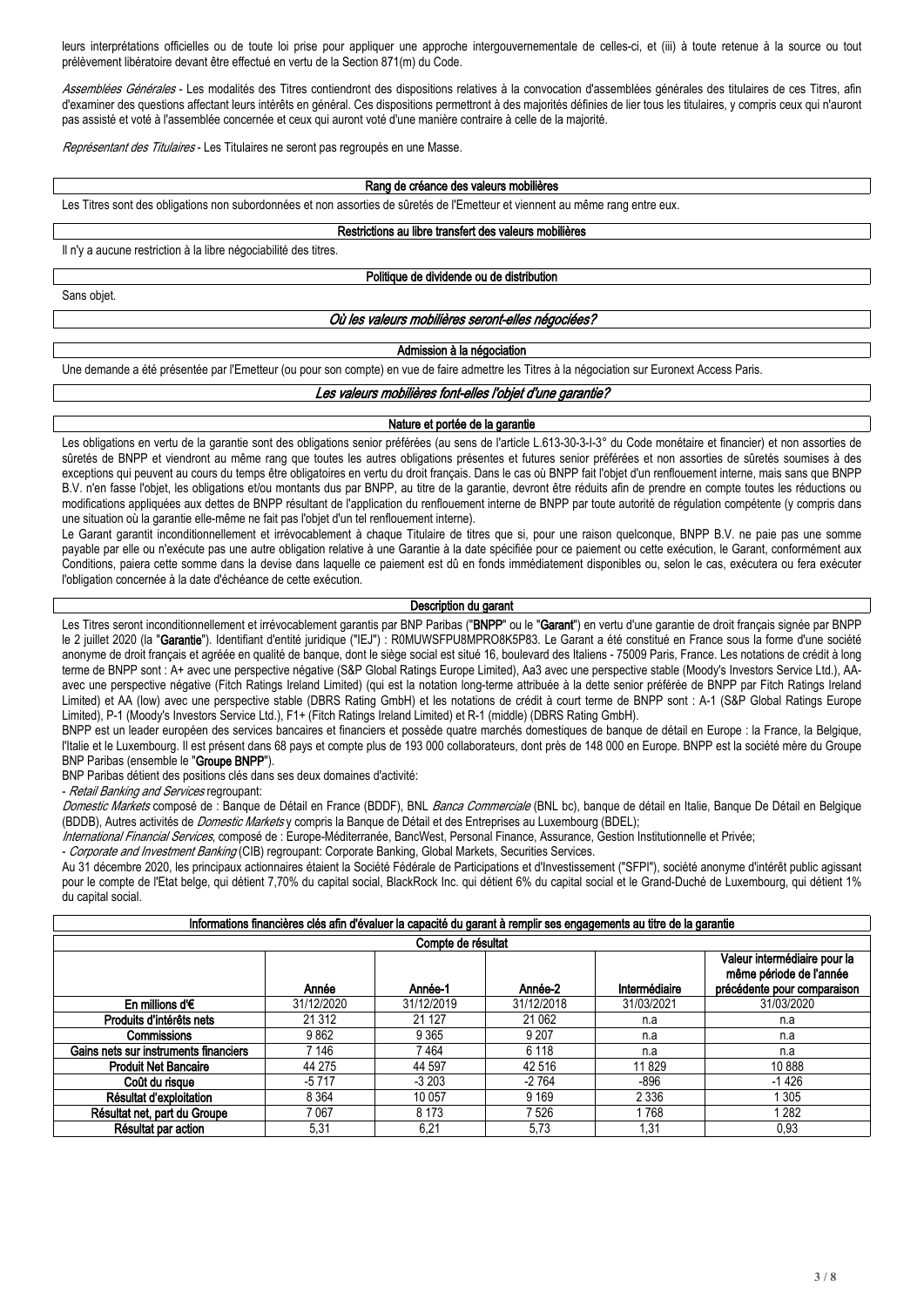leurs interprétations officielles ou de toute loi prise pour appliquer une approche intergouvernementale de celles-ci, et (iii) à toute retenue à la source ou tout prélèvement libératoire devant être effectué en vertu de la Section 871(m) du Code.

*Assemblées Générales* - Les modalités des Titres contiendront des dispositions relatives à la convocation d'assemblées générales des titulaires de ces Titres, afin d'examiner des questions affectant leurs intérêts en général. Ces dispositions permettront à des majorités définies de lier tous les titulaires, y compris ceux qui n'auront pas assisté et voté à l'assemblée concernée et ceux qui auront voté d'une manière contraire à celle de la majorité.

*Représentant des Titulaires* - Les Titulaires ne seront pas regroupés en une Masse.

**Rang de créance des valeurs mobilières**

Les Titres sont des obligations non subordonnées et non assorties de sûretés de l'Emetteur et viennent au même rang entre eux.

**Restrictions au libre transfert des valeurs mobilières**

Il n'y a aucune restriction à la libre négociabilité des titres.

**Politique de dividende ou de distribution**

Sans objet.

#### *Où les valeurs mobilières seront-elles négociées?*

#### **Admission à la négociation**

Une demande a été présentée par l'Emetteur (ou pour son compte) en vue de faire admettre les Titres à la négociation sur Euronext Access Paris.

#### *Les valeurs mobilières font-elles l'objet d'une garantie?*

### **Nature et portée de la garantie**

Les obligations en vertu de la garantie sont des obligations senior préférées (au sens de l'article L.613-30-3-I-3° du Code monétaire et financier) et non assorties de sûretés de BNPP et viendront au même rang que toutes les autres obligations présentes et futures senior préférées et non assorties de sûretés soumises à des exceptions qui peuvent au cours du temps être obligatoires en vertu du droit français. Dans le cas où BNPP fait l'objet d'un renflouement interne, mais sans que BNPP B.V. n'en fasse l'objet, les obligations et/ou montants dus par BNPP, au titre de la garantie, devront être réduits afin de prendre en compte toutes les réductions ou modifications appliquées aux dettes de BNPP résultant de l'application du renflouement interne de BNPP par toute autorité de régulation compétente (y compris dans une situation où la garantie elle-même ne fait pas l'objet d'un tel renflouement interne).

Le Garant garantit inconditionnellement et irrévocablement à chaque Titulaire de titres que si, pour une raison quelconque, BNPP B.V. ne paie pas une somme payable par elle ou n'exécute pas une autre obligation relative à une Garantie à la date spécifiée pour ce paiement ou cette exécution, le Garant, conformément aux Conditions, paiera cette somme dans la devise dans laquelle ce paiement est dû en fonds immédiatement disponibles ou, selon le cas, exécutera ou fera exécuter l'obligation concernée à la date d'échéance de cette exécution.

#### **Description du garant**

Les Titres seront inconditionnellement et irrévocablement garantis par BNP Paribas ("**BNPP**" ou le "**Garant**") en vertu d'une garantie de droit français signée par BNPP le 2 juillet 2020 (la "Garantie"). Identifiant d'entité juridique ("IEJ") : R0MUWSFPU8MPRO8K5P83. Le Garant a été constitué en France sous la forme d'une société anonyme de droit français et agréée en qualité de banque, dont le siège social est situé 16, boulevard des Italiens - 75009 Paris, France. Les notations de crédit à long terme de BNPP sont : A+ avec une perspective négative (S&P Global Ratings Europe Limited), Aa3 avec une perspective stable (Moody's Investors Service Ltd.), AAavec une perspective négative (Fitch Ratings Ireland Limited) (qui est la notation long-terme attribuée à la dette senior préférée de BNPP par Fitch Ratings Ireland Limited) et AA (low) avec une perspective stable (DBRS Rating GmbH) et les notations de crédit à court terme de BNPP sont : A-1 (S&P Global Ratings Europe Limited), P-1 (Moody's Investors Service Ltd.), F1+ (Fitch Ratings Ireland Limited) et R-1 (middle) (DBRS Rating GmbH).

BNPP est un leader européen des services bancaires et financiers et possède quatre marchés domestiques de banque de détail en Europe : la France, la Belgique, l'Italie et le Luxembourg. Il est présent dans 68 pays et compte plus de 193 000 collaborateurs, dont près de 148 000 en Europe. BNPP est la société mère du Groupe BNP Paribas (ensemble le "**Groupe BNPP**").

BNP Paribas détient des positions clés dans ses deux domaines d'activité:

- *Retail Banking and Services* regroupant:

*Domestic Markets* composé de : Banque de Détail en France (BDDF), BNL *Banca Commerciale* (BNL bc), banque de détail en Italie, Banque De Détail en Belgique (BDDB), Autres activités de *Domestic Markets* y compris la Banque de Détail et des Entreprises au Luxembourg (BDEL);

*International Financial Services*, composé de : Europe-Méditerranée, BancWest, Personal Finance, Assurance, Gestion Institutionnelle et Privée;

- *Corporate and Investment Banking* (CIB) regroupant: Corporate Banking, Global Markets, Securities Services.

Au 31 décembre 2020, les principaux actionnaires étaient la Société Fédérale de Participations et d'Investissement ("SFPI"), société anonyme d'intérêt public agissant pour le compte de l'Etat belge, qui détient 7,70% du capital social, BlackRock Inc. qui détient 6% du capital social et le Grand-Duché de Luxembourg, qui détient 1% du capital social.

| Informations financières clés afin d'évaluer la capacité du garant à remplir ses engagements au titre de la garantie |                                                                                        |            |            |            |            |  |  |  |  |  |
|----------------------------------------------------------------------------------------------------------------------|----------------------------------------------------------------------------------------|------------|------------|------------|------------|--|--|--|--|--|
| Compte de résultat                                                                                                   |                                                                                        |            |            |            |            |  |  |  |  |  |
|                                                                                                                      | Valeur intermédiaire pour la<br>même période de l'année<br>précédente pour comparaison |            |            |            |            |  |  |  |  |  |
| En millions d' $\epsilon$                                                                                            | 31/12/2020                                                                             | 31/12/2019 | 31/12/2018 | 31/03/2021 | 31/03/2020 |  |  |  |  |  |
| Produits d'intérêts nets                                                                                             | 21 312                                                                                 | 21 1 27    | 21 0 62    | n.a        | n.a        |  |  |  |  |  |
| Commissions                                                                                                          | 9862                                                                                   | 9 3 6 5    | 9 2 0 7    | n.a        | n.a        |  |  |  |  |  |
| Gains nets sur instruments financiers                                                                                | 7 146                                                                                  | 7464       | 6 1 1 8    | n.a        | n.a        |  |  |  |  |  |
| <b>Produit Net Bancaire</b>                                                                                          | 44 275                                                                                 | 44 597     | 42 516     | 11829      | 10888      |  |  |  |  |  |
| Coût du risque                                                                                                       | $-5717$                                                                                | $-3203$    | $-2764$    | -896       | $-1426$    |  |  |  |  |  |
| Résultat d'exploitation                                                                                              | 8 3 6 4                                                                                | 10 057     | 9 1 6 9    | 2 3 3 6    | 1 3 0 5    |  |  |  |  |  |
| Résultat net, part du Groupe                                                                                         | 7067                                                                                   | 8 1 7 3    | 7 5 2 6    | 1 768      | 1 282      |  |  |  |  |  |
| Résultat par action                                                                                                  | 5,31                                                                                   | 6,21       | 5,73       | 1,31       | 0,93       |  |  |  |  |  |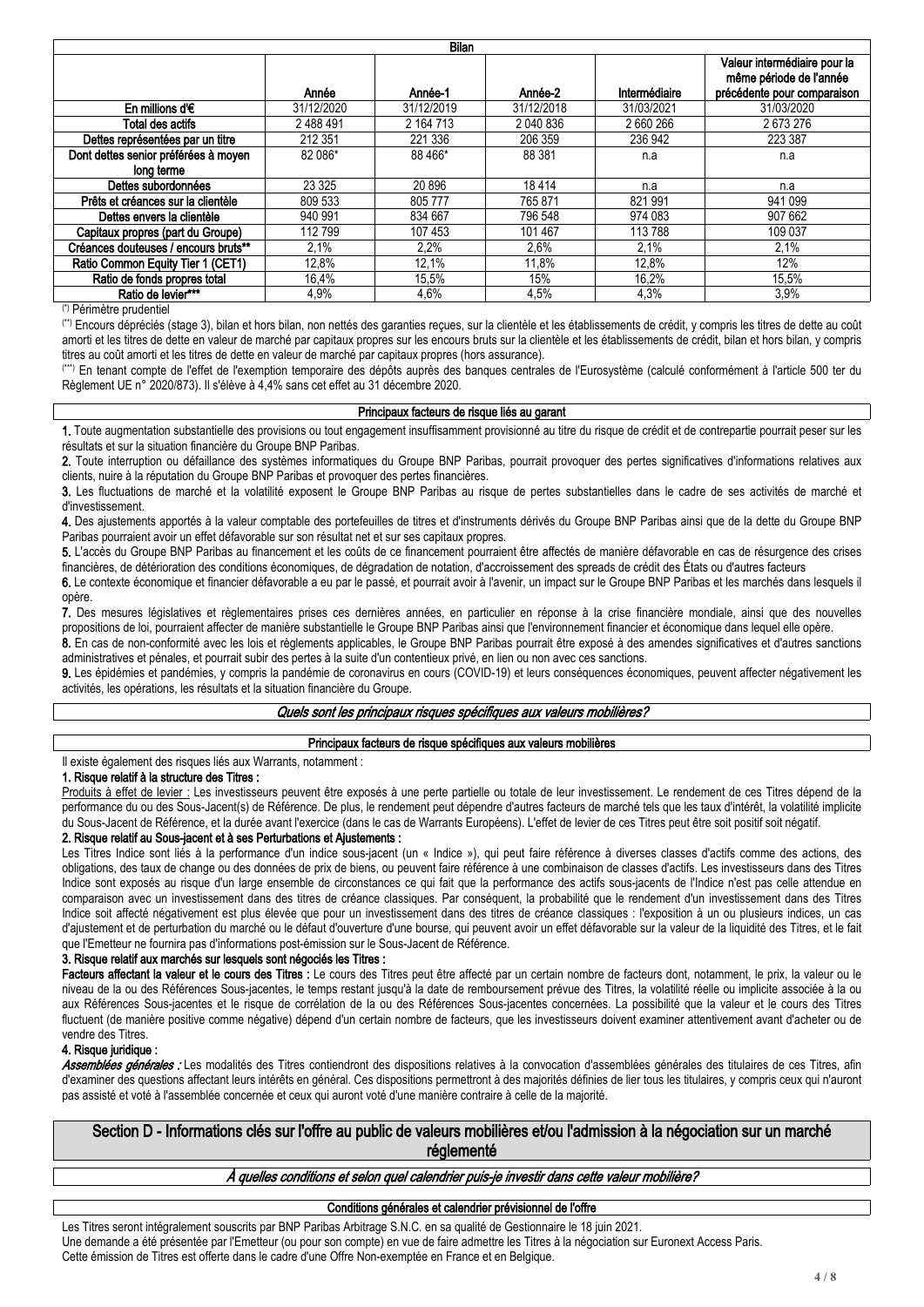| <b>Bilan</b>                         |            |            |            |               |                                                                                        |  |  |  |  |  |  |
|--------------------------------------|------------|------------|------------|---------------|----------------------------------------------------------------------------------------|--|--|--|--|--|--|
|                                      | Année      | Année-1    | Année-2    | Intermédiaire | Valeur intermédiaire pour la<br>même période de l'année<br>précédente pour comparaison |  |  |  |  |  |  |
| En millions d' $\epsilon$            | 31/12/2020 | 31/12/2019 | 31/12/2018 | 31/03/2021    | 31/03/2020                                                                             |  |  |  |  |  |  |
| Total des actifs                     | 2488491    | 2 164 713  | 2 040 836  | 2660266       | 2673276                                                                                |  |  |  |  |  |  |
| Dettes représentées par un titre     | 212 351    | 221 336    | 206 359    | 236 942       | 223 387                                                                                |  |  |  |  |  |  |
| Dont dettes senior préférées à moyen | 82 086*    | 88 466*    | 88 381     | n.a           | n.a                                                                                    |  |  |  |  |  |  |
| long terme                           |            |            |            |               |                                                                                        |  |  |  |  |  |  |
| Dettes subordonnées                  | 23 3 25    | 20 896     | 18414      | n.a           | n.a                                                                                    |  |  |  |  |  |  |
| Prêts et créances sur la clientèle   | 809 533    | 805 777    | 765 871    | 821 991       | 941 099                                                                                |  |  |  |  |  |  |
| Dettes envers la clientèle           | 940 991    | 834 667    | 796 548    | 974 083       | 907 662                                                                                |  |  |  |  |  |  |
| Capitaux propres (part du Groupe)    | 112799     | 107 453    | 101 467    | 113 788       | 109 037                                                                                |  |  |  |  |  |  |
| Créances douteuses / encours bruts** | 2.1%       | $2.2\%$    | 2,6%       | 2.1%          | 2.1%                                                                                   |  |  |  |  |  |  |
| Ratio Common Equity Tier 1 (CET1)    | 12,8%      | 12,1%      | 11,8%      | 12,8%         | 12%                                                                                    |  |  |  |  |  |  |
| Ratio de fonds propres total         | 16,4%      | 15,5%      | 15%        | 16,2%         | 15,5%                                                                                  |  |  |  |  |  |  |
| Ratio de levier***                   | 4.9%       | 4.6%       | 4.5%       | 4.3%          | 3.9%                                                                                   |  |  |  |  |  |  |

(\*) Périmètre prudentiel

(\*\*) Encours dépréciés (stage 3), bilan et hors bilan, non nettés des garanties reçues, sur la clientèle et les établissements de crédit, y compris les titres de dette au coût amorti et les titres de dette en valeur de marché par capitaux propres sur les encours bruts sur la clientèle et les établissements de crédit, bilan et hors bilan, y compris titres au coût amorti et les titres de dette en valeur de marché par capitaux propres (hors assurance).

(\*\*\*) En tenant compte de l'effet de l'exemption temporaire des dépôts auprès des banques centrales de l'Eurosystème (calculé conformément à l'article 500 ter du Règlement UE n° 2020/873). Il s'élève à 4,4% sans cet effet au 31 décembre 2020.

#### **Principaux facteurs de risque liés au garant**

**1.** Toute augmentation substantielle des provisions ou tout engagement insuffisamment provisionné au titre du risque de crédit et de contrepartie pourrait peser sur les résultats et sur la situation financière du Groupe BNP Paribas.

**2.** Toute interruption ou défaillance des systèmes informatiques du Groupe BNP Paribas, pourrait provoquer des pertes significatives d'informations relatives aux clients, nuire à la réputation du Groupe BNP Paribas et provoquer des pertes financières.

**3.** Les fluctuations de marché et la volatilité exposent le Groupe BNP Paribas au risque de pertes substantielles dans le cadre de ses activités de marché et d'investissement.

**4.** Des ajustements apportés à la valeur comptable des portefeuilles de titres et d'instruments dérivés du Groupe BNP Paribas ainsi que de la dette du Groupe BNP Paribas pourraient avoir un effet défavorable sur son résultat net et sur ses capitaux propres.

**5.** L'accès du Groupe BNP Paribas au financement et les coûts de ce financement pourraient être affectés de manière défavorable en cas de résurgence des crises financières, de détérioration des conditions économiques, de dégradation de notation, d'accroissement des spreads de crédit des États ou d'autres facteurs

**6.** Le contexte économique et financier défavorable a eu par le passé, et pourrait avoir à l'avenir, un impact sur le Groupe BNP Paribas et les marchés dans lesquels il opère.

**7.** Des mesures législatives et règlementaires prises ces dernières années, en particulier en réponse à la crise financière mondiale, ainsi que des nouvelles propositions de loi, pourraient affecter de manière substantielle le Groupe BNP Paribas ainsi que l'environnement financier et économique dans lequel elle opère.

**8.** En cas de non-conformité avec les lois et règlements applicables, le Groupe BNP Paribas pourrait être exposé à des amendes significatives et d'autres sanctions administratives et pénales, et pourrait subir des pertes à la suite d'un contentieux privé, en lien ou non avec ces sanctions.

9. Les épidémies et pandémies, y compris la pandémie de coronavirus en cours (COVID-19) et leurs conséquences économiques, peuvent affecter négativement les activités, les opérations, les résultats et la situation financière du Groupe.

### *Quels sont les principaux risques spécifiques aux valeurs mobilières?*

### **Principaux facteurs de risque spécifiques aux valeurs mobilières**

Il existe également des risques liés aux Warrants, notamment :

### **1. Risque relatif à la structure des Titres :**

Produits à effet de levier : Les investisseurs peuvent être exposés à une perte partielle ou totale de leur investissement. Le rendement de ces Titres dépend de la performance du ou des Sous-Jacent(s) de Référence. De plus, le rendement peut dépendre d'autres facteurs de marché tels que les taux d'intérêt, la volatilité implicite du Sous-Jacent de Référence, et la durée avant l'exercice (dans le cas de Warrants Européens). L'effet de levier de ces Titres peut être soit positif soit négatif.

### **2. Risque relatif au Sous-jacent et à ses Perturbations et Ajustements :**

Les Titres Indice sont liés à la performance d'un indice sous-jacent (un « Indice »), qui peut faire référence à diverses classes d'actifs comme des actions, des obligations, des taux de change ou des données de prix de biens, ou peuvent faire référence à une combinaison de classes d'actifs. Les investisseurs dans des Titres Indice sont exposés au risque d'un large ensemble de circonstances ce qui fait que la performance des actifs sous-jacents de l'Indice n'est pas celle attendue en comparaison avec un investissement dans des titres de créance classiques. Par conséquent, la probabilité que le rendement d'un investissement dans des Titres Indice soit affecté négativement est plus élevée que pour un investissement dans des titres de créance classiques : l'exposition à un ou plusieurs indices, un cas d'ajustement et de perturbation du marché ou le défaut d'ouverture d'une bourse, qui peuvent avoir un effet défavorable sur la valeur de la liquidité des Titres, et le fait que l'Emetteur ne fournira pas d'informations post-émission sur le Sous-Jacent de Référence.

### **3. Risque relatif aux marchés sur lesquels sont négociés les Titres :**

Facteurs affectant la valeur et le cours des Titres : Le cours des Titres peut être affecté par un certain nombre de facteurs dont, notamment, le prix, la valeur ou le niveau de la ou des Références Sous-jacentes, le temps restant jusqu'à la date de remboursement prévue des Titres, la volatilité réelle ou implicite associée à la ou aux Références Sous-jacentes et le risque de corrélation de la ou des Références Sous-jacentes concernées. La possibilité que la valeur et le cours des Titres fluctuent (de manière positive comme négative) dépend d'un certain nombre de facteurs, que les investisseurs doivent examiner attentivement avant d'acheter ou de vendre des Titres.

### **4. Risque juridique :**

Assemblées générales : Les modalités des Titres contiendront des dispositions relatives à la convocation d'assemblées générales des titulaires de ces Titres, afin d'examiner des questions affectant leurs intérêts en général. Ces dispositions permettront à des majorités définies de lier tous les titulaires, y compris ceux qui n'auront pas assisté et voté à l'assemblée concernée et ceux qui auront voté d'une manière contraire à celle de la majorité.

**Section D - Informations clés sur l'offre au public de valeurs mobilières et/ou l'admission à la négociation sur un marché réglementé**

### *À quelles conditions et selon quel calendrier puis-je investir dans cette valeur mobilière?*

### **Conditions générales et calendrier prévisionnel de l'offre**

Les Titres seront intégralement souscrits par BNP Paribas Arbitrage S.N.C. en sa qualité de Gestionnaire le 18 juin 2021. Une demande a été présentée par l'Emetteur (ou pour son compte) en vue de faire admettre les Titres à la négociation sur Euronext Access Paris. Cette émission de Titres est offerte dans le cadre d'une Offre Non-exemptée en France et en Belgique.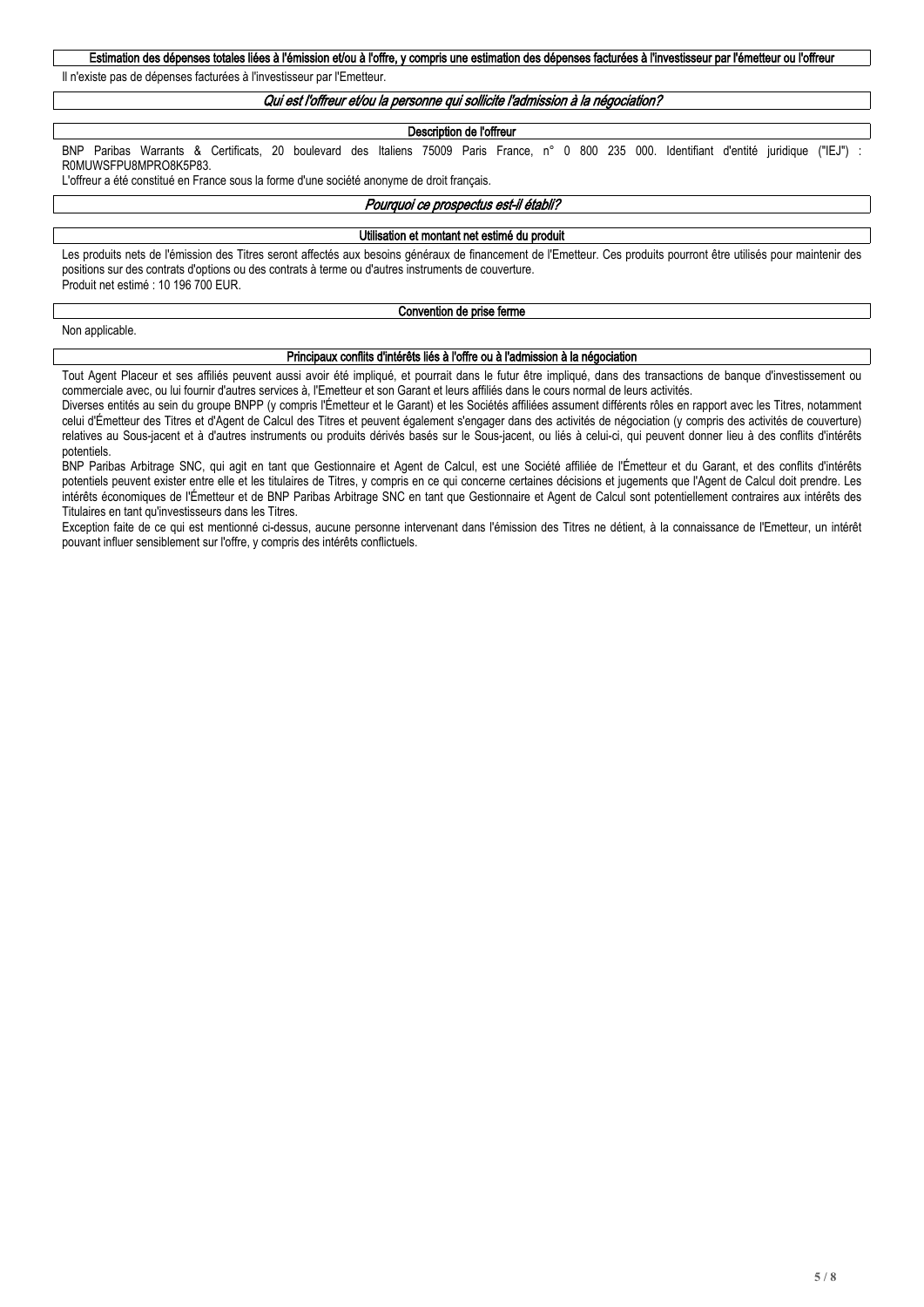## Estimation des dépenses totales liées à l'émission et/ou à l'offre, y compris une estimation des dépenses facturées à l'investisseur par l'émetteur ou l'offreur

Il n'existe pas de dépenses facturées à l'investisseur par l'Emetteur.

### *Qui est l'offreur et/ou la personne qui sollicite l'admission à la négociation?*

#### **Description de l'offreur**

BNP Paribas Warrants & Certificats, 20 boulevard des Italiens 75009 Paris France, n° 0 800 235 000. Identifiant d'entité juridique ("IEJ") R0MUWSFPU8MPRO8K5P83.

L'offreur a été constitué en France sous la forme d'une société anonyme de droit français.

#### *Pourquoi ce prospectus est-il établi?*

#### **Utilisation et montant net estimé du produit**

Les produits nets de l'émission des Titres seront affectés aux besoins généraux de financement de l'Emetteur. Ces produits pourront être utilisés pour maintenir des positions sur des contrats d'options ou des contrats à terme ou d'autres instruments de couverture. Produit net estimé : 10 196 700 EUR.

#### **Convention de prise ferme**

Non applicable.

#### **Principaux conflits d'intérêts liés à l'offre ou à l'admission à la négociation**

Tout Agent Placeur et ses affiliés peuvent aussi avoir été impliqué, et pourrait dans le futur être impliqué, dans des transactions de banque d'investissement ou commerciale avec, ou lui fournir d'autres services à, l'Emetteur et son Garant et leurs affiliés dans le cours normal de leurs activités.

Diverses entités au sein du groupe BNPP (y compris l'Émetteur et le Garant) et les Sociétés affiliées assument différents rôles en rapport avec les Titres, notamment celui d'Émetteur des Titres et d'Agent de Calcul des Titres et peuvent également s'engager dans des activités de négociation (y compris des activités de couverture) relatives au Sous-jacent et à d'autres instruments ou produits dérivés basés sur le Sous-jacent, ou liés à celui-ci, qui peuvent donner lieu à des conflits d'intérêts potentiels.

BNP Paribas Arbitrage SNC, qui agit en tant que Gestionnaire et Agent de Calcul, est une Société affiliée de l'Émetteur et du Garant, et des conflits d'intérêts potentiels peuvent exister entre elle et les titulaires de Titres, y compris en ce qui concerne certaines décisions et jugements que l'Agent de Calcul doit prendre. Les intérêts économiques de l'Émetteur et de BNP Paribas Arbitrage SNC en tant que Gestionnaire et Agent de Calcul sont potentiellement contraires aux intérêts des Titulaires en tant qu'investisseurs dans les Titres.

Exception faite de ce qui est mentionné ci-dessus, aucune personne intervenant dans l'émission des Titres ne détient, à la connaissance de l'Emetteur, un intérêt pouvant influer sensiblement sur l'offre, y compris des intérêts conflictuels.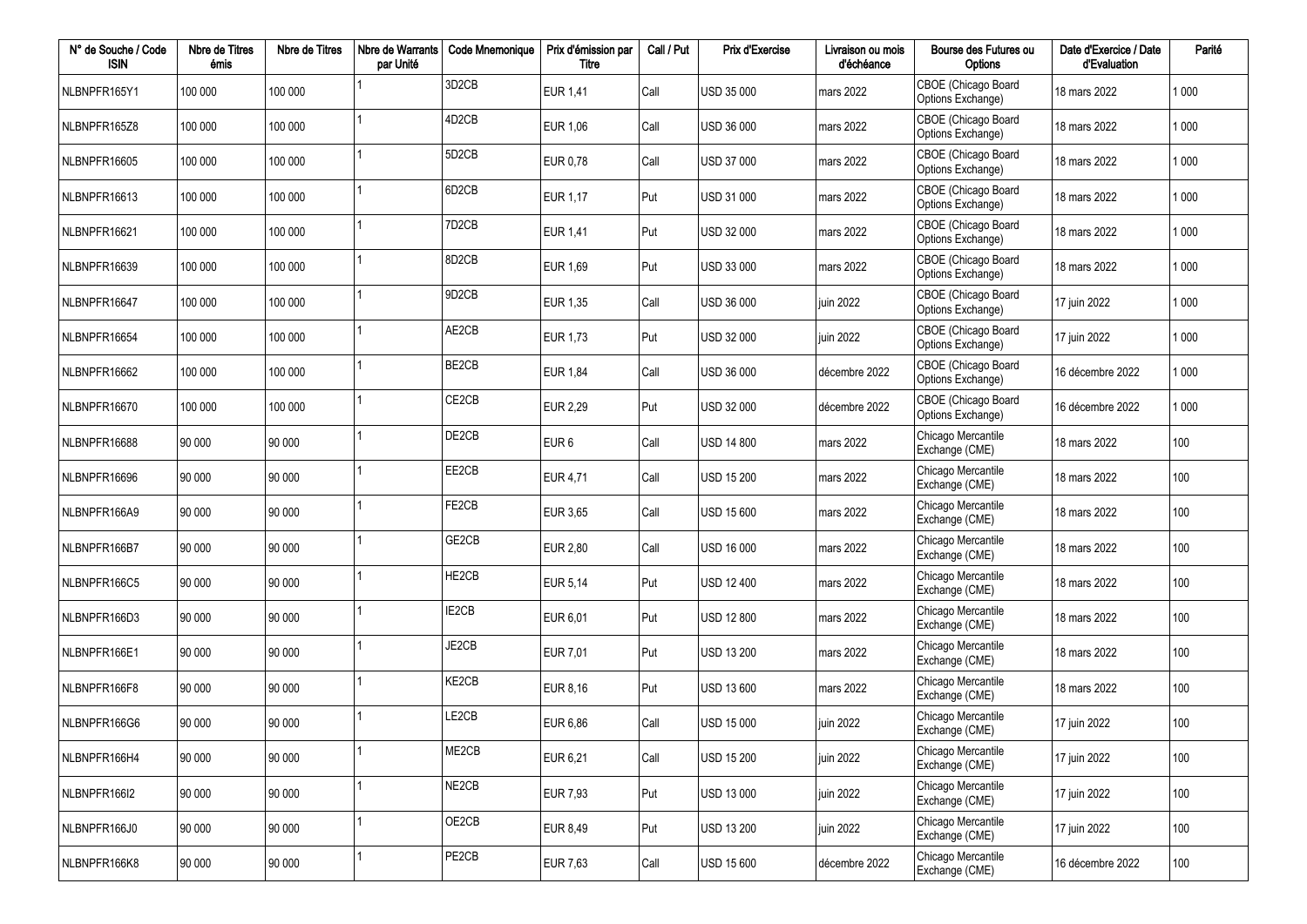| N° de Souche / Code<br><b>ISIN</b> | Nbre de Titres<br>émis | Nbre de Titres | Nbre de Warrants<br>par Unité | <b>Code Mnemonique</b>         | Prix d'émission par<br>Titre | Call / Put | Prix d'Exercise   | Livraison ou mois<br>d'échéance | Bourse des Futures ou<br>Options         | Date d'Exercice / Date<br>d'Evaluation | Parité  |
|------------------------------------|------------------------|----------------|-------------------------------|--------------------------------|------------------------------|------------|-------------------|---------------------------------|------------------------------------------|----------------------------------------|---------|
| NLBNPFR165Y1                       | 100 000                | 100 000        |                               | 3D <sub>2</sub> CB             | EUR 1,41                     | Call       | <b>USD 35 000</b> | mars 2022                       | CBOE (Chicago Board<br>Options Exchange) | 18 mars 2022                           | 1 000   |
| NLBNPFR165Z8                       | 100 000                | 100 000        |                               | 4D <sub>2</sub> C <sub>B</sub> | EUR 1,06                     | Call       | <b>USD 36 000</b> | mars 2022                       | CBOE (Chicago Board<br>Options Exchange) | 18 mars 2022                           | 1 0 0 0 |
| NLBNPFR16605                       | 100 000                | 100 000        |                               | 5D <sub>2</sub> CB             | EUR 0,78                     | Call       | USD 37 000        | mars 2022                       | CBOE (Chicago Board<br>Options Exchange) | 18 mars 2022                           | 1 0 0 0 |
| NLBNPFR16613                       | 100 000                | 100 000        |                               | 6D <sub>2</sub> CB             | EUR 1,17                     | Put        | USD 31 000        | mars 2022                       | CBOE (Chicago Board<br>Options Exchange) | 18 mars 2022                           | 1 000   |
| NLBNPFR16621                       | 100 000                | 100 000        |                               | 7D <sub>2</sub> C <sub>B</sub> | EUR 1,41                     | Put        | USD 32 000        | mars 2022                       | CBOE (Chicago Board<br>Options Exchange) | 18 mars 2022                           | 1 0 0 0 |
| NLBNPFR16639                       | 100 000                | 100 000        |                               | 8D <sub>2</sub> CB             | EUR 1,69                     | Put        | USD 33 000        | mars 2022                       | CBOE (Chicago Board<br>Options Exchange) | 18 mars 2022                           | 1 000   |
| NLBNPFR16647                       | 100 000                | 100 000        |                               | 9D <sub>2</sub> CB             | EUR 1,35                     | Call       | <b>USD 36 000</b> | juin 2022                       | CBOE (Chicago Board<br>Options Exchange) | 17 juin 2022                           | 1 000   |
| NLBNPFR16654                       | 100 000                | 100 000        |                               | AE2CB                          | EUR 1,73                     | Put        | USD 32 000        | juin 2022                       | CBOE (Chicago Board<br>Options Exchange) | 17 juin 2022                           | 1 000   |
| NLBNPFR16662                       | 100 000                | 100 000        |                               | BE2CB                          | <b>EUR 1,84</b>              | Call       | <b>USD 36 000</b> | décembre 2022                   | CBOE (Chicago Board<br>Options Exchange) | 16 décembre 2022                       | 1 000   |
| NLBNPFR16670                       | 100 000                | 100 000        |                               | CE <sub>2</sub> CB             | EUR 2,29                     | Put        | <b>USD 32 000</b> | décembre 2022                   | CBOE (Chicago Board<br>Options Exchange) | 16 décembre 2022                       | 1 000   |
| NLBNPFR16688                       | 90 000                 | 90 000         |                               | DE2CB                          | EUR <sub>6</sub>             | Call       | <b>USD 14 800</b> | mars 2022                       | Chicago Mercantile<br>Exchange (CME)     | 18 mars 2022                           | 100     |
| NLBNPFR16696                       | 90 000                 | 90 000         |                               | EE2CB                          | EUR 4,71                     | Call       | <b>USD 15 200</b> | mars 2022                       | Chicago Mercantile<br>Exchange (CME)     | 18 mars 2022                           | 100     |
| NLBNPFR166A9                       | 90 000                 | 90 000         |                               | FE2CB                          | EUR 3,65                     | Call       | <b>USD 15 600</b> | mars 2022                       | Chicago Mercantile<br>Exchange (CME)     | 18 mars 2022                           | 100     |
| NLBNPFR166B7                       | 90 000                 | 90 000         |                               | GE2CB                          | EUR 2,80                     | Call       | <b>USD 16 000</b> | mars 2022                       | Chicago Mercantile<br>Exchange (CME)     | 18 mars 2022                           | 100     |
| NLBNPFR166C5                       | 90 000                 | 90 000         |                               | HE2CB                          | EUR 5,14                     | Put        | <b>USD 12 400</b> | mars 2022                       | Chicago Mercantile<br>Exchange (CME)     | 18 mars 2022                           | 100     |
| NLBNPFR166D3                       | 90 000                 | 90 000         |                               | IE2CB                          | EUR 6,01                     | Put        | <b>USD 12 800</b> | mars 2022                       | Chicago Mercantile<br>Exchange (CME)     | 18 mars 2022                           | 100     |
| NLBNPFR166E1                       | 90 000                 | 90 000         |                               | JE2CB                          | EUR 7,01                     | Put        | <b>USD 13 200</b> | mars 2022                       | Chicago Mercantile<br>Exchange (CME)     | 18 mars 2022                           | 100     |
| NLBNPFR166F8                       | 90 000                 | 90 000         |                               | KE2CB                          | EUR 8,16                     | Put        | <b>USD 13 600</b> | mars 2022                       | Chicago Mercantile<br>Exchange (CME)     | 18 mars 2022                           | 100     |
| NLBNPFR166G6                       | 90 000                 | 90 000         |                               | LE2CB                          | EUR 6,86                     | Call       | <b>USD 15 000</b> | juin 2022                       | Chicago Mercantile<br>Exchange (CME)     | 17 juin 2022                           | 100     |
| NLBNPFR166H4                       | 90 000                 | 90 000         |                               | ME2CB                          | EUR 6,21                     | Call       | <b>USD 15 200</b> | juin 2022                       | Chicago Mercantile<br>Exchange (CME)     | 17 juin 2022                           | 100     |
| NLBNPFR166I2                       | 90 000                 | 90 000         |                               | NE2CB                          | EUR 7,93                     | Put        | USD 13 000        | juin 2022                       | Chicago Mercantile<br>Exchange (CME)     | 17 juin 2022                           | 100     |
| NLBNPFR166J0                       | 90 000                 | 90 000         |                               | OE2CB                          | EUR 8,49                     | Put        | USD 13 200        | juin 2022                       | Chicago Mercantile<br>Exchange (CME)     | 17 juin 2022                           | 100     |
| NLBNPFR166K8                       | 90 000                 | 90 000         |                               | PE <sub>2</sub> CB             | EUR 7,63                     | Call       | USD 15 600        | décembre 2022                   | Chicago Mercantile<br>Exchange (CME)     | 16 décembre 2022                       | 100     |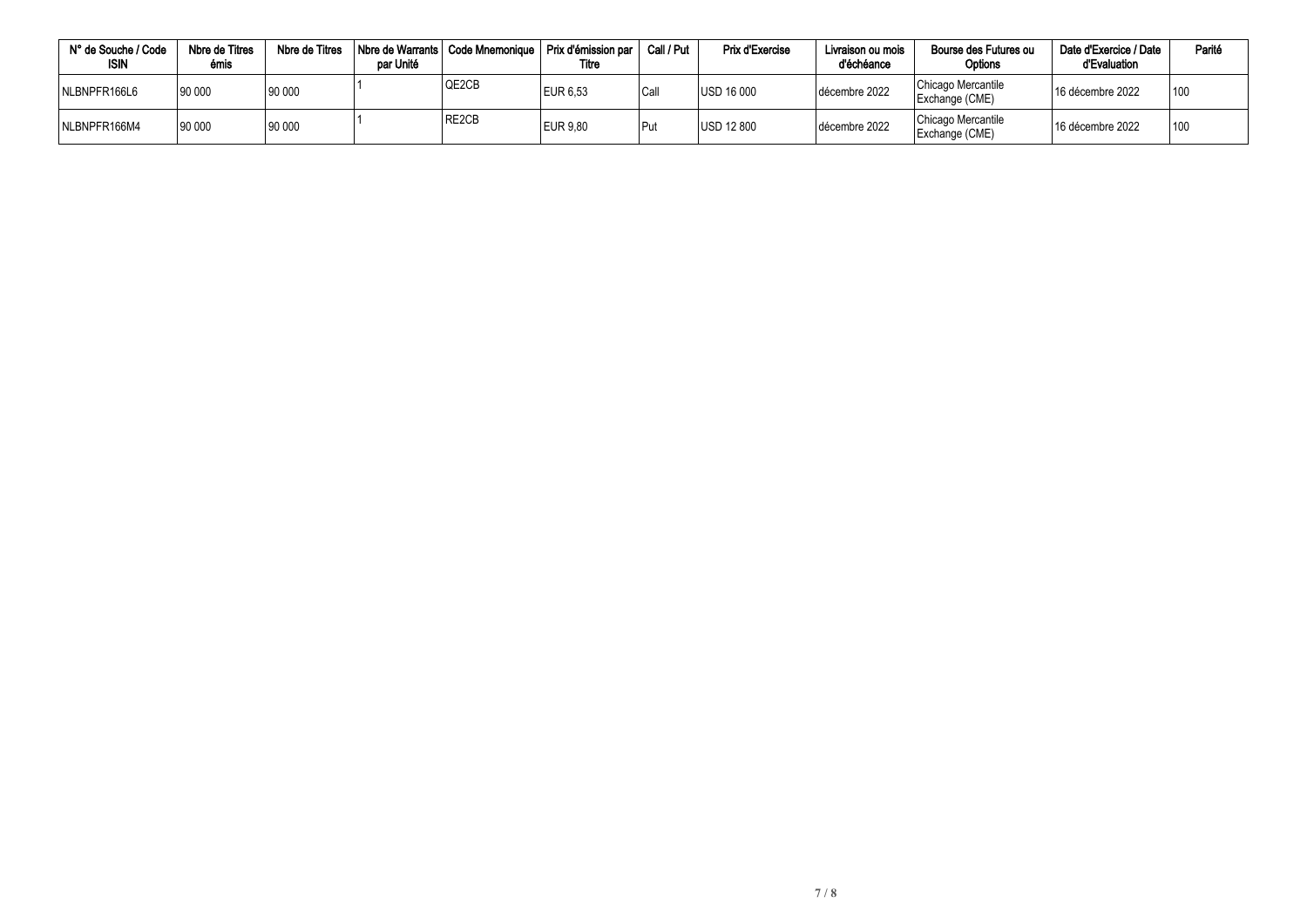| N° de Souche / Code<br><b>ISIN</b> | Nbre de Titres<br>émis | Nbre de Titres | Nbre de Warrants<br>par Unité | Code Mnemonique | Prix d'émission par<br>Titre | Call / Put | <b>Prix d'Exercise</b> | Livraison ou mois<br>d'échéance | Bourse des Futures ou<br>Options     | Date d'Exercice / Date<br>d'Evaluation | Parité |
|------------------------------------|------------------------|----------------|-------------------------------|-----------------|------------------------------|------------|------------------------|---------------------------------|--------------------------------------|----------------------------------------|--------|
| NLBNPFR166L6                       | 90 000                 | 90 000         |                               | QE2CB           | EUR 6,53                     | Call       | <b>USD 16 000</b>      | décembre 2022                   | Chicago Mercantile<br>Exchange (CME) | 16 décembre 2022                       | 100    |
| NLBNPFR166M4                       | 90 000                 | 90 000         |                               | RE2CB           | <b>EUR 9.80</b>              | Put        | <b>USD 12 800</b>      | décembre 2022                   | Chicago Mercantile<br>Exchange (CME) | <sup>1</sup> 16 décembre 2022          | 100    |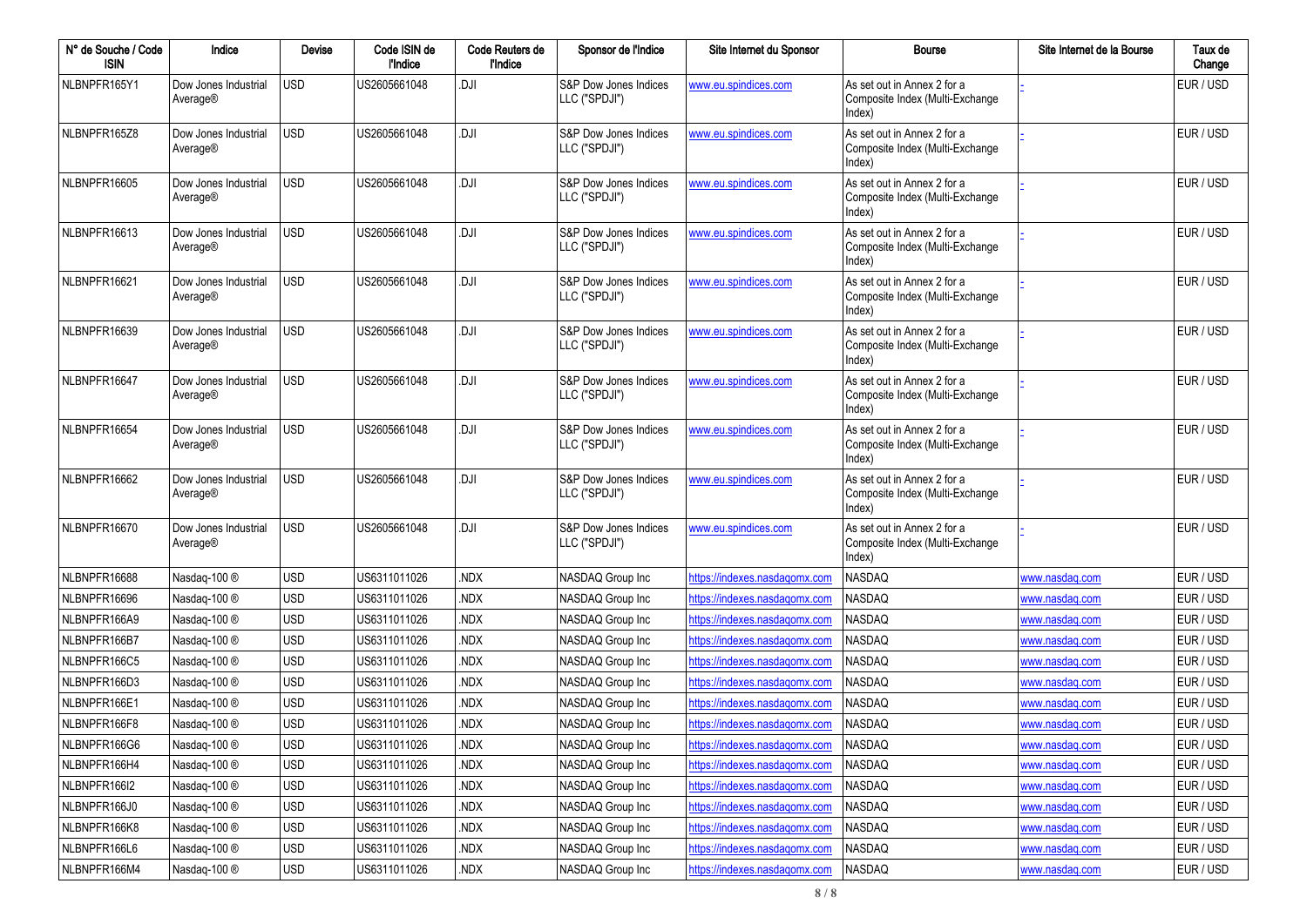| N° de Souche / Code<br><b>ISIN</b> | Indice                           | Devise     | Code ISIN de<br>l'Indice | Code Reuters de<br>l'Indice | Sponsor de l'Indice                    | Site Internet du Sponsor      | <b>Bourse</b>                                                            | Site Internet de la Bourse | Taux de<br>Change |
|------------------------------------|----------------------------------|------------|--------------------------|-----------------------------|----------------------------------------|-------------------------------|--------------------------------------------------------------------------|----------------------------|-------------------|
| NLBNPFR165Y1                       | Dow Jones Industrial<br>Average® | <b>USD</b> | US2605661048             | .DJI                        | S&P Dow Jones Indices<br>LLC ("SPDJI") | www.eu.spindices.com          | As set out in Annex 2 for a<br>Composite Index (Multi-Exchange<br>Index) |                            | EUR / USD         |
| NLBNPFR165Z8                       | Dow Jones Industrial<br>Average® | <b>USD</b> | US2605661048             | .DJI                        | S&P Dow Jones Indices<br>LLC ("SPDJI") | www.eu.spindices.com          | As set out in Annex 2 for a<br>Composite Index (Multi-Exchange<br>Index) |                            | EUR / USD         |
| NLBNPFR16605                       | Dow Jones Industrial<br>Average® | <b>USD</b> | US2605661048             | .DJI                        | S&P Dow Jones Indices<br>LLC ("SPDJI") | www.eu.spindices.com          | As set out in Annex 2 for a<br>Composite Index (Multi-Exchange<br>Index) |                            | EUR / USD         |
| NLBNPFR16613                       | Dow Jones Industrial<br>Average® | <b>USD</b> | US2605661048             | .DJI                        | S&P Dow Jones Indices<br>LLC ("SPDJI") | www.eu.spindices.com          | As set out in Annex 2 for a<br>Composite Index (Multi-Exchange<br>Index) |                            | EUR / USD         |
| NLBNPFR16621                       | Dow Jones Industrial<br>Average® | USD        | US2605661048             | .DJI                        | S&P Dow Jones Indices<br>LLC ("SPDJI") | www.eu.spindices.com          | As set out in Annex 2 for a<br>Composite Index (Multi-Exchange<br>Index) |                            | EUR / USD         |
| NLBNPFR16639                       | Dow Jones Industrial<br>Average® | <b>USD</b> | US2605661048             | .DJI                        | S&P Dow Jones Indices<br>LLC ("SPDJI") | www.eu.spindices.com          | As set out in Annex 2 for a<br>Composite Index (Multi-Exchange<br>Index) |                            | EUR / USD         |
| NLBNPFR16647                       | Dow Jones Industrial<br>Average® | <b>USD</b> | US2605661048             | .DJI                        | S&P Dow Jones Indices<br>LLC ("SPDJI") | www.eu.spindices.com          | As set out in Annex 2 for a<br>Composite Index (Multi-Exchange<br>Index) |                            | EUR / USD         |
| NLBNPFR16654                       | Dow Jones Industrial<br>Average® | USD        | US2605661048             | .DJI                        | S&P Dow Jones Indices<br>LLC ("SPDJI") | www.eu.spindices.com          | As set out in Annex 2 for a<br>Composite Index (Multi-Exchange<br>Index) |                            | EUR / USD         |
| NLBNPFR16662                       | Dow Jones Industrial<br>Average® | <b>USD</b> | US2605661048             | .DJI                        | S&P Dow Jones Indices<br>LLC ("SPDJI") | www.eu.spindices.com          | As set out in Annex 2 for a<br>Composite Index (Multi-Exchange<br>Index) |                            | EUR / USD         |
| NLBNPFR16670                       | Dow Jones Industrial<br>Average® | <b>USD</b> | US2605661048             | .DJI                        | S&P Dow Jones Indices<br>LLC ("SPDJI") | www.eu.spindices.com          | As set out in Annex 2 for a<br>Composite Index (Multi-Exchange<br>Index) |                            | EUR / USD         |
| NLBNPFR16688                       | Nasdaq-100 ®                     | <b>USD</b> | US6311011026             | .NDX                        | NASDAQ Group Inc                       | https://indexes.nasdaqomx.com | NASDAQ                                                                   | www.nasdag.com             | EUR / USD         |
| NLBNPFR16696                       | Nasdaq-100 ®                     | <b>USD</b> | US6311011026             | NDX.                        | NASDAQ Group Inc                       | https://indexes.nasdagomx.com | NASDAQ                                                                   | www.nasdag.com             | EUR / USD         |
| NLBNPFR166A9                       | Nasdaq-100 ®                     | <b>USD</b> | US6311011026             | NDX.                        | NASDAQ Group Inc                       | https://indexes.nasdagomx.com | NASDAQ                                                                   | www.nasdag.com             | EUR / USD         |
| NLBNPFR166B7                       | Nasdaq-100 ®                     | <b>USD</b> | US6311011026             | NDX.                        | NASDAQ Group Inc                       | https://indexes.nasdaqomx.com | NASDAQ                                                                   | www.nasdag.com             | EUR / USD         |
| NLBNPFR166C5                       | Nasdaq-100 ®                     | <b>USD</b> | US6311011026             | NDX.                        | NASDAQ Group Inc                       | https://indexes.nasdagomx.com | NASDAQ                                                                   | www.nasdaq.com             | EUR / USD         |
| NLBNPFR166D3                       | Nasdaq-100 ®                     | <b>USD</b> | US6311011026             | NDX.                        | NASDAQ Group Inc                       | https://indexes.nasdagomx.com | NASDAQ                                                                   | www.nasdaq.com             | EUR / USD         |
| NLBNPFR166E1                       | Nasdaq-100 ®                     | <b>USD</b> | US6311011026             | NDX.                        | NASDAQ Group Inc                       | https://indexes.nasdagomx.com | NASDAQ                                                                   | www.nasdaq.com             | EUR / USD         |
| NLBNPFR166F8                       | Nasdag-100 ®                     | <b>USD</b> | US6311011026             | NDX.                        | NASDAQ Group Inc                       | https://indexes.nasdagomx.com | <b>NASDAQ</b>                                                            | www.nasdag.com             | EUR / USD         |
| NLBNPFR166G6                       | Nasdaq-100 ®                     | USD        | US6311011026             | NDX.                        | NASDAQ Group Inc                       | https://indexes.nasdagomx.com | NASDAQ                                                                   | www.nasdag.com             | EUR / USD         |
| NLBNPFR166H4                       | Nasdaq-100 ®                     | <b>USD</b> | US6311011026             | .NDX                        | NASDAQ Group Inc                       | https://indexes.nasdaqomx.com | NASDAQ                                                                   | www.nasdaq.com             | EUR / USD         |
| NLBNPFR166I2                       | Nasdaq-100 ®                     | <b>USD</b> | US6311011026             | .NDX                        | NASDAQ Group Inc                       | https://indexes.nasdaqomx.com | NASDAQ                                                                   | www.nasdaq.com             | EUR / USD         |
| NLBNPFR166J0                       | Nasdaq-100 ®                     | <b>USD</b> | US6311011026             | .NDX                        | NASDAQ Group Inc                       | https://indexes.nasdaqomx.com | NASDAQ                                                                   | www.nasdaq.com             | EUR / USD         |
| NLBNPFR166K8                       | Nasdaq-100 ®                     | USD        | US6311011026             | .NDX                        | NASDAQ Group Inc                       | https://indexes.nasdaqomx.com | NASDAQ                                                                   | www.nasdaq.com             | EUR / USD         |
| NLBNPFR166L6                       | Nasdaq-100 ®                     | <b>USD</b> | US6311011026             | .NDX                        | NASDAQ Group Inc                       | https://indexes.nasdagomx.com | NASDAQ                                                                   | www.nasdaq.com             | EUR / USD         |
| NLBNPFR166M4                       | Nasdaq-100 ®                     | USD        | US6311011026             | .NDX                        | NASDAQ Group Inc                       | https://indexes.nasdaqomx.com | NASDAQ                                                                   | www.nasdaq.com             | EUR / USD         |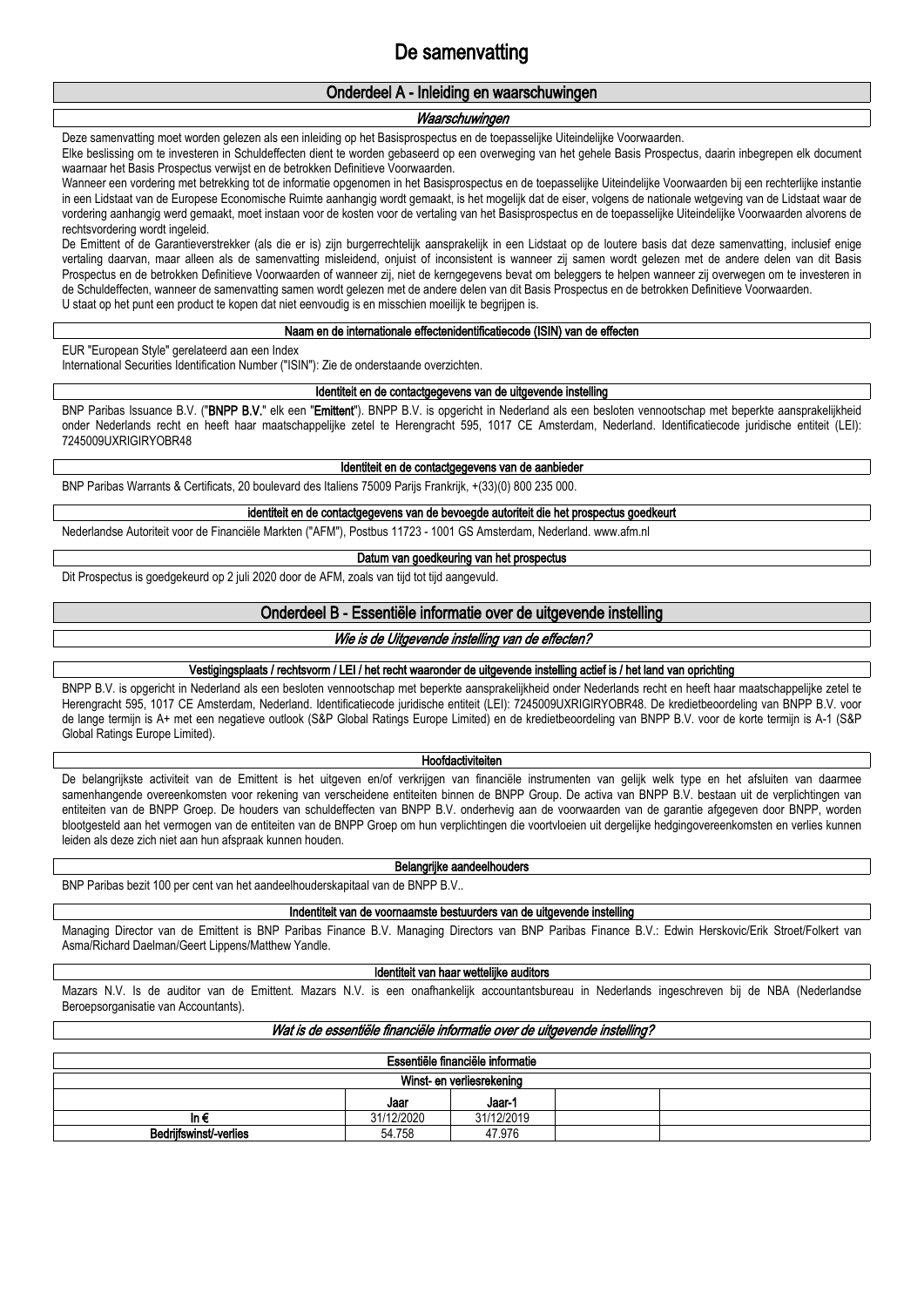# **De samenvatting**

### **Onderdeel A - Inleiding en waarschuwingen**

### *Waarschuwingen*

Deze samenvatting moet worden gelezen als een inleiding op het Basisprospectus en de toepasselijke Uiteindelijke Voorwaarden.

Elke beslissing om te investeren in Schuldeffecten dient te worden gebaseerd op een overweging van het gehele Basis Prospectus, daarin inbegrepen elk document waarnaar het Basis Prospectus verwijst en de betrokken Definitieve Voorwaarden.

Wanneer een vordering met betrekking tot de informatie opgenomen in het Basisprospectus en de toepasselijke Uiteindelijke Voorwaarden bij een rechterlijke instantie in een Lidstaat van de Europese Economische Ruimte aanhangig wordt gemaakt, is het mogelijk dat de eiser, volgens de nationale wetgeving van de Lidstaat waar de vordering aanhangig werd gemaakt, moet instaan voor de kosten voor de vertaling van het Basisprospectus en de toepasselijke Uiteindelijke Voorwaarden alvorens de rechtsvordering wordt ingeleid.

De Emittent of de Garantieverstrekker (als die er is) zijn burgerrechtelijk aansprakelijk in een Lidstaat op de loutere basis dat deze samenvatting, inclusief enige vertaling daarvan, maar alleen als de samenvatting misleidend, onjuist of inconsistent is wanneer zij samen wordt gelezen met de andere delen van dit Basis Prospectus en de betrokken Definitieve Voorwaarden of wanneer zij, niet de kerngegevens bevat om beleggers te helpen wanneer zij overwegen om te investeren in de Schuldeffecten, wanneer de samenvatting samen wordt gelezen met de andere delen van dit Basis Prospectus en de betrokken Definitieve Voorwaarden. U staat op het punt een product te kopen dat niet eenvoudig is en misschien moeilijk te begrijpen is.

#### **Naam en de internationale effectenidentificatiecode (ISIN) van de effecten**

EUR "European Style" gerelateerd aan een Index

International Securities Identification Number ("ISIN"): Zie de onderstaande overzichten.

**Identiteit en de contactgegevens van de uitgevende instelling**

BNP Paribas Issuance B.V. ("**BNPP B.V.**" elk een "**Emittent**"). BNPP B.V. is opgericht in Nederland als een besloten vennootschap met beperkte aansprakelijkheid onder Nederlands recht en heeft haar maatschappelijke zetel te Herengracht 595, 1017 CE Amsterdam, Nederland. Identificatiecode juridische entiteit (LEI): 7245009UXRIGIRYOBR48

**Identiteit en de contactgegevens van de aanbieder**

BNP Paribas Warrants & Certificats, 20 boulevard des Italiens 75009 Parijs Frankrijk, +(33)(0) 800 235 000.

### **identiteit en de contactgegevens van de bevoegde autoriteit die het prospectus goedkeurt**

Nederlandse Autoriteit voor de Financiële Markten ("AFM"), Postbus 11723 - 1001 GS Amsterdam, Nederland. www.afm.nl

**Datum van goedkeuring van het prospectus**

Dit Prospectus is goedgekeurd op 2 juli 2020 door de AFM, zoals van tijd tot tijd aangevuld.

### **Onderdeel B - Essentiële informatie over de uitgevende instelling**

### *Wie is de Uitgevende instelling van de effecten?*

### **Vestigingsplaats / rechtsvorm / LEI / het recht waaronder de uitgevende instelling actief is / het land van oprichting**

BNPP B.V. is opgericht in Nederland als een besloten vennootschap met beperkte aansprakelijkheid onder Nederlands recht en heeft haar maatschappelijke zetel te Herengracht 595, 1017 CE Amsterdam, Nederland. Identificatiecode juridische entiteit (LEI): 7245009UXRIGIRYOBR48. De kredietbeoordeling van BNPP B.V. voor de lange termijn is A+ met een negatieve outlook (S&P Global Ratings Europe Limited) en de kredietbeoordeling van BNPP B.V. voor de korte termijn is A-1 (S&P Global Ratings Europe Limited).

#### **Hoofdactiviteiten**

De belangrijkste activiteit van de Emittent is het uitgeven en/of verkrijgen van financiële instrumenten van gelijk welk type en het afsluiten van daarmee samenhangende overeenkomsten voor rekening van verscheidene entiteiten binnen de BNPP Group. De activa van BNPP B.V. bestaan uit de verplichtingen van entiteiten van de BNPP Groep. De houders van schuldeffecten van BNPP B.V. onderhevig aan de voorwaarden van de garantie afgegeven door BNPP, worden blootgesteld aan het vermogen van de entiteiten van de BNPP Groep om hun verplichtingen die voortvloeien uit dergelijke hedgingovereenkomsten en verlies kunnen leiden als deze zich niet aan hun afspraak kunnen houden.

#### **Belangrijke aandeelhouders**

BNP Paribas bezit 100 per cent van het aandeelhouderskapitaal van de BNPP B.V..

**Indentiteit van de voornaamste bestuurders van de uitgevende instelling**

Managing Director van de Emittent is BNP Paribas Finance B.V. Managing Directors van BNP Paribas Finance B.V.: Edwin Herskovic/Erik Stroet/Folkert van Asma/Richard Daelman/Geert Lippens/Matthew Yandle.

#### **Identiteit van haar wettelijke auditors**

Mazars N.V. Is de auditor van de Emittent. Mazars N.V. is een onafhankelijk accountantsbureau in Nederlands ingeschreven bij de NBA (Nederlandse Beroepsorganisatie van Accountants).

### *Wat is de essentiële financiële informatie over de uitgevende instelling?*

| Essentiële financiële informatie |                |            |  |  |  |  |  |  |  |  |  |
|----------------------------------|----------------|------------|--|--|--|--|--|--|--|--|--|
| Winst- en verliesrekening        |                |            |  |  |  |  |  |  |  |  |  |
|                                  | Jaar-1<br>Jaar |            |  |  |  |  |  |  |  |  |  |
| in t                             | 31/12/2020     | 31/12/2019 |  |  |  |  |  |  |  |  |  |
| Bedrijfswinst/-verlies           | 54.758         | 47.976     |  |  |  |  |  |  |  |  |  |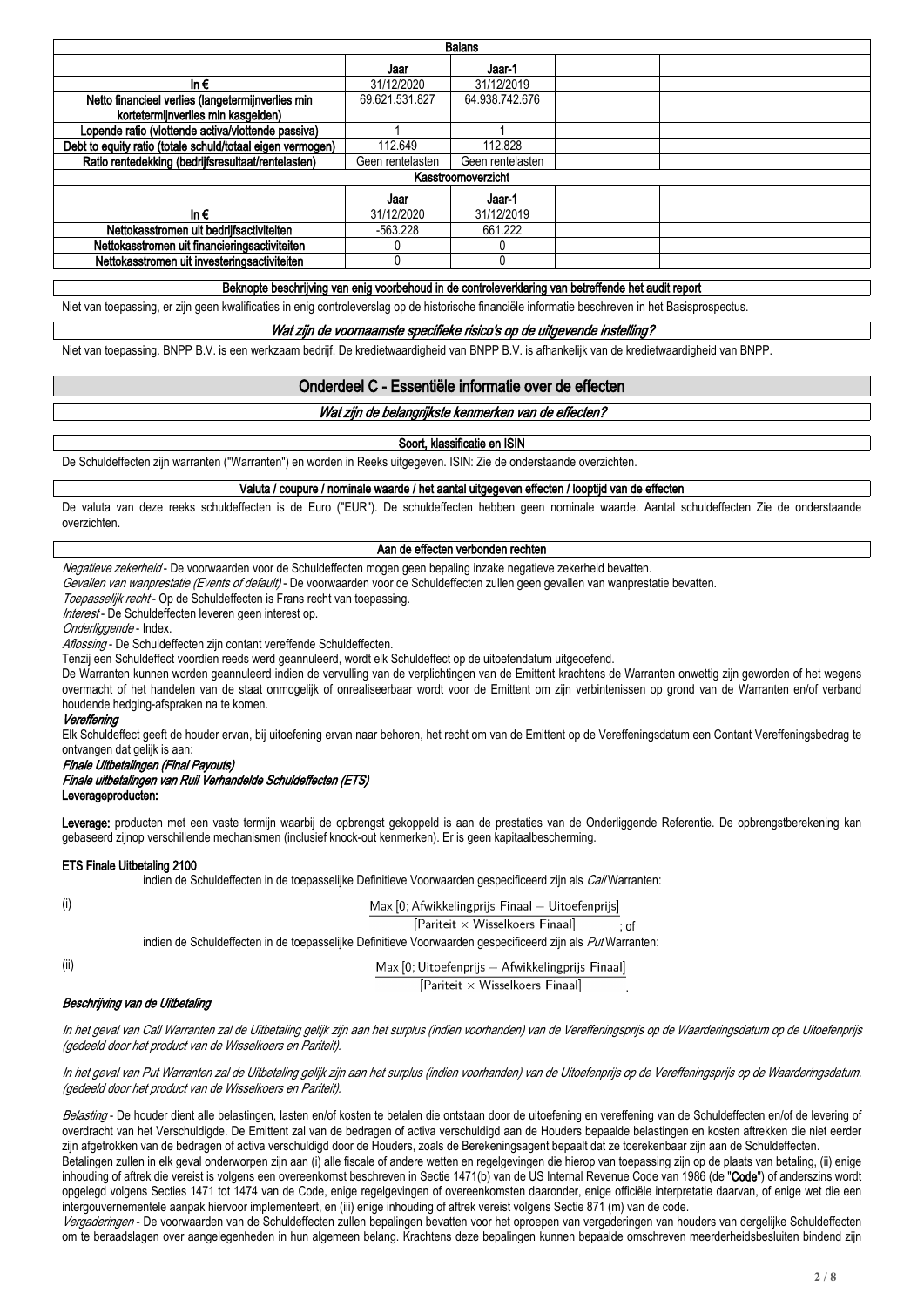| <b>Balans</b>                                              |                  |                    |  |  |  |  |  |  |  |  |  |
|------------------------------------------------------------|------------------|--------------------|--|--|--|--|--|--|--|--|--|
|                                                            | Jaar             | Jaar-1             |  |  |  |  |  |  |  |  |  |
| In $\epsilon$                                              | 31/12/2020       | 31/12/2019         |  |  |  |  |  |  |  |  |  |
| Netto financieel verlies (langetermijnverlies min          | 69.621.531.827   | 64.938.742.676     |  |  |  |  |  |  |  |  |  |
| kortetermijnverlies min kasgelden)                         |                  |                    |  |  |  |  |  |  |  |  |  |
| Lopende ratio (vlottende activa/vlottende passiva)         |                  |                    |  |  |  |  |  |  |  |  |  |
| Debt to equity ratio (totale schuld/totaal eigen vermogen) | 112.649          | 112.828            |  |  |  |  |  |  |  |  |  |
| Ratio rentedekking (bedrijfsresultaat/rentelasten)         | Geen rentelasten | Geen rentelasten   |  |  |  |  |  |  |  |  |  |
|                                                            |                  | Kasstroomoverzicht |  |  |  |  |  |  |  |  |  |
|                                                            | Jaar             | Jaar-1             |  |  |  |  |  |  |  |  |  |
| In $\epsilon$                                              | 31/12/2020       | 31/12/2019         |  |  |  |  |  |  |  |  |  |
| Nettokasstromen uit bedrijfsactiviteiten                   | -563.228         | 661.222            |  |  |  |  |  |  |  |  |  |
| Nettokasstromen uit financieringsactiviteiten              |                  |                    |  |  |  |  |  |  |  |  |  |
| Nettokasstromen uit investeringsactiviteiten               |                  |                    |  |  |  |  |  |  |  |  |  |
|                                                            |                  |                    |  |  |  |  |  |  |  |  |  |

#### **Beknopte beschrijving van enig voorbehoud in de controleverklaring van betreffende het audit report**

Niet van toepassing, er zijn geen kwalificaties in enig controleverslag op de historische financiële informatie beschreven in het Basisprospectus.

#### *Wat zijn de voornaamste specifieke risico's op de uitgevende instelling?*

Niet van toepassing. BNPP B.V. is een werkzaam bedrijf. De kredietwaardigheid van BNPP B.V. is afhankelijk van de kredietwaardigheid van BNPP.

### **Onderdeel C - Essentiële informatie over de effecten**

#### *Wat zijn de belangrijkste kenmerken van de effecten?*

#### **Soort, klassificatie en ISIN**

De Schuldeffecten zijn warranten ("Warranten") en worden in Reeks uitgegeven. ISIN: Zie de onderstaande overzichten.

**Valuta / coupure / nominale waarde / het aantal uitgegeven effecten / looptijd van de effecten**

De valuta van deze reeks schuldeffecten is de Euro ("EUR"). De schuldeffecten hebben geen nominale waarde. Aantal schuldeffecten Zie de onderstaande overzichten.

#### **Aan de effecten verbonden rechten**

*Negatieve zekerheid* - De voorwaarden voor de Schuldeffecten mogen geen bepaling inzake negatieve zekerheid bevatten.

*Gevallen van wanprestatie (Events of default)* - De voorwaarden voor de Schuldeffecten zullen geen gevallen van wanprestatie bevatten.

*Toepasselijk recht* - Op de Schuldeffecten is Frans recht van toepassing.

*Interest* - De Schuldeffecten leveren geen interest op.

*Onderliggende* - Index.

*Aflossing* - De Schuldeffecten zijn contant vereffende Schuldeffecten.

Tenzij een Schuldeffect voordien reeds werd geannuleerd, wordt elk Schuldeffect op de uitoefendatum uitgeoefend.

De Warranten kunnen worden geannuleerd indien de vervulling van de verplichtingen van de Emittent krachtens de Warranten onwettig zijn geworden of het wegens overmacht of het handelen van de staat onmogelijk of onrealiseerbaar wordt voor de Emittent om zijn verbintenissen op grond van de Warranten en/of verband houdende hedging-afspraken na te komen.

#### *Vereffening*

Elk Schuldeffect geeft de houder ervan, bij uitoefening ervan naar behoren, het recht om van de Emittent op de Vereffeningsdatum een Contant Vereffeningsbedrag te ontvangen dat gelijk is aan:

#### *Finale Uitbetalingen (Final Payouts)*

### *Finale uitbetalingen van Ruil Verhandelde Schuldeffecten (ETS)*

**Leverageproducten:**

Leverage: producten met een vaste termijn waarbij de opbrengst gekoppeld is aan de prestaties van de Onderliggende Referentie. De opbrengstberekening kan gebaseerd zijnop verschillende mechanismen (inclusief knock-out kenmerken). Er is geen kapitaalbescherming.

#### **ETS Finale Uitbetaling 2100**

indien de Schuldeffecten in de toepasselijke Definitieve Voorwaarden gespecificeerd zijn als *Call* Warranten:

Max [0; Afwikkelingprijs Finaal - Uitoefenprijs]

[Pariteit × Wisselkoers Finaal]

indien de Schuldeffecten in de toepasselijke Definitieve Voorwaarden gespecificeerd zijn als *Put* Warranten:

(ii)

Max [0; Uitoefenprijs - Afwikkelingprijs Finaal]

[Pariteit × Wisselkoers Finaal]

; of

.

### *Beschrijving van de Uitbetaling*

In het geval van Call Warranten zal de Uitbetaling gelijk zijn aan het surplus (indien voorhanden) van de Vereffeningsprijs op de Waarderingsdatum op de Uitoefenprijs *(gedeeld door het product van de Wisselkoers en Pariteit).*

In het geval van Put Warranten zal de Uitbetaling gelijk zijn aan het surplus (indien voorhanden) van de Uitoefenprijs op de Vereffeningsprijs op de Waarderingsdatum. *(gedeeld door het product van de Wisselkoers en Pariteit).*

Belasting - De houder dient alle belastingen, lasten en/of kosten te betalen die ontstaan door de uitoefening en vereffening van de Schuldeffecten en/of de levering of overdracht van het Verschuldigde. De Emittent zal van de bedragen of activa verschuldigd aan de Houders bepaalde belastingen en kosten aftrekken die niet eerder zijn afgetrokken van de bedragen of activa verschuldigd door de Houders, zoals de Berekeningsagent bepaalt dat ze toerekenbaar zijn aan de Schuldeffecten.

Betalingen zullen in elk geval onderworpen zijn aan (i) alle fiscale of andere wetten en regelgevingen die hierop van toepassing zijn op de plaats van betaling, (ii) enige inhouding of aftrek die vereist is volgens een overeenkomst beschreven in Sectie 1471(b) van de US Internal Revenue Code van 1986 (de "**Code**") of anderszins wordt opgelegd volgens Secties 1471 tot 1474 van de Code, enige regelgevingen of overeenkomsten daaronder, enige officiële interpretatie daarvan, of enige wet die een intergouvernementele aanpak hiervoor implementeert, en (iii) enige inhouding of aftrek vereist volgens Sectie 871 (m) van de code.

*Vergaderingen* - De voorwaarden van de Schuldeffecten zullen bepalingen bevatten voor het oproepen van vergaderingen van houders van dergelijke Schuldeffecten om te beraadslagen over aangelegenheden in hun algemeen belang. Krachtens deze bepalingen kunnen bepaalde omschreven meerderheidsbesluiten bindend zijn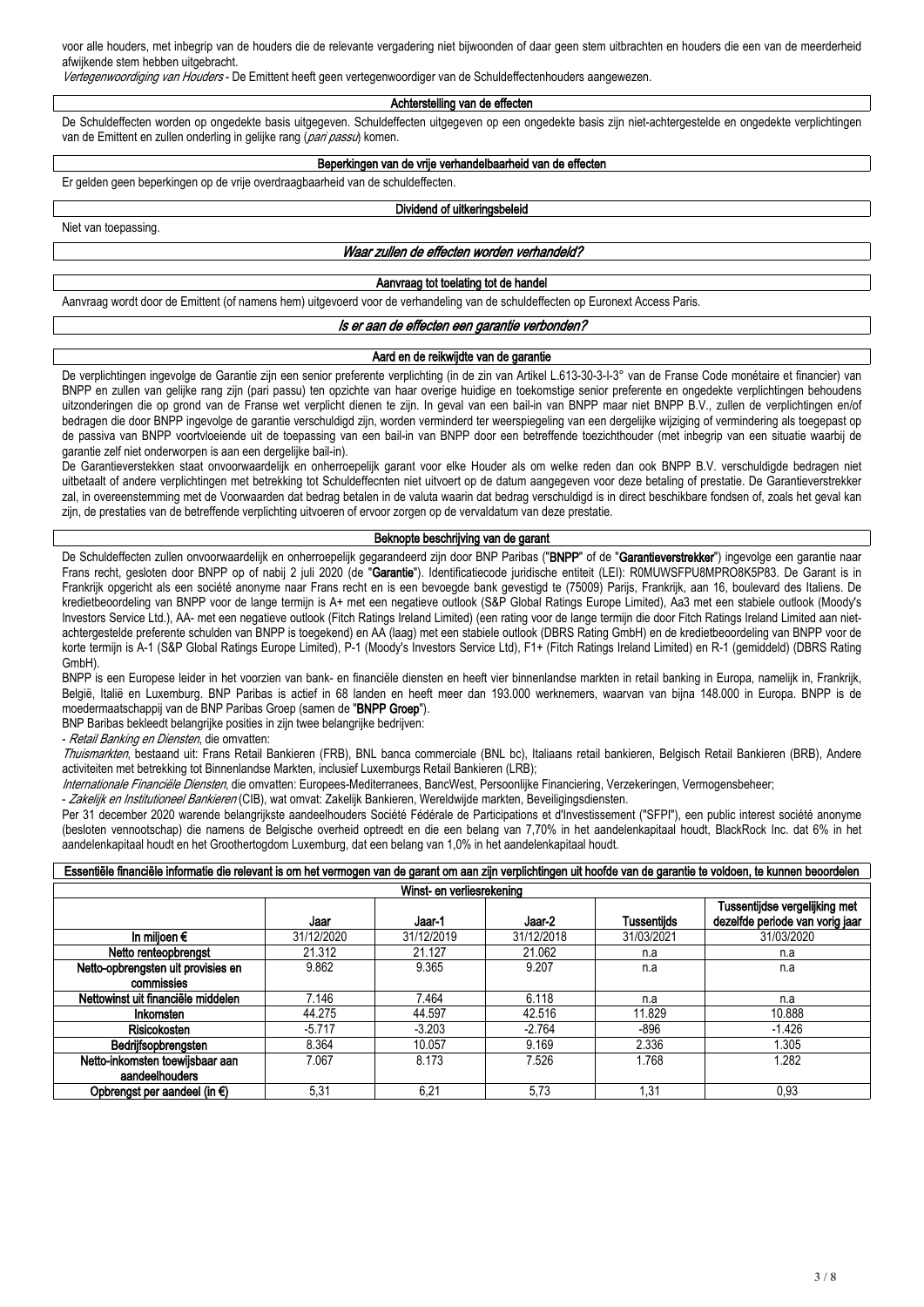voor alle houders, met inbegrip van de houders die de relevante vergadering niet bijwoonden of daar geen stem uitbrachten en houders die een van de meerderheid afwijkende stem hebben uitgebracht.

*Vertegenwoordiging van Houders* - De Emittent heeft geen vertegenwoordiger van de Schuldeffectenhouders aangewezen.

#### **Achterstelling van de effecten**

De Schuldeffecten worden op ongedekte basis uitgegeven. Schuldeffecten uitgegeven op een ongedekte basis zijn niet-achtergestelde en ongedekte verplichtingen van de Emittent en zullen onderling in gelijke rang (*pari passu*) komen.

### **Beperkingen van de vrije verhandelbaarheid van de effecten**

Er gelden geen beperkingen op de vrije overdraagbaarheid van de schuldeffecten.

Niet van toepassing.

# **Dividend of uitkeringsbeleid**

*Waar zullen de effecten worden verhandeld?*

#### **Aanvraag tot toelating tot de handel**

Aanvraag wordt door de Emittent (of namens hem) uitgevoerd voor de verhandeling van de schuldeffecten op Euronext Access Paris.

#### *Is er aan de effecten een garantie verbonden?*

#### **Aard en de reikwijdte van de garantie**

De verplichtingen ingevolge de Garantie zijn een senior preferente verplichting (in de zin van Artikel L.613-30-3-I-3° van de Franse Code monétaire et financier) van BNPP en zullen van gelijke rang zijn (pari passu) ten opzichte van haar overige huidige en toekomstige senior preferente en ongedekte verplichtingen behoudens uitzonderingen die op grond van de Franse wet verplicht dienen te zijn. In geval van een bail-in van BNPP maar niet BNPP B.V., zullen de verplichtingen en/of bedragen die door BNPP ingevolge de garantie verschuldigd zijn, worden verminderd ter weerspiegeling van een dergelijke wijziging of vermindering als toegepast op de passiva van BNPP voortvloeiende uit de toepassing van een bail-in van BNPP door een betreffende toezichthouder (met inbegrip van een situatie waarbij de garantie zelf niet onderworpen is aan een dergelijke bail-in).

De Garantieverstekken staat onvoorwaardelijk en onherroepelijk garant voor elke Houder als om welke reden dan ook BNPP B.V. verschuldigde bedragen niet uitbetaalt of andere verplichtingen met betrekking tot Schuldeffecnten niet uitvoert op de datum aangegeven voor deze betaling of prestatie. De Garantieverstrekker zal, in overeenstemming met de Voorwaarden dat bedrag betalen in de valuta waarin dat bedrag verschuldigd is in direct beschikbare fondsen of, zoals het geval kan zijn, de prestaties van de betreffende verplichting uitvoeren of ervoor zorgen op de vervaldatum van deze prestatie.

#### **Beknopte beschrijving van de garant**

De Schuldeffecten zullen onvoorwaardelijk en onherroepelijk gegarandeerd zijn door BNP Paribas ("**BNPP**" of de "**Garantieverstrekker**") ingevolge een garantie naar Frans recht, gesloten door BNPP op of nabij 2 juli 2020 (de "**Garantie**"). Identificatiecode juridische entiteit (LEI): R0MUWSFPU8MPRO8K5P83. De Garant is in Frankrijk opgericht als een société anonyme naar Frans recht en is een bevoegde bank gevestigd te (75009) Parijs, Frankrijk, aan 16, boulevard des Italiens. De kredietbeoordeling van BNPP voor de lange termijn is A+ met een negatieve outlook (S&P Global Ratings Europe Limited), Aa3 met een stabiele outlook (Moody's Investors Service Ltd.), AA- met een negatieve outlook (Fitch Ratings Ireland Limited) (een rating voor de lange termijn die door Fitch Ratings Ireland Limited aan nietachtergestelde preferente schulden van BNPP is toegekend) en AA (laag) met een stabiele outlook (DBRS Rating GmbH) en de kredietbeoordeling van BNPP voor de korte termijn is A-1 (S&P Global Ratings Europe Limited), P-1 (Moody's Investors Service Ltd), F1+ (Fitch Ratings Ireland Limited) en R-1 (gemiddeld) (DBRS Rating GmbH).

BNPP is een Europese leider in het voorzien van bank- en financiële diensten en heeft vier binnenlandse markten in retail banking in Europa, namelijk in, Frankrijk, België, Italië en Luxemburg. BNP Paribas is actief in 68 landen en heeft meer dan 193.000 werknemers, waarvan van bijna 148.000 in Europa. BNPP is de moedermaatschappij van de BNP Paribas Groep (samen de "**BNPP Groep**").

BNP Baribas bekleedt belangrijke posities in zijn twee belangrijke bedrijven:

- *Retail Banking en Diensten*, die omvatten:

*Thuismarkten*, bestaand uit: Frans Retail Bankieren (FRB), BNL banca commerciale (BNL bc), Italiaans retail bankieren, Belgisch Retail Bankieren (BRB), Andere activiteiten met betrekking tot Binnenlandse Markten, inclusief Luxemburgs Retail Bankieren (LRB);

*Internationale Financiële Diensten*, die omvatten: Europees-Mediterranees, BancWest, Persoonlijke Financiering, Verzekeringen, Vermogensbeheer;

- *Zakelijk en Institutioneel Bankieren* (CIB), wat omvat: Zakelijk Bankieren, Wereldwijde markten, Beveiligingsdiensten.

Per 31 december 2020 warende belangrijkste aandeelhouders Société Fédérale de Participations et d'Investissement ("SFPI"), een public interest société anonyme (besloten vennootschap) die namens de Belgische overheid optreedt en die een belang van 7,70% in het aandelenkapitaal houdt, BlackRock Inc. dat 6% in het aandelenkapitaal houdt en het Groothertogdom Luxemburg, dat een belang van 1,0% in het aandelenkapitaal houdt.

| Essentiële financiële informatie die relevant is om het vermogen van de garant om aan zijn verplichtingen uit hoofde van de garantie te voldoen, te kunnen beoordelen |            |            |            |                    |                                                                  |  |  |  |  |  |  |
|-----------------------------------------------------------------------------------------------------------------------------------------------------------------------|------------|------------|------------|--------------------|------------------------------------------------------------------|--|--|--|--|--|--|
| Winst- en verliesrekening                                                                                                                                             |            |            |            |                    |                                                                  |  |  |  |  |  |  |
|                                                                                                                                                                       | Jaar       | Jaar-1     | Jaar-2     | <b>Tussentiids</b> | Tussentijdse vergelijking met<br>dezelfde periode van vorig jaar |  |  |  |  |  |  |
| In miljoen $\epsilon$                                                                                                                                                 | 31/12/2020 | 31/12/2019 | 31/12/2018 | 31/03/2021         | 31/03/2020                                                       |  |  |  |  |  |  |
| Netto renteopbrenast                                                                                                                                                  | 21.312     | 21.127     | 21.062     | n.a                | n.a                                                              |  |  |  |  |  |  |
| Netto-opbrengsten uit provisies en                                                                                                                                    | 9.862      | 9.365      | 9.207      | n.a                | n.a                                                              |  |  |  |  |  |  |
| commissies                                                                                                                                                            |            |            |            |                    |                                                                  |  |  |  |  |  |  |
| Nettowinst uit financiële middelen                                                                                                                                    | 7.146      | 7.464      | 6.118      | n.a                | n.a                                                              |  |  |  |  |  |  |
| Inkomsten                                                                                                                                                             | 44.275     | 44.597     | 42.516     | 11.829             | 10.888                                                           |  |  |  |  |  |  |
| Risicokosten                                                                                                                                                          | $-5.717$   | $-3.203$   | $-2.764$   | -896               | $-1.426$                                                         |  |  |  |  |  |  |
| Bedrijfsopbrengsten                                                                                                                                                   | 8.364      | 10.057     | 9.169      | 2.336              | 1.305                                                            |  |  |  |  |  |  |
| Netto-inkomsten toewijsbaar aan                                                                                                                                       | 7.067      | 8.173      | 7.526      | 1.768              | 1.282                                                            |  |  |  |  |  |  |
| aandeelhouders                                                                                                                                                        |            |            |            |                    |                                                                  |  |  |  |  |  |  |
| Opbrenast per aandeel (in $\epsilon$ )                                                                                                                                | 5.31       | 6.21       | 5.73       | 1.31               | 0.93                                                             |  |  |  |  |  |  |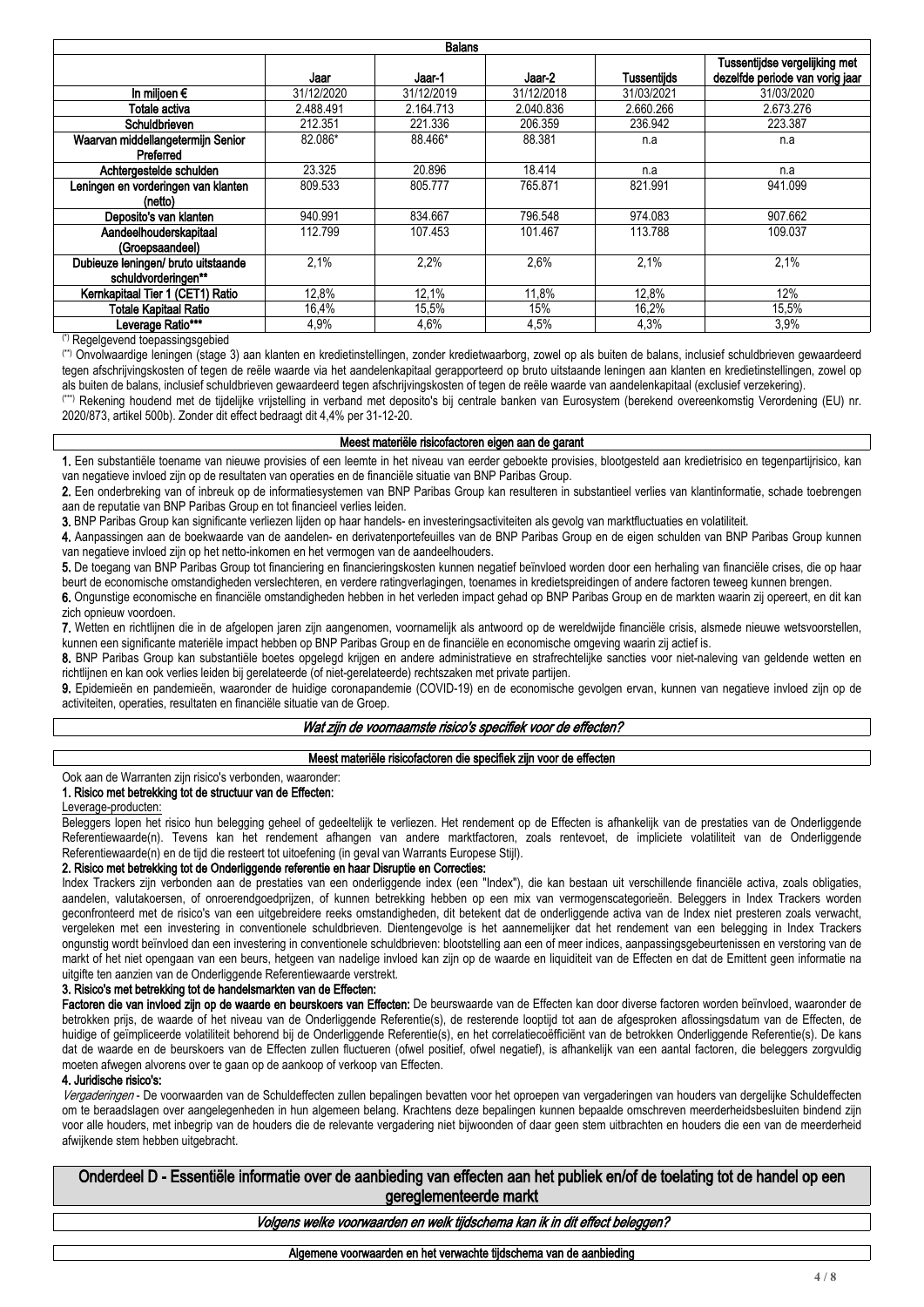| <b>Balans</b>                       |            |            |            |                    |                                                                  |  |  |  |  |  |  |
|-------------------------------------|------------|------------|------------|--------------------|------------------------------------------------------------------|--|--|--|--|--|--|
|                                     | Jaar       | Jaar 1     | Jaar 2     | <b>Tussentiids</b> | Tussentijdse vergelijking met<br>dezelfde periode van vorig jaar |  |  |  |  |  |  |
| In miljoen $\epsilon$               | 31/12/2020 | 31/12/2019 | 31/12/2018 | 31/03/2021         | 31/03/2020                                                       |  |  |  |  |  |  |
| Totale activa                       | 2.488.491  | 2.164.713  | 2.040.836  | 2.660.266          | 2.673.276                                                        |  |  |  |  |  |  |
| Schuldbrieven                       | 212.351    | 221.336    | 206.359    | 236.942            | 223.387                                                          |  |  |  |  |  |  |
| Waarvan middellangetermijn Senior   | 82.086*    | 88.466*    | 88.381     | n.a                | n.a                                                              |  |  |  |  |  |  |
| Preferred                           |            |            |            |                    |                                                                  |  |  |  |  |  |  |
| Achtergestelde schulden             | 23.325     | 20.896     | 18.414     | n.a                | n.a                                                              |  |  |  |  |  |  |
| Leningen en vorderingen van klanten | 809.533    | 805.777    | 765.871    | 821.991            | 941.099                                                          |  |  |  |  |  |  |
| (netto)                             |            |            |            |                    |                                                                  |  |  |  |  |  |  |
| Deposito's van klanten              | 940.991    | 834.667    | 796.548    | 974.083            | 907.662                                                          |  |  |  |  |  |  |
| Aandeelhouderskapitaal              | 112.799    | 107.453    | 101.467    | 113.788            | 109.037                                                          |  |  |  |  |  |  |
| (Groepsaandeel)                     |            |            |            |                    |                                                                  |  |  |  |  |  |  |
| Dubieuze leningen/ bruto uitstaande | 2.1%       | 2,2%       | 2.6%       | 2.1%               | 2,1%                                                             |  |  |  |  |  |  |
| schuldvorderingen**                 |            |            |            |                    |                                                                  |  |  |  |  |  |  |
| Kernkapitaal Tier 1 (CET1) Ratio    | 12.8%      | 12,1%      | 11.8%      | 12,8%              | 12%                                                              |  |  |  |  |  |  |
| Totale Kapitaal Ratio               | 16,4%      | 15,5%      | 15%        | 16,2%              | 15,5%                                                            |  |  |  |  |  |  |
| Leverage Ratio***<br>$143 -$        | 4,9%       | 4,6%       | 4.5%       | 4,3%               | 3,9%                                                             |  |  |  |  |  |  |

(\*) Regelgevend toepassingsgebied

(\*\*) Onvolwaardige leningen (stage 3) aan klanten en kredietinstellingen, zonder kredietwaarborg, zowel op als buiten de balans, inclusief schuldbrieven gewaardeerd tegen afschrijvingskosten of tegen de reële waarde via het aandelenkapitaal gerapporteerd op bruto uitstaande leningen aan klanten en kredietinstellingen, zowel op als buiten de balans, inclusief schuldbrieven gewaardeerd tegen afschrijvingskosten of tegen de reële waarde van aandelenkapitaal (exclusief verzekering).

(\*\*\*) Rekening houdend met de tijdelijke vrijstelling in verband met deposito's bij centrale banken van Eurosystem (berekend overeenkomstig Verordening (EU) nr. 2020/873, artikel 500b). Zonder dit effect bedraagt dit 4,4% per 31-12-20.

#### **Meest materiële risicofactoren eigen aan de garant**

**1.** Een substantiële toename van nieuwe provisies of een leemte in het niveau van eerder geboekte provisies, blootgesteld aan kredietrisico en tegenpartijrisico, kan van negatieve invloed zijn op de resultaten van operaties en de financiële situatie van BNP Paribas Group.

**2.** Een onderbreking van of inbreuk op de informatiesystemen van BNP Paribas Group kan resulteren in substantieel verlies van klantinformatie, schade toebrengen aan de reputatie van BNP Paribas Group en tot financieel verlies leiden.

**3.** BNP Paribas Group kan significante verliezen lijden op haar handels- en investeringsactiviteiten als gevolg van marktfluctuaties en volatiliteit.

**4.** Aanpassingen aan de boekwaarde van de aandelen- en derivatenportefeuilles van de BNP Paribas Group en de eigen schulden van BNP Paribas Group kunnen van negatieve invloed zijn op het netto-inkomen en het vermogen van de aandeelhouders.

**5.** De toegang van BNP Paribas Group tot financiering en financieringskosten kunnen negatief beïnvloed worden door een herhaling van financiële crises, die op haar beurt de economische omstandigheden verslechteren, en verdere ratingverlagingen, toenames in kredietspreidingen of andere factoren teweeg kunnen brengen.

**6.** Ongunstige economische en financiële omstandigheden hebben in het verleden impact gehad op BNP Paribas Group en de markten waarin zij opereert, en dit kan zich opnieuw voordoen.

**7.** Wetten en richtlijnen die in de afgelopen jaren zijn aangenomen, voornamelijk als antwoord op de wereldwijde financiële crisis, alsmede nieuwe wetsvoorstellen, kunnen een significante materiële impact hebben op BNP Paribas Group en de financiële en economische omgeving waarin zij actief is.

**8.** BNP Paribas Group kan substantiële boetes opgelegd krijgen en andere administratieve en strafrechtelijke sancties voor niet-naleving van geldende wetten en richtlijnen en kan ook verlies leiden bij gerelateerde (of niet-gerelateerde) rechtszaken met private partijen.

**9.** Epidemieën en pandemieën, waaronder de huidige coronapandemie (COVID-19) en de economische gevolgen ervan, kunnen van negatieve invloed zijn op de activiteiten, operaties, resultaten en financiële situatie van de Groep.

### *Wat zijn de voornaamste risico's specifiek voor de effecten?*

#### **Meest materiële risicofactoren die specifiek zijn voor de effecten**

#### Ook aan de Warranten zijn risico's verbonden, waaronder: **1. Risico met betrekking tot de structuur van de Effecten:**

Leverage-producten:

Beleggers lopen het risico hun belegging geheel of gedeeltelijk te verliezen. Het rendement op de Effecten is afhankelijk van de prestaties van de Onderliggende Referentiewaarde(n). Tevens kan het rendement afhangen van andere marktfactoren, zoals rentevoet, de impliciete volatiliteit van de Onderliggende Referentiewaarde(n) en de tijd die resteert tot uitoefening (in geval van Warrants Europese Stijl).

#### **2. Risico met betrekking tot de Onderliggende referentie en haar Disruptie en Correcties:**

Index Trackers zijn verbonden aan de prestaties van een onderliggende index (een "Index"), die kan bestaan uit verschillende financiële activa, zoals obligaties, aandelen, valutakoersen, of onroerendgoedprijzen, of kunnen betrekking hebben op een mix van vermogenscategorieën. Beleggers in Index Trackers worden geconfronteerd met de risico's van een uitgebreidere reeks omstandigheden, dit betekent dat de onderliggende activa van de Index niet presteren zoals verwacht, vergeleken met een investering in conventionele schuldbrieven. Dientengevolge is het aannemelijker dat het rendement van een belegging in Index Trackers ongunstig wordt beïnvloed dan een investering in conventionele schuldbrieven: blootstelling aan een of meer indices, aanpassingsgebeurtenissen en verstoring van de markt of het niet opengaan van een beurs, hetgeen van nadelige invloed kan zijn op de waarde en liquiditeit van de Effecten en dat de Emittent geen informatie na uitgifte ten aanzien van de Onderliggende Referentiewaarde verstrekt.

#### **3. Risico's met betrekking tot de handelsmarkten van de Effecten:**

Factoren die van invloed zijn op de waarde en beurskoers van Effecten: De beurswaarde van de Effecten kan door diverse factoren worden beïnvloed, waaronder de betrokken prijs, de waarde of het niveau van de Onderliggende Referentie(s), de resterende looptijd tot aan de afgesproken aflossingsdatum van de Effecten, de huidige of geïmpliceerde volatiliteit behorend bij de Onderliggende Referentie(s), en het correlatiecoëfficiënt van de betrokken Onderliggende Referentie(s). De kans dat de waarde en de beurskoers van de Effecten zullen fluctueren (ofwel positief, ofwel negatief), is afhankelijk van een aantal factoren, die beleggers zorgvuldig moeten afwegen alvorens over te gaan op de aankoop of verkoop van Effecten.

#### **4. Juridische risico's:**

*Vergaderingen* - De voorwaarden van de Schuldeffecten zullen bepalingen bevatten voor het oproepen van vergaderingen van houders van dergelijke Schuldeffecten om te beraadslagen over aangelegenheden in hun algemeen belang. Krachtens deze bepalingen kunnen bepaalde omschreven meerderheidsbesluiten bindend zijn voor alle houders, met inbegrip van de houders die de relevante vergadering niet bijwoonden of daar geen stem uitbrachten en houders die een van de meerderheid afwijkende stem hebben uitgebracht.

**Onderdeel D - Essentiële informatie over de aanbieding van effecten aan het publiek en/of de toelating tot de handel op een gereglementeerde markt**

### *Volgens welke voorwaarden en welk tijdschema kan ik in dit effect beleggen?*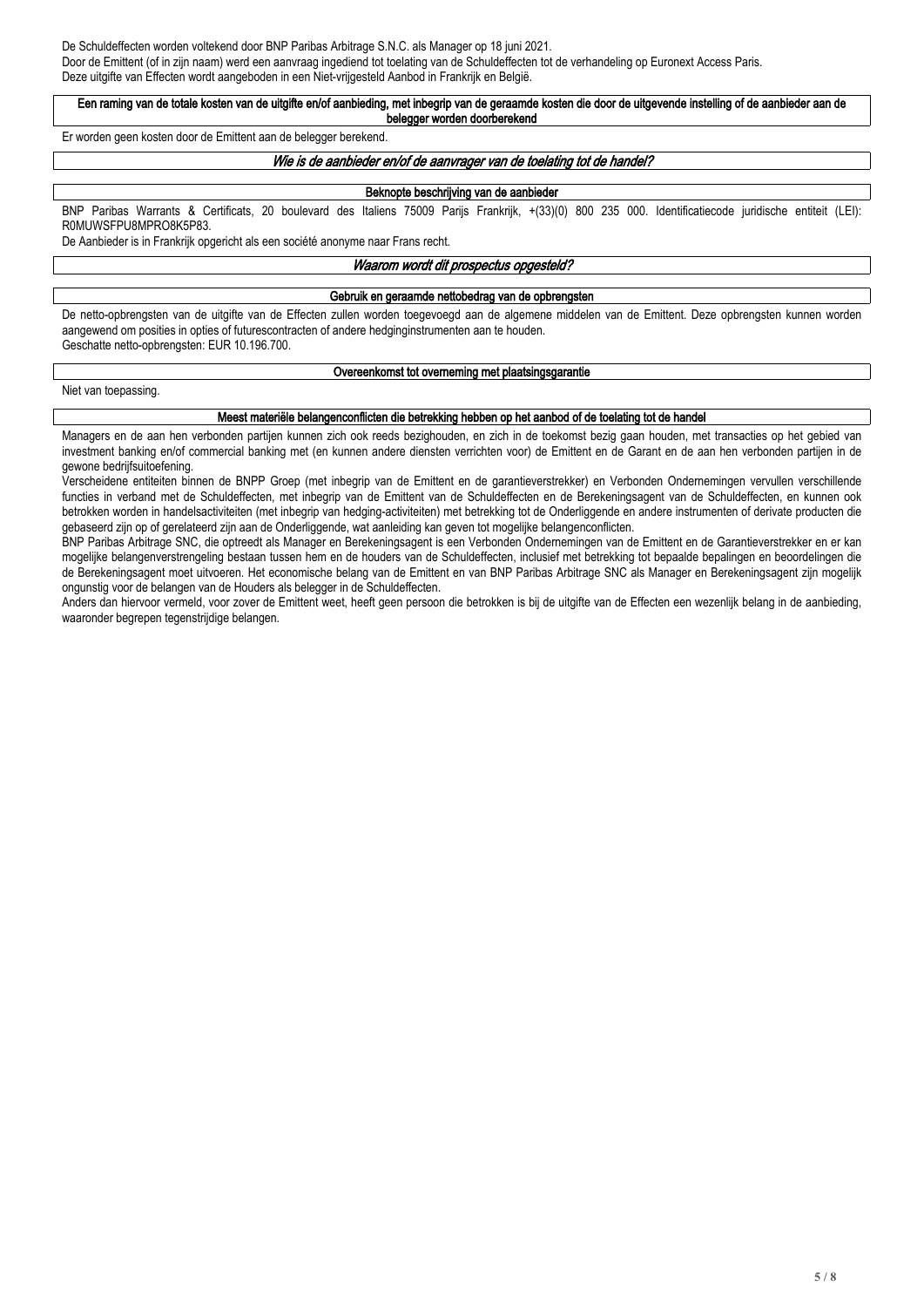De Schuldeffecten worden voltekend door BNP Paribas Arbitrage S.N.C. als Manager op 18 juni 2021. Door de Emittent (of in zijn naam) werd een aanvraag ingediend tot toelating van de Schuldeffecten tot de verhandeling op Euronext Access Paris. Deze uitgifte van Effecten wordt aangeboden in een Niet-vrijgesteld Aanbod in Frankrijk en België.

#### **Een raming van de totale kosten van de uitgifte en/of aanbieding, met inbegrip van de geraamde kosten die door de uitgevende instelling of de aanbieder aan de belegger worden doorberekend**

Er worden geen kosten door de Emittent aan de belegger berekend.

### *Wie is de aanbieder en/of de aanvrager van de toelating tot de handel?*

### **Beknopte beschrijving van de aanbieder**

BNP Paribas Warrants & Certificats, 20 boulevard des Italiens 75009 Parijs Frankrijk, +(33)(0) 800 235 000. Identificatiecode juridische entiteit (LEI): R0MUWSFPU8MPRO8K5P83.

De Aanbieder is in Frankrijk opgericht als een société anonyme naar Frans recht.

#### *Waarom wordt dit prospectus opgesteld?*

#### **Gebruik en geraamde nettobedrag van de opbrengsten**

De netto-opbrengsten van de uitgifte van de Effecten zullen worden toegevoegd aan de algemene middelen van de Emittent. Deze opbrengsten kunnen worden aangewend om posities in opties of futurescontracten of andere hedginginstrumenten aan te houden. Geschatte netto-opbrengsten: EUR 10.196.700.

### **Overeenkomst tot overneming met plaatsingsgarantie**

Niet van toepassing.

#### **Meest materiële belangenconflicten die betrekking hebben op het aanbod of de toelating tot de handel**

Managers en de aan hen verbonden partijen kunnen zich ook reeds bezighouden, en zich in de toekomst bezig gaan houden, met transacties op het gebied van investment banking en/of commercial banking met (en kunnen andere diensten verrichten voor) de Emittent en de Garant en de aan hen verbonden partijen in de gewone bedrijfsuitoefening.

Verscheidene entiteiten binnen de BNPP Groep (met inbegrip van de Emittent en de garantieverstrekker) en Verbonden Ondernemingen vervullen verschillende functies in verband met de Schuldeffecten, met inbegrip van de Emittent van de Schuldeffecten en de Berekeningsagent van de Schuldeffecten, en kunnen ook betrokken worden in handelsactiviteiten (met inbegrip van hedging-activiteiten) met betrekking tot de Onderliggende en andere instrumenten of derivate producten die gebaseerd zijn op of gerelateerd zijn aan de Onderliggende, wat aanleiding kan geven tot mogelijke belangenconflicten.

BNP Paribas Arbitrage SNC, die optreedt als Manager en Berekeningsagent is een Verbonden Ondernemingen van de Emittent en de Garantieverstrekker en er kan mogelijke belangenverstrengeling bestaan tussen hem en de houders van de Schuldeffecten, inclusief met betrekking tot bepaalde bepalingen en beoordelingen die de Berekeningsagent moet uitvoeren. Het economische belang van de Emittent en van BNP Paribas Arbitrage SNC als Manager en Berekeningsagent zijn mogelijk ongunstig voor de belangen van de Houders als belegger in de Schuldeffecten.

Anders dan hiervoor vermeld, voor zover de Emittent weet, heeft geen persoon die betrokken is bij de uitgifte van de Effecten een wezenlijk belang in de aanbieding, waaronder begrepen tegenstrijdige belangen.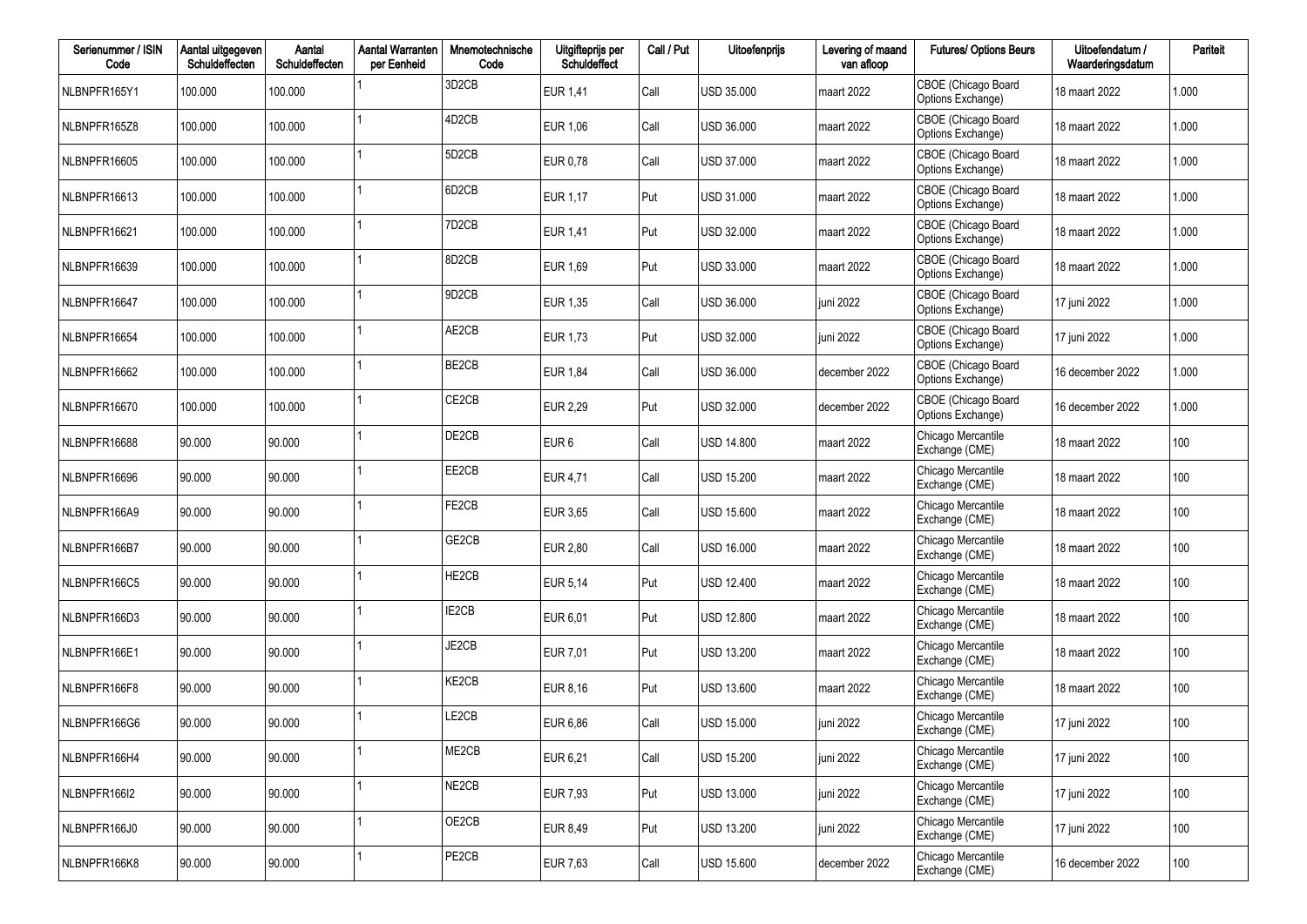| Serienummer / ISIN<br>Code | Aantal uitgegeven<br>Schuldeffecten | Aantal<br>Schuldeffecten | <b>Aantal Warranten</b><br>per Eenheid | Mnemotechnische<br>Code        | Uitgifteprijs per<br>Schuldeffect | Call / Put | Uitoefenprijs     | Levering of maand<br>van afloop | <b>Futures/ Options Beurs</b>            | Uitoefendatum /<br>Waarderingsdatum | Pariteit |
|----------------------------|-------------------------------------|--------------------------|----------------------------------------|--------------------------------|-----------------------------------|------------|-------------------|---------------------------------|------------------------------------------|-------------------------------------|----------|
| NLBNPFR165Y1               | 100.000                             | 100.000                  |                                        | 3D <sub>2</sub> CB             | EUR 1,41                          | Call       | USD 35.000        | maart 2022                      | CBOE (Chicago Board<br>Options Exchange) | 18 maart 2022                       | 1.000    |
| NLBNPFR165Z8               | 100.000                             | 100.000                  |                                        | 4D <sub>2</sub> C <sub>B</sub> | EUR 1,06                          | Call       | USD 36.000        | maart 2022                      | CBOE (Chicago Board<br>Options Exchange) | 18 maart 2022                       | 1.000    |
| NLBNPFR16605               | 100.000                             | 100.000                  |                                        | 5D <sub>2</sub> CB             | EUR 0,78                          | Call       | USD 37.000        | maart 2022                      | CBOE (Chicago Board<br>Options Exchange) | 18 maart 2022                       | 1.000    |
| NLBNPFR16613               | 100.000                             | 100.000                  |                                        | 6D <sub>2</sub> CB             | <b>EUR 1,17</b>                   | Put        | USD 31.000        | maart 2022                      | CBOE (Chicago Board<br>Options Exchange) | 18 maart 2022                       | 1.000    |
| NLBNPFR16621               | 100.000                             | 100.000                  |                                        | 7D <sub>2</sub> C <sub>B</sub> | <b>EUR 1,41</b>                   | Put        | USD 32.000        | maart 2022                      | CBOE (Chicago Board<br>Options Exchange) | 18 maart 2022                       | 1.000    |
| NLBNPFR16639               | 100.000                             | 100.000                  |                                        | 8D <sub>2</sub> CB             | EUR 1,69                          | Put        | USD 33.000        | maart 2022                      | CBOE (Chicago Board<br>Options Exchange) | 18 maart 2022                       | 1.000    |
| NLBNPFR16647               | 100.000                             | 100.000                  |                                        | 9D <sub>2</sub> CB             | EUR 1,35                          | Call       | USD 36.000        | juni 2022                       | CBOE (Chicago Board<br>Options Exchange) | 17 juni 2022                        | 1.000    |
| NLBNPFR16654               | 100.000                             | 100.000                  |                                        | AE2CB                          | EUR 1,73                          | Put        | <b>USD 32.000</b> | juni 2022                       | CBOE (Chicago Board<br>Options Exchange) | 17 juni 2022                        | 1.000    |
| NLBNPFR16662               | 100.000                             | 100.000                  |                                        | BE2CB                          | <b>EUR 1,84</b>                   | Call       | USD 36.000        | december 2022                   | CBOE (Chicago Board<br>Options Exchange) | 16 december 2022                    | 1.000    |
| NLBNPFR16670               | 100.000                             | 100.000                  |                                        | CE2CB                          | EUR 2,29                          | Put        | <b>USD 32.000</b> | december 2022                   | CBOE (Chicago Board<br>Options Exchange) | 16 december 2022                    | 1.000    |
| NLBNPFR16688               | 90.000                              | 90.000                   |                                        | DE2CB                          | EUR <sub>6</sub>                  | Call       | <b>USD 14.800</b> | maart 2022                      | Chicago Mercantile<br>Exchange (CME)     | 18 maart 2022                       | 100      |
| NLBNPFR16696               | 90.000                              | 90.000                   |                                        | EE2CB                          | EUR 4,71                          | Call       | USD 15.200        | maart 2022                      | Chicago Mercantile<br>Exchange (CME)     | 18 maart 2022                       | 100      |
| NLBNPFR166A9               | 90.000                              | 90.000                   |                                        | FE2CB                          | EUR 3,65                          | Call       | USD 15.600        | maart 2022                      | Chicago Mercantile<br>Exchange (CME)     | 18 maart 2022                       | 100      |
| NLBNPFR166B7               | 90.000                              | 90.000                   |                                        | GE2CB                          | EUR 2,80                          | Call       | <b>USD 16.000</b> | maart 2022                      | Chicago Mercantile<br>Exchange (CME)     | 18 maart 2022                       | 100      |
| NLBNPFR166C5               | 90.000                              | 90.000                   |                                        | HE2CB                          | <b>EUR 5,14</b>                   | Put        | <b>USD 12.400</b> | maart 2022                      | Chicago Mercantile<br>Exchange (CME)     | 18 maart 2022                       | 100      |
| NLBNPFR166D3               | 90.000                              | 90.000                   |                                        | IE2CB                          | EUR 6,01                          | Put        | <b>USD 12.800</b> | maart 2022                      | Chicago Mercantile<br>Exchange (CME)     | 18 maart 2022                       | 100      |
| NLBNPFR166E1               | 90.000                              | 90.000                   |                                        | JE2CB                          | EUR 7,01                          | Put        | <b>USD 13.200</b> | maart 2022                      | Chicago Mercantile<br>Exchange (CME)     | 18 maart 2022                       | 100      |
| NLBNPFR166F8               | 90.000                              | 90.000                   |                                        | KE2CB                          | EUR 8,16                          | Put        | USD 13.600        | maart 2022                      | Chicago Mercantile<br>Exchange (CME)     | 18 maart 2022                       | 100      |
| NLBNPFR166G6               | 90.000                              | 90.000                   |                                        | LE2CB                          | EUR 6,86                          | Call       | USD 15.000        | juni 2022                       | Chicago Mercantile<br>Exchange (CME)     | 17 juni 2022                        | 100      |
| NLBNPFR166H4               | 90.000                              | 90.000                   |                                        | ME2CB                          | EUR 6,21                          | Call       | <b>USD 15.200</b> | juni 2022                       | Chicago Mercantile<br>Exchange (CME)     | 17 juni 2022                        | 100      |
| NLBNPFR166I2               | 90.000                              | 90.000                   |                                        | NE2CB                          | EUR 7,93                          | Put        | USD 13.000        | juni 2022                       | Chicago Mercantile<br>Exchange (CME)     | 17 juni 2022                        | 100      |
| NLBNPFR166J0               | 90.000                              | 90.000                   |                                        | OE2CB                          | EUR 8,49                          | Put        | USD 13.200        | juni 2022                       | Chicago Mercantile<br>Exchange (CME)     | 17 juni 2022                        | 100      |
| NLBNPFR166K8               | 90.000                              | 90.000                   |                                        | PE2CB                          | EUR 7,63                          | Call       | USD 15.600        | december 2022                   | Chicago Mercantile<br>Exchange (CME)     | 16 december 2022                    | 100      |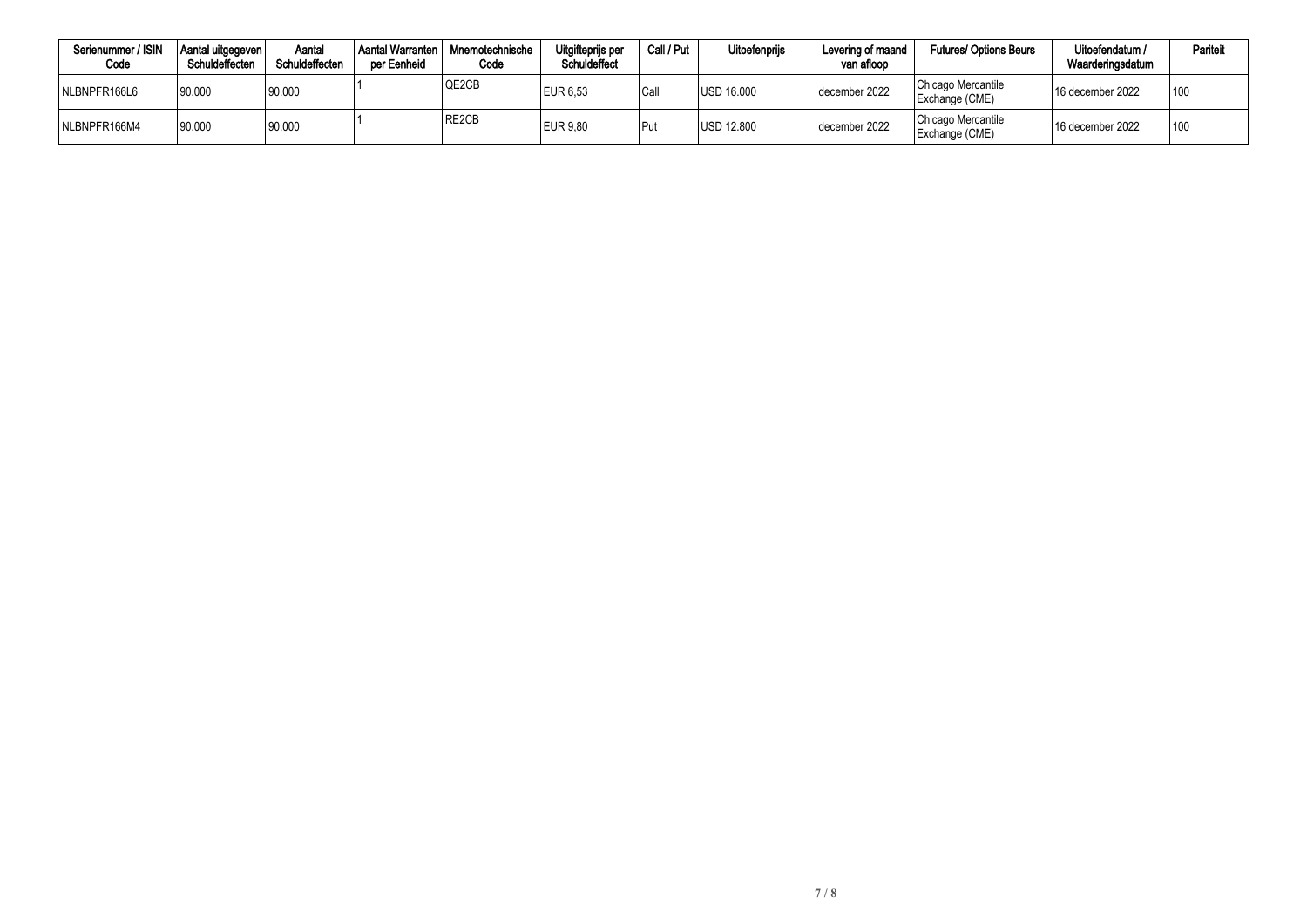| Serienummer / ISIN<br>Code | Aantal uitgegeven  <br>Schuldeffecten | Aantal<br>Schuldeffecten | Aantal Warranten<br>per Eenheid | Mnemotechnische<br>Code | Uitgifteprijs per<br><b>Schuldeffect</b> | Call / Put | Uitoefenprijs     | Levering of maand<br>van afloop | <b>Futures/ Options Beurs</b>        | Uitoefendatum /<br>Waarderingsdatum | Pariteit |
|----------------------------|---------------------------------------|--------------------------|---------------------------------|-------------------------|------------------------------------------|------------|-------------------|---------------------------------|--------------------------------------|-------------------------------------|----------|
| NLBNPFR166L6               | 90.000                                | 90.000                   |                                 | QE2CB                   | <b>EUR 6,53</b>                          | Call       | <b>USD 16.000</b> | december 2022                   | Chicago Mercantile<br>Exchange (CME) | 16 december 2022                    | 100      |
| NLBNPFR166M4               | 90.000                                | 90.000                   |                                 | RE2CB                   | EUR 9.80                                 | Put        | USD 12.800        | december 2022                   | Chicago Mercantile<br>Exchange (CME) | $^{\prime}$ 16 december 2022        | 100      |